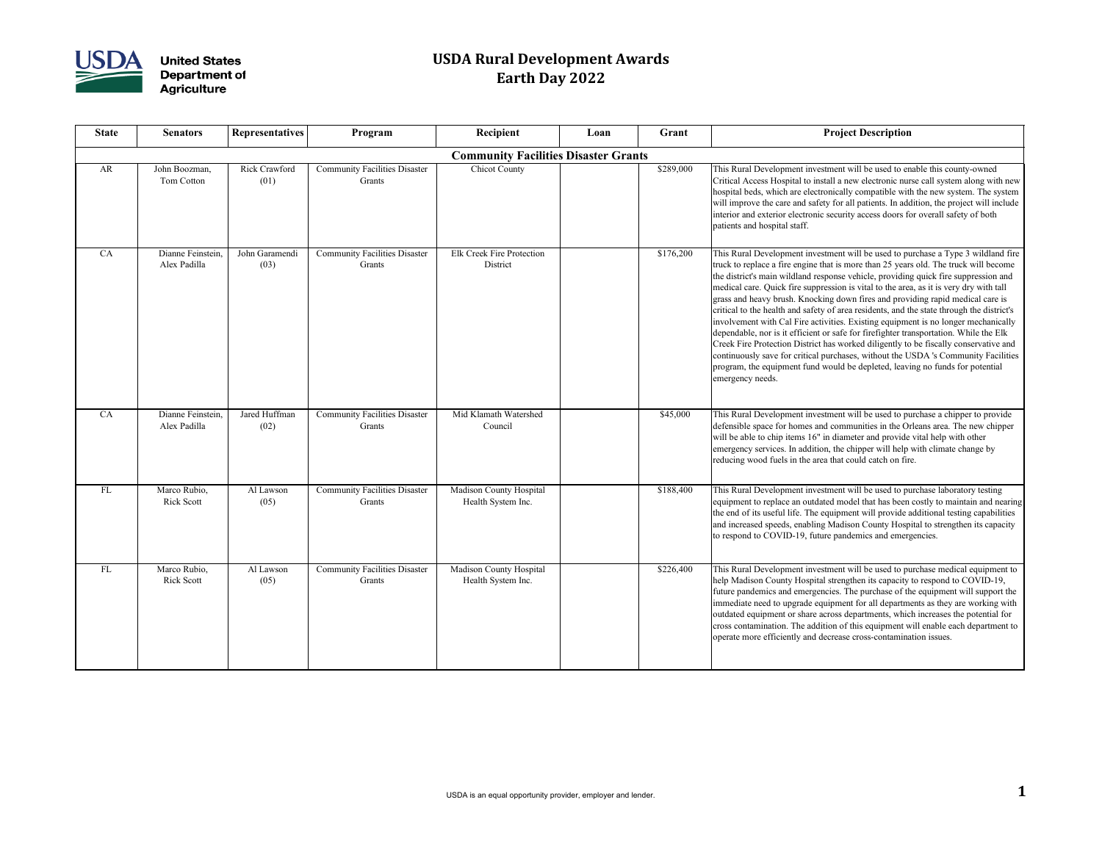

| Recipient                                 | Loan | Grant     | <b>Project Description</b>                                                                                                                                                                                                                                                                                                                                                                                                                                                                                                                                                                                                                                                                                                                                                                                                                                                                                                                                                                                  |
|-------------------------------------------|------|-----------|-------------------------------------------------------------------------------------------------------------------------------------------------------------------------------------------------------------------------------------------------------------------------------------------------------------------------------------------------------------------------------------------------------------------------------------------------------------------------------------------------------------------------------------------------------------------------------------------------------------------------------------------------------------------------------------------------------------------------------------------------------------------------------------------------------------------------------------------------------------------------------------------------------------------------------------------------------------------------------------------------------------|
| <b>nmunity Facilities Disaster Grants</b> |      |           |                                                                                                                                                                                                                                                                                                                                                                                                                                                                                                                                                                                                                                                                                                                                                                                                                                                                                                                                                                                                             |
| <b>Chicot County</b>                      |      | \$289,000 | This Rural Development investment will be used to enable this county-owned<br>Critical Access Hospital to install a new electronic nurse call system along with new<br>hospital beds, which are electronically compatible with the new system. The system<br>will improve the care and safety for all patients. In addition, the project will include<br>interior and exterior electronic security access doors for overall safety of both<br>patients and hospital staff.                                                                                                                                                                                                                                                                                                                                                                                                                                                                                                                                  |
| reek Fire Protection<br>District          |      | \$176,200 | This Rural Development investment will be used to purchase a Type 3 wildland fire<br>truck to replace a fire engine that is more than 25 years old. The truck will become<br>the district's main wildland response vehicle, providing quick fire suppression and<br>medical care. Quick fire suppression is vital to the area, as it is very dry with tall<br>grass and heavy brush. Knocking down fires and providing rapid medical care is<br>critical to the health and safety of area residents, and the state through the district's<br>involvement with Cal Fire activities. Existing equipment is no longer mechanically<br>dependable, nor is it efficient or safe for firefighter transportation. While the Elk<br>Creek Fire Protection District has worked diligently to be fiscally conservative and<br>continuously save for critical purchases, without the USDA 's Community Facilities<br>program, the equipment fund would be depleted, leaving no funds for potential<br>emergency needs. |
| Klamath Watershed<br>Council              |      | \$45,000  | This Rural Development investment will be used to purchase a chipper to provide<br>defensible space for homes and communities in the Orleans area. The new chipper<br>will be able to chip items 16" in diameter and provide vital help with other<br>emergency services. In addition, the chipper will help with climate change by<br>reducing wood fuels in the area that could catch on fire.                                                                                                                                                                                                                                                                                                                                                                                                                                                                                                                                                                                                            |
| son County Hospital<br>ealth System Inc.  |      | \$188,400 | This Rural Development investment will be used to purchase laboratory testing<br>equipment to replace an outdated model that has been costly to maintain and nearing<br>the end of its useful life. The equipment will provide additional testing capabilities<br>and increased speeds, enabling Madison County Hospital to strengthen its capacity<br>to respond to COVID-19, future pandemics and emergencies.                                                                                                                                                                                                                                                                                                                                                                                                                                                                                                                                                                                            |
| son County Hospital<br>ealth System Inc.  |      | \$226,400 | This Rural Development investment will be used to purchase medical equipment to<br>help Madison County Hospital strengthen its capacity to respond to COVID-19,<br>future pandemics and emergencies. The purchase of the equipment will support the<br>immediate need to upgrade equipment for all departments as they are working with<br>outdated equipment or share across departments, which increases the potential for<br>cross contamination. The addition of this equipment will enable each department to<br>operate more efficiently and decrease cross-contamination issues.                                                                                                                                                                                                                                                                                                                                                                                                                     |

| <b>State</b> | <b>Senators</b>                   | <b>Representatives</b>       | Program                                               | Recipient                                            | Loan | Grant     | <b>Project Description</b>                                                                                                                                                                                                                                                                                                                                                                                                                                                                                                                                                                                                                                                                   |
|--------------|-----------------------------------|------------------------------|-------------------------------------------------------|------------------------------------------------------|------|-----------|----------------------------------------------------------------------------------------------------------------------------------------------------------------------------------------------------------------------------------------------------------------------------------------------------------------------------------------------------------------------------------------------------------------------------------------------------------------------------------------------------------------------------------------------------------------------------------------------------------------------------------------------------------------------------------------------|
|              |                                   |                              |                                                       | <b>Community Facilities Disaster Grants</b>          |      |           |                                                                                                                                                                                                                                                                                                                                                                                                                                                                                                                                                                                                                                                                                              |
| AR           | John Boozman,<br>Tom Cotton       | <b>Rick Crawford</b><br>(01) | <b>Community Facilities Disaster</b><br>Grants        | <b>Chicot County</b>                                 |      | \$289,000 | This Rural Development investment will be used to en<br>Critical Access Hospital to install a new electronic nur<br>hospital beds, which are electronically compatible witl<br>will improve the care and safety for all patients. In add<br>interior and exterior electronic security access doors fo<br>patients and hospital staff.                                                                                                                                                                                                                                                                                                                                                        |
| CA           | Dianne Feinstein,<br>Alex Padilla | John Garamendi<br>(03)       | <b>Community Facilities Disaster</b><br><b>Grants</b> | <b>Elk Creek Fire Protection</b><br>District         |      | \$176,200 | This Rural Development investment will be used to pu<br>truck to replace a fire engine that is more than 25 years<br>the district's main wildland response vehicle, providing<br>medical care. Quick fire suppression is vital to the area<br>grass and heavy brush. Knocking down fires and provi<br>critical to the health and safety of area residents, and tl<br>involvement with Cal Fire activities. Existing equipme<br>dependable, nor is it efficient or safe for firefighter tra<br>Creek Fire Protection District has worked diligently to<br>continuously save for critical purchases, without the U<br>program, the equipment fund would be depleted, leavi<br>emergency needs. |
| CA           | Dianne Feinstein,<br>Alex Padilla | Jared Huffman<br>(02)        | <b>Community Facilities Disaster</b><br>Grants        | Mid Klamath Watershed<br>Council                     |      | \$45,000  | This Rural Development investment will be used to pu<br>defensible space for homes and communities in the Or<br>will be able to chip items 16" in diameter and provide<br>emergency services. In addition, the chipper will help<br>reducing wood fuels in the area that could catch on fire                                                                                                                                                                                                                                                                                                                                                                                                 |
| <b>FL</b>    | Marco Rubio,<br><b>Rick Scott</b> | Al Lawson<br>(05)            | <b>Community Facilities Disaster</b><br>Grants        | Madison County Hospital<br>Health System Inc.        |      | \$188,400 | This Rural Development investment will be used to pu<br>equipment to replace an outdated model that has been<br>the end of its useful life. The equipment will provide a<br>and increased speeds, enabling Madison County Hosp<br>to respond to COVID-19, future pandemics and emerg                                                                                                                                                                                                                                                                                                                                                                                                         |
| FL           | Marco Rubio,<br><b>Rick Scott</b> | Al Lawson<br>(05)            | <b>Community Facilities Disaster</b><br>Grants        | <b>Madison County Hospital</b><br>Health System Inc. |      | \$226,400 | This Rural Development investment will be used to pu<br>help Madison County Hospital strengthen its capacity<br>future pandemics and emergencies. The purchase of th<br>immediate need to upgrade equipment for all departme<br>outdated equipment or share across departments, which<br>cross contamination. The addition of this equipment w<br>operate more efficiently and decrease cross-contamina                                                                                                                                                                                                                                                                                      |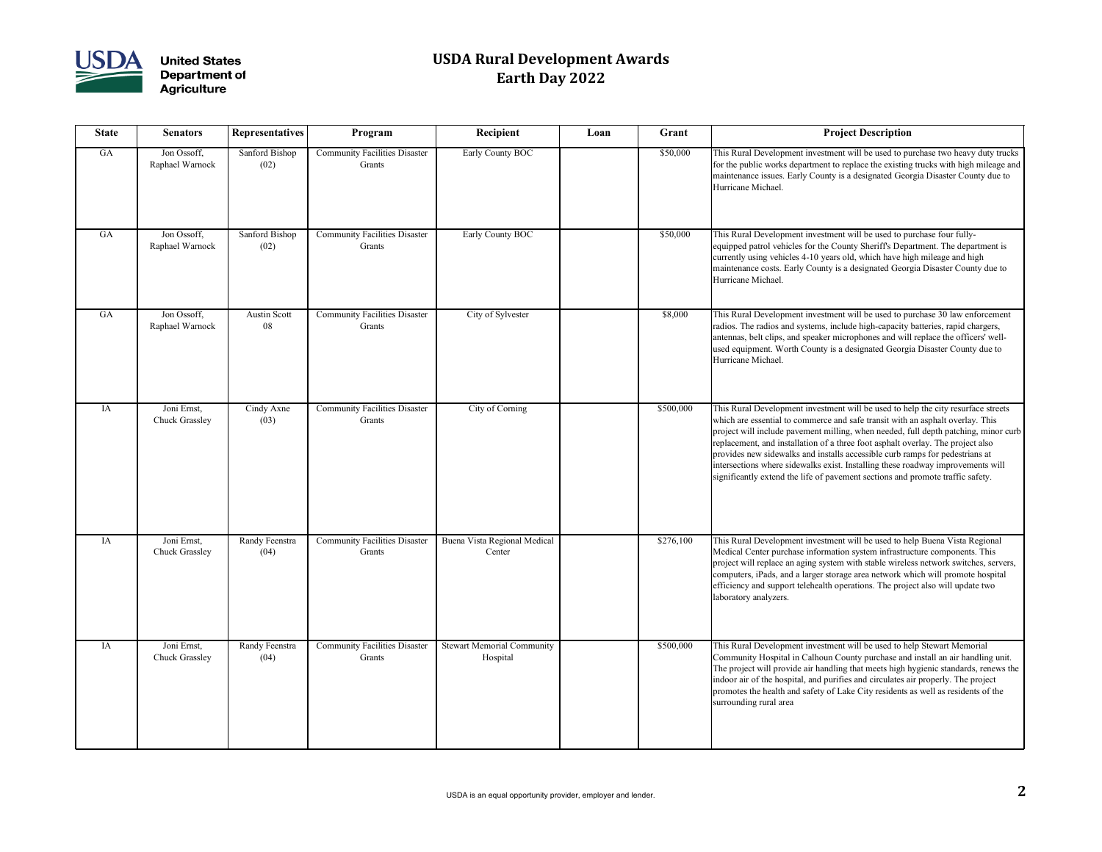

| <b>State</b> | <b>Senators</b>                      | <b>Representatives</b> | Program                                        | Recipient                                     | Loan | Grant     | <b>Project Description</b>                                                                                                                                                                                                                                                                                                                                                                                              |
|--------------|--------------------------------------|------------------------|------------------------------------------------|-----------------------------------------------|------|-----------|-------------------------------------------------------------------------------------------------------------------------------------------------------------------------------------------------------------------------------------------------------------------------------------------------------------------------------------------------------------------------------------------------------------------------|
| GA           | Jon Ossoff,<br>Raphael Warnock       | Sanford Bishop<br>(02) | <b>Community Facilities Disaster</b><br>Grants | Early County BOC                              |      | \$50,000  | This Rural Development investment will be used to pu<br>for the public works department to replace the existing<br>maintenance issues. Early County is a designated Geor<br>Hurricane Michael.                                                                                                                                                                                                                          |
| GA           | Jon Ossoff,<br>Raphael Warnock       | Sanford Bishop<br>(02) | <b>Community Facilities Disaster</b><br>Grants | Early County BOC                              |      | \$50,000  | This Rural Development investment will be used to pu<br>equipped patrol vehicles for the County Sheriff's Depa<br>currently using vehicles 4-10 years old, which have hig<br>maintenance costs. Early County is a designated Georg<br>Hurricane Michael.                                                                                                                                                                |
| GA           | Jon Ossoff,<br>Raphael Warnock       | Austin Scott<br>08     | <b>Community Facilities Disaster</b><br>Grants | City of Sylvester                             |      | \$8,000   | This Rural Development investment will be used to pu<br>radios. The radios and systems, include high-capacity<br>antennas, belt clips, and speaker microphones and will<br>used equipment. Worth County is a designated Georgi<br>Hurricane Michael.                                                                                                                                                                    |
| IA           | Joni Ernst,<br><b>Chuck Grassley</b> | Cindy Axne<br>(03)     | <b>Community Facilities Disaster</b><br>Grants | City of Corning                               |      | \$500,000 | This Rural Development investment will be used to he<br>which are essential to commerce and safe transit with a<br>project will include pavement milling, when needed, f<br>replacement, and installation of a three foot asphalt ov<br>provides new sidewalks and installs accessible curb rai<br>intersections where sidewalks exist. Installing these road<br>significantly extend the life of pavement sections and |
| IA           | Joni Ernst,<br><b>Chuck Grassley</b> | Randy Feenstra<br>(04) | <b>Community Facilities Disaster</b><br>Grants | Buena Vista Regional Medical<br>Center        |      | \$276,100 | This Rural Development investment will be used to he<br>Medical Center purchase information system infrastrue<br>project will replace an aging system with stable wirele<br>computers, iPads, and a larger storage area network wl<br>efficiency and support telehealth operations. The proje<br>laboratory analyzers.                                                                                                  |
| IA           | Joni Ernst,<br><b>Chuck Grassley</b> | Randy Feenstra<br>(04) | <b>Community Facilities Disaster</b><br>Grants | <b>Stewart Memorial Community</b><br>Hospital |      | \$500,000 | This Rural Development investment will be used to he<br>Community Hospital in Calhoun County purchase and<br>The project will provide air handling that meets high h<br>indoor air of the hospital, and purifies and circulates a<br>promotes the health and safety of Lake City residents a<br>surrounding rural area                                                                                                  |

| <b>Recipient</b>                          | Loan | Grant     | <b>Project Description</b>                                                                                                                                                                                                                                                                                                                                                                                                                                                                                                                                                                         |
|-------------------------------------------|------|-----------|----------------------------------------------------------------------------------------------------------------------------------------------------------------------------------------------------------------------------------------------------------------------------------------------------------------------------------------------------------------------------------------------------------------------------------------------------------------------------------------------------------------------------------------------------------------------------------------------------|
| Early County BOC                          |      | \$50,000  | This Rural Development investment will be used to purchase two heavy duty trucks<br>for the public works department to replace the existing trucks with high mileage and<br>maintenance issues. Early County is a designated Georgia Disaster County due to<br>Hurricane Michael.                                                                                                                                                                                                                                                                                                                  |
| <b>Early County BOC</b>                   |      | \$50,000  | This Rural Development investment will be used to purchase four fully-<br>equipped patrol vehicles for the County Sheriff's Department. The department is<br>currently using vehicles 4-10 years old, which have high mileage and high<br>maintenance costs. Early County is a designated Georgia Disaster County due to<br>Hurricane Michael.                                                                                                                                                                                                                                                     |
| City of Sylvester                         |      | \$8,000   | This Rural Development investment will be used to purchase 30 law enforcement<br>radios. The radios and systems, include high-capacity batteries, rapid chargers,<br>antennas, belt clips, and speaker microphones and will replace the officers' well-<br>used equipment. Worth County is a designated Georgia Disaster County due to<br>Hurricane Michael.                                                                                                                                                                                                                                       |
| City of Corning                           |      | \$500,000 | This Rural Development investment will be used to help the city resurface streets<br>which are essential to commerce and safe transit with an asphalt overlay. This<br>project will include pavement milling, when needed, full depth patching, minor curb<br>replacement, and installation of a three foot asphalt overlay. The project also<br>provides new sidewalks and installs accessible curb ramps for pedestrians at<br>intersections where sidewalks exist. Installing these roadway improvements will<br>significantly extend the life of pavement sections and promote traffic safety. |
| a Vista Regional Medical<br>Center        |      | \$276,100 | This Rural Development investment will be used to help Buena Vista Regional<br>Medical Center purchase information system infrastructure components. This<br>project will replace an aging system with stable wireless network switches, servers,<br>computers, iPads, and a larger storage area network which will promote hospital<br>efficiency and support telehealth operations. The project also will update two<br>laboratory analyzers.                                                                                                                                                    |
| <b>Int Memorial Community</b><br>Hospital |      | \$500,000 | This Rural Development investment will be used to help Stewart Memorial<br>Community Hospital in Calhoun County purchase and install an air handling unit.<br>The project will provide air handling that meets high hygienic standards, renews the<br>indoor air of the hospital, and purifies and circulates air properly. The project<br>promotes the health and safety of Lake City residents as well as residents of the<br>surrounding rural area                                                                                                                                             |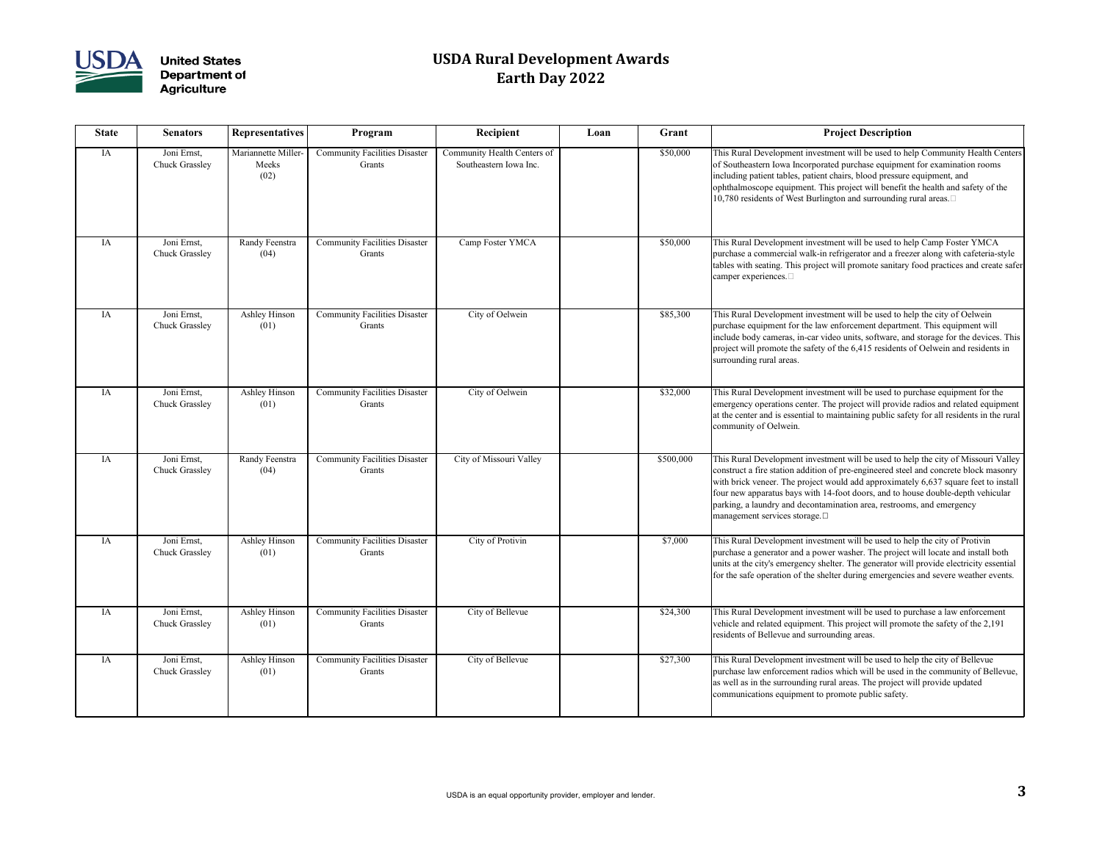

| <b>State</b> | <b>Senators</b>                      | <b>Representatives</b>               | Program                                        | Recipient                                             | Loan | Grant     | <b>Project Description</b>                                                                                                                                                                                                                                                                                                  |
|--------------|--------------------------------------|--------------------------------------|------------------------------------------------|-------------------------------------------------------|------|-----------|-----------------------------------------------------------------------------------------------------------------------------------------------------------------------------------------------------------------------------------------------------------------------------------------------------------------------------|
| IA           | Joni Ernst,<br><b>Chuck Grassley</b> | Mariannette Miller-<br>Meeks<br>(02) | <b>Community Facilities Disaster</b><br>Grants | Community Health Centers of<br>Southeastern Iowa Inc. |      | \$50,000  | This Rural Development investment will be used to he<br>of Southeastern Iowa Incorporated purchase equipmen<br>including patient tables, patient chairs, blood pressure<br>ophthalmoscope equipment. This project will benefit t<br>10,780 residents of West Burlington and surrounding a                                   |
| IA           | Joni Ernst,<br><b>Chuck Grassley</b> | Randy Feenstra<br>(04)               | <b>Community Facilities Disaster</b><br>Grants | Camp Foster YMCA                                      |      | \$50,000  | This Rural Development investment will be used to he<br>purchase a commercial walk-in refrigerator and a freez<br>tables with seating. This project will promote sanitary<br>camper experiences. $\square$                                                                                                                  |
| IA           | Joni Ernst,<br><b>Chuck Grassley</b> | Ashley Hinson<br>(01)                | <b>Community Facilities Disaster</b><br>Grants | City of Oelwein                                       |      | \$85,300  | This Rural Development investment will be used to he<br>purchase equipment for the law enforcement departme<br>include body cameras, in-car video units, software, and<br>project will promote the safety of the 6,415 residents of<br>surrounding rural areas.                                                             |
| IA           | Joni Ernst,<br><b>Chuck Grassley</b> | Ashley Hinson<br>(01)                | <b>Community Facilities Disaster</b><br>Grants | City of Oelwein                                       |      | \$32,000  | This Rural Development investment will be used to pu<br>emergency operations center. The project will provide<br>at the center and is essential to maintaining public safe<br>community of Oelwein.                                                                                                                         |
| IA           | Joni Ernst,<br><b>Chuck Grassley</b> | Randy Feenstra<br>(04)               | <b>Community Facilities Disaster</b><br>Grants | City of Missouri Valley                               |      | \$500,000 | This Rural Development investment will be used to he<br>construct a fire station addition of pre-engineered steel<br>with brick veneer. The project would add approximate<br>four new apparatus bays with 14-foot doors, and to ho<br>parking, a laundry and decontamination area, restroom<br>management services storage. |
| IA           | Joni Ernst,<br><b>Chuck Grassley</b> | Ashley Hinson<br>(01)                | <b>Community Facilities Disaster</b><br>Grants | City of Protivin                                      |      | \$7,000   | This Rural Development investment will be used to he<br>purchase a generator and a power washer. The project<br>units at the city's emergency shelter. The generator wil<br>for the safe operation of the shelter during emergencie                                                                                         |
| IA           | Joni Ernst,<br><b>Chuck Grassley</b> | Ashley Hinson<br>(01)                | <b>Community Facilities Disaster</b><br>Grants | City of Bellevue                                      |      | \$24,300  | This Rural Development investment will be used to pu<br>vehicle and related equipment. This project will prome<br>residents of Bellevue and surrounding areas.                                                                                                                                                              |
| IA           | Joni Ernst,<br><b>Chuck Grassley</b> | Ashley Hinson<br>(01)                | <b>Community Facilities Disaster</b><br>Grants | City of Bellevue                                      |      | \$27,300  | This Rural Development investment will be used to he<br>purchase law enforcement radios which will be used in<br>as well as in the surrounding rural areas. The project w<br>communications equipment to promote public safety.                                                                                             |

| <b>Recipient</b>                                    | Loan | Grant     | <b>Project Description</b>                                                                                                                                                                                                                                                                                                                                                                                                                                       |
|-----------------------------------------------------|------|-----------|------------------------------------------------------------------------------------------------------------------------------------------------------------------------------------------------------------------------------------------------------------------------------------------------------------------------------------------------------------------------------------------------------------------------------------------------------------------|
| mmunity Health Centers of<br>Southeastern Iowa Inc. |      | \$50,000  | This Rural Development investment will be used to help Community Health Centers<br>of Southeastern Iowa Incorporated purchase equipment for examination rooms<br>including patient tables, patient chairs, blood pressure equipment, and<br>ophthalmoscope equipment. This project will benefit the health and safety of the<br>10,780 residents of West Burlington and surrounding rural areas.                                                                 |
| Camp Foster YMCA                                    |      | \$50,000  | This Rural Development investment will be used to help Camp Foster YMCA<br>purchase a commercial walk-in refrigerator and a freezer along with cafeteria-style<br>tables with seating. This project will promote sanitary food practices and create safer<br>camper experiences.                                                                                                                                                                                 |
| City of Oelwein                                     |      | \$85,300  | This Rural Development investment will be used to help the city of Oelwein<br>purchase equipment for the law enforcement department. This equipment will<br>include body cameras, in-car video units, software, and storage for the devices. This<br>project will promote the safety of the 6,415 residents of Oelwein and residents in<br>surrounding rural areas.                                                                                              |
| City of Oelwein                                     |      | \$32,000  | This Rural Development investment will be used to purchase equipment for the<br>emergency operations center. The project will provide radios and related equipment<br>at the center and is essential to maintaining public safety for all residents in the rural<br>community of Oelwein.                                                                                                                                                                        |
| City of Missouri Valley                             |      | \$500,000 | This Rural Development investment will be used to help the city of Missouri Valley<br>construct a fire station addition of pre-engineered steel and concrete block masonry<br>with brick veneer. The project would add approximately 6,637 square feet to install<br>four new apparatus bays with 14-foot doors, and to house double-depth vehicular<br>parking, a laundry and decontamination area, restrooms, and emergency<br>management services storage. [] |
| City of Protivin                                    |      | \$7,000   | This Rural Development investment will be used to help the city of Protivin<br>purchase a generator and a power washer. The project will locate and install both<br>units at the city's emergency shelter. The generator will provide electricity essential<br>for the safe operation of the shelter during emergencies and severe weather events.                                                                                                               |
| City of Bellevue                                    |      | \$24,300  | This Rural Development investment will be used to purchase a law enforcement<br>vehicle and related equipment. This project will promote the safety of the 2,191<br>residents of Bellevue and surrounding areas.                                                                                                                                                                                                                                                 |
| City of Bellevue                                    |      | \$27,300  | This Rural Development investment will be used to help the city of Bellevue<br>purchase law enforcement radios which will be used in the community of Bellevue,<br>as well as in the surrounding rural areas. The project will provide updated<br>communications equipment to promote public safety.                                                                                                                                                             |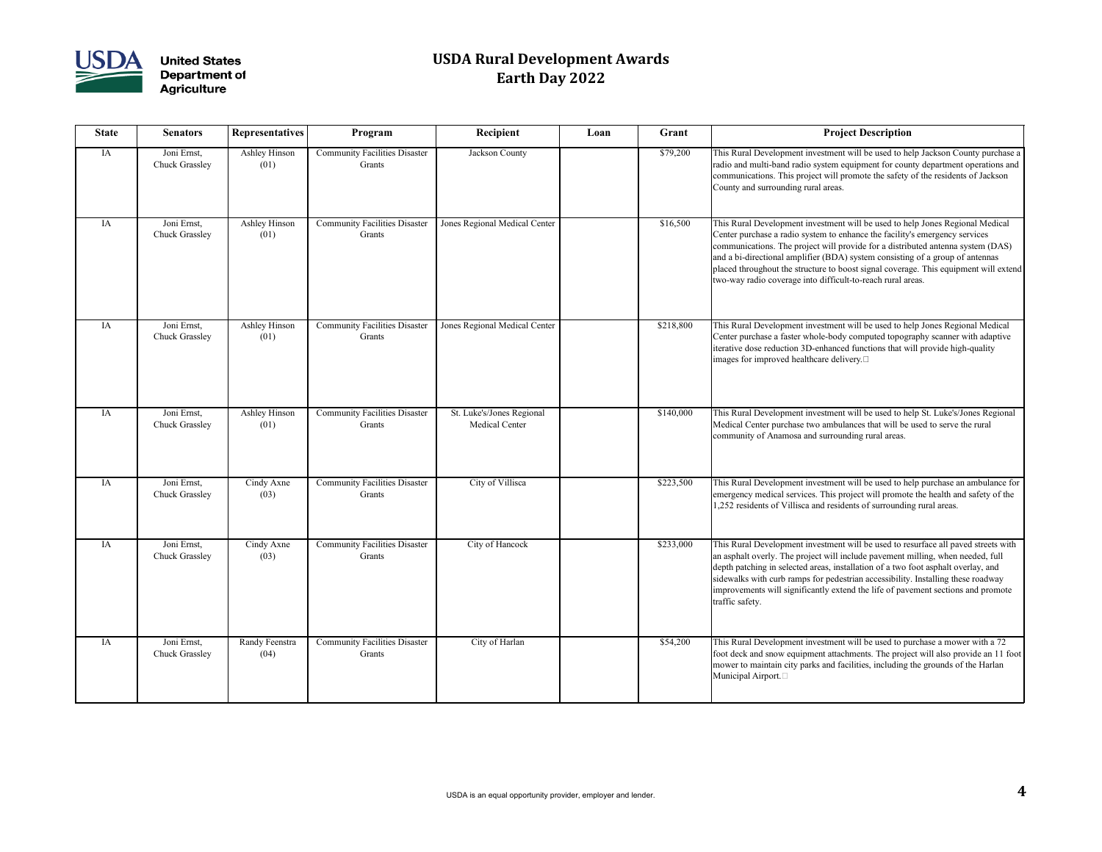

| <b>State</b> | <b>Senators</b>                      | <b>Representatives</b> | Program                                        | Recipient                                          | Loan | Grant     | <b>Project Description</b>                                                                                                                                                                                                                                                                                                                                |
|--------------|--------------------------------------|------------------------|------------------------------------------------|----------------------------------------------------|------|-----------|-----------------------------------------------------------------------------------------------------------------------------------------------------------------------------------------------------------------------------------------------------------------------------------------------------------------------------------------------------------|
| IA           | Joni Ernst,<br><b>Chuck Grassley</b> | Ashley Hinson<br>(01)  | <b>Community Facilities Disaster</b><br>Grants | Jackson County                                     |      | \$79,200  | This Rural Development investment will be used to he<br>radio and multi-band radio system equipment for cour<br>communications. This project will promote the safety<br>County and surrounding rural areas.                                                                                                                                               |
| IA           | Joni Ernst,<br><b>Chuck Grassley</b> | Ashley Hinson<br>(01)  | <b>Community Facilities Disaster</b><br>Grants | Jones Regional Medical Center                      |      | \$16,500  | This Rural Development investment will be used to he<br>Center purchase a radio system to enhance the facility'<br>communications. The project will provide for a distrib<br>and a bi-directional amplifier (BDA) system consisting<br>placed throughout the structure to boost signal coverag<br>two-way radio coverage into difficult-to-reach rural ar |
| IA           | Joni Ernst,<br><b>Chuck Grassley</b> | Ashley Hinson<br>(01)  | <b>Community Facilities Disaster</b><br>Grants | Jones Regional Medical Center                      |      | \$218,800 | This Rural Development investment will be used to he<br>Center purchase a faster whole-body computed topogr<br>iterative dose reduction 3D-enhanced functions that w<br>images for improved healthcare delivery. $\square$                                                                                                                                |
| IA           | Joni Ernst,<br><b>Chuck Grassley</b> | Ashley Hinson<br>(01)  | <b>Community Facilities Disaster</b><br>Grants | St. Luke's/Jones Regional<br><b>Medical Center</b> |      | \$140,000 | This Rural Development investment will be used to he<br>Medical Center purchase two ambulances that will be<br>community of Anamosa and surrounding rural areas.                                                                                                                                                                                          |
| IA           | Joni Ernst,<br><b>Chuck Grassley</b> | Cindy Axne<br>(03)     | <b>Community Facilities Disaster</b><br>Grants | City of Villisca                                   |      | \$223,500 | This Rural Development investment will be used to he<br>emergency medical services. This project will promote<br>1,252 residents of Villisca and residents of surroundin                                                                                                                                                                                  |
| IA           | Joni Ernst,<br><b>Chuck Grassley</b> | Cindy Axne<br>(03)     | <b>Community Facilities Disaster</b><br>Grants | City of Hancock                                    |      | \$233,000 | This Rural Development investment will be used to rea<br>an asphalt overly. The project will include pavement n<br>depth patching in selected areas, installation of a two f<br>sidewalks with curb ramps for pedestrian accessibility.<br>improvements will significantly extend the life of pave<br>traffic safety.                                     |
| IA           | Joni Ernst,<br><b>Chuck Grassley</b> | Randy Feenstra<br>(04) | <b>Community Facilities Disaster</b><br>Grants | City of Harlan                                     |      | \$54,200  | This Rural Development investment will be used to pu<br>foot deck and snow equipment attachments. The proje<br>mower to maintain city parks and facilities, including<br>Municipal Airport.                                                                                                                                                               |

| <b>Recipient</b>                                   | Loan | Grant     | <b>Project Description</b>                                                                                                                                                                                                                                                                                                                                                                                                                                                              |
|----------------------------------------------------|------|-----------|-----------------------------------------------------------------------------------------------------------------------------------------------------------------------------------------------------------------------------------------------------------------------------------------------------------------------------------------------------------------------------------------------------------------------------------------------------------------------------------------|
| Jackson County                                     |      | \$79,200  | This Rural Development investment will be used to help Jackson County purchase a<br>radio and multi-band radio system equipment for county department operations and<br>communications. This project will promote the safety of the residents of Jackson<br>County and surrounding rural areas.                                                                                                                                                                                         |
| Jones Regional Medical Center                      |      | \$16,500  | This Rural Development investment will be used to help Jones Regional Medical<br>Center purchase a radio system to enhance the facility's emergency services<br>communications. The project will provide for a distributed antenna system (DAS)<br>and a bi-directional amplifier (BDA) system consisting of a group of antennas<br>placed throughout the structure to boost signal coverage. This equipment will extend<br>two-way radio coverage into difficult-to-reach rural areas. |
| Jones Regional Medical Center                      |      | \$218,800 | This Rural Development investment will be used to help Jones Regional Medical<br>Center purchase a faster whole-body computed topography scanner with adaptive<br>iterative dose reduction 3D-enhanced functions that will provide high-quality<br>images for improved healthcare delivery.                                                                                                                                                                                             |
| St. Luke's/Jones Regional<br><b>Medical Center</b> |      | \$140,000 | This Rural Development investment will be used to help St. Luke's/Jones Regional<br>Medical Center purchase two ambulances that will be used to serve the rural<br>community of Anamosa and surrounding rural areas.                                                                                                                                                                                                                                                                    |
| City of Villisca                                   |      | \$223,500 | This Rural Development investment will be used to help purchase an ambulance for<br>emergency medical services. This project will promote the health and safety of the<br>1,252 residents of Villisca and residents of surrounding rural areas.                                                                                                                                                                                                                                         |
| City of Hancock                                    |      | \$233,000 | This Rural Development investment will be used to resurface all paved streets with<br>an asphalt overly. The project will include pavement milling, when needed, full<br>depth patching in selected areas, installation of a two foot asphalt overlay, and<br>sidewalks with curb ramps for pedestrian accessibility. Installing these roadway<br>improvements will significantly extend the life of pavement sections and promote<br>traffic safety.                                   |
| City of Harlan                                     |      | \$54,200  | This Rural Development investment will be used to purchase a mower with a 72<br>foot deck and snow equipment attachments. The project will also provide an 11 foot<br>mower to maintain city parks and facilities, including the grounds of the Harlan<br>Municipal Airport. <sup>[1]</sup>                                                                                                                                                                                             |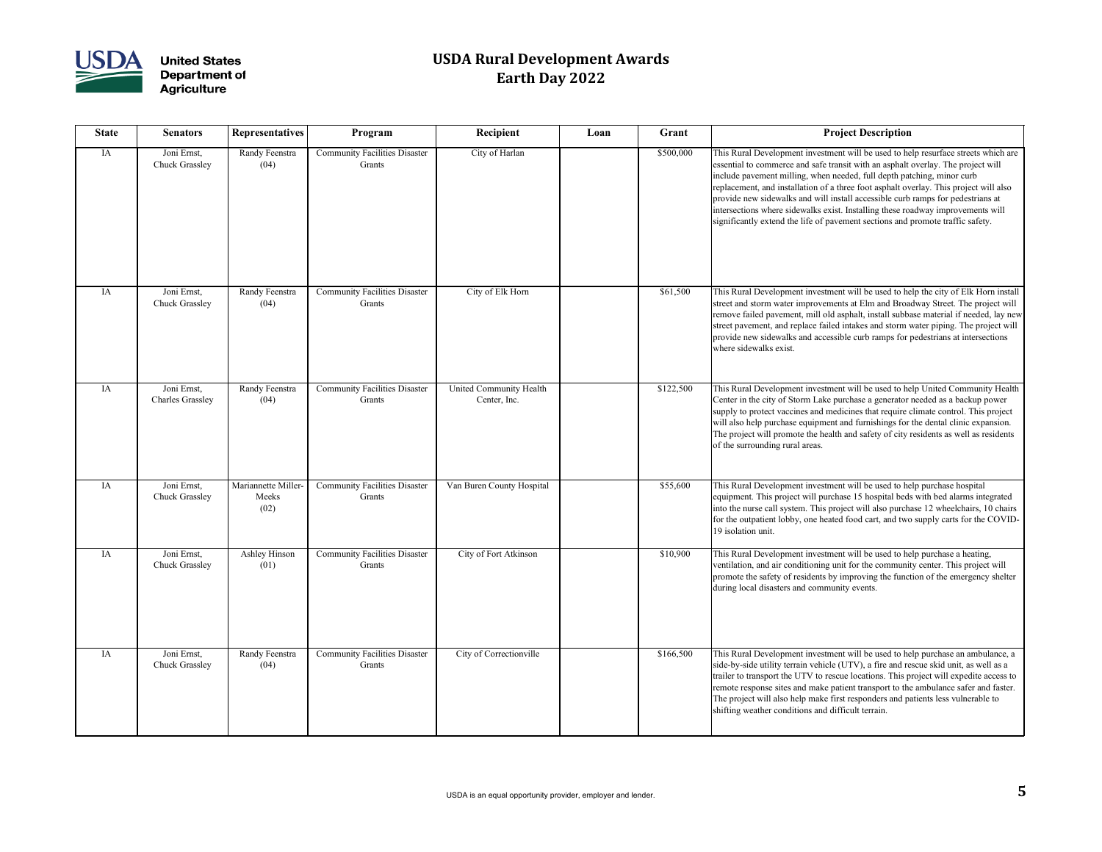

| <b>State</b> | <b>Senators</b>                        | <b>Representatives</b>               | Program                                        | Recipient                               | Loan | Grant     | <b>Project Description</b>                                                                                                                                                                                                                                                                                                                                                                                           |
|--------------|----------------------------------------|--------------------------------------|------------------------------------------------|-----------------------------------------|------|-----------|----------------------------------------------------------------------------------------------------------------------------------------------------------------------------------------------------------------------------------------------------------------------------------------------------------------------------------------------------------------------------------------------------------------------|
| IA           | Joni Ernst,<br><b>Chuck Grassley</b>   | Randy Feenstra<br>(04)               | <b>Community Facilities Disaster</b><br>Grants | City of Harlan                          |      | \$500,000 | This Rural Development investment will be used to he<br>essential to commerce and safe transit with an asphalt<br>include pavement milling, when needed, full depth pat<br>replacement, and installation of a three foot asphalt ov<br>provide new sidewalks and will install accessible curb<br>intersections where sidewalks exist. Installing these roa<br>significantly extend the life of pavement sections and |
| IA           | Joni Ernst,<br><b>Chuck Grassley</b>   | Randy Feenstra<br>(04)               | <b>Community Facilities Disaster</b><br>Grants | City of Elk Horn                        |      | \$61,500  | This Rural Development investment will be used to he<br>street and storm water improvements at Elm and Broa<br>remove failed pavement, mill old asphalt, install subba<br>street pavement, and replace failed intakes and storm v<br>provide new sidewalks and accessible curb ramps for p<br>where sidewalks exist.                                                                                                 |
| IA           | Joni Ernst,<br><b>Charles Grassley</b> | Randy Feenstra<br>(04)               | <b>Community Facilities Disaster</b><br>Grants | United Community Health<br>Center, Inc. |      | \$122,500 | This Rural Development investment will be used to he<br>Center in the city of Storm Lake purchase a generator<br>supply to protect vaccines and medicines that require o<br>will also help purchase equipment and furnishings for<br>The project will promote the health and safety of city a<br>of the surrounding rural areas.                                                                                     |
| IA           | Joni Ernst,<br><b>Chuck Grassley</b>   | Mariannette Miller-<br>Meeks<br>(02) | <b>Community Facilities Disaster</b><br>Grants | Van Buren County Hospital               |      | \$55,600  | This Rural Development investment will be used to he<br>equipment. This project will purchase 15 hospital beds<br>into the nurse call system. This project will also purcha<br>for the outpatient lobby, one heated food cart, and two<br>19 isolation unit.                                                                                                                                                         |
| IA           | Joni Ernst,<br><b>Chuck Grassley</b>   | Ashley Hinson<br>(01)                | <b>Community Facilities Disaster</b><br>Grants | City of Fort Atkinson                   |      | \$10,900  | This Rural Development investment will be used to he<br>ventilation, and air conditioning unit for the communit<br>promote the safety of residents by improving the funct<br>during local disasters and community events.                                                                                                                                                                                            |
| IA           | Joni Ernst,<br><b>Chuck Grassley</b>   | Randy Feenstra<br>(04)               | <b>Community Facilities Disaster</b><br>Grants | City of Correctionville                 |      | \$166,500 | This Rural Development investment will be used to he<br>side-by-side utility terrain vehicle (UTV), a fire and re<br>trailer to transport the UTV to rescue locations. This p<br>remote response sites and make patient transport to the<br>The project will also help make first responders and pa<br>shifting weather conditions and difficult terrain.                                                            |

| <b>Recipient</b>                        | Loan | Grant     | <b>Project Description</b>                                                                                                                                                                                                                                                                                                                                                                                                                                                                                                                                                                        |
|-----------------------------------------|------|-----------|---------------------------------------------------------------------------------------------------------------------------------------------------------------------------------------------------------------------------------------------------------------------------------------------------------------------------------------------------------------------------------------------------------------------------------------------------------------------------------------------------------------------------------------------------------------------------------------------------|
| City of Harlan                          |      | \$500,000 | This Rural Development investment will be used to help resurface streets which are<br>essential to commerce and safe transit with an asphalt overlay. The project will<br>include pavement milling, when needed, full depth patching, minor curb<br>replacement, and installation of a three foot asphalt overlay. This project will also<br>provide new sidewalks and will install accessible curb ramps for pedestrians at<br>intersections where sidewalks exist. Installing these roadway improvements will<br>significantly extend the life of pavement sections and promote traffic safety. |
| City of Elk Horn                        |      | \$61,500  | This Rural Development investment will be used to help the city of Elk Horn install                                                                                                                                                                                                                                                                                                                                                                                                                                                                                                               |
|                                         |      |           | street and storm water improvements at Elm and Broadway Street. The project will<br>remove failed pavement, mill old asphalt, install subbase material if needed, lay new<br>street pavement, and replace failed intakes and storm water piping. The project will<br>provide new sidewalks and accessible curb ramps for pedestrians at intersections<br>where sidewalks exist.                                                                                                                                                                                                                   |
| United Community Health<br>Center, Inc. |      | \$122,500 | This Rural Development investment will be used to help United Community Health<br>Center in the city of Storm Lake purchase a generator needed as a backup power<br>supply to protect vaccines and medicines that require climate control. This project<br>will also help purchase equipment and furnishings for the dental clinic expansion.<br>The project will promote the health and safety of city residents as well as residents<br>of the surrounding rural areas.                                                                                                                         |
| Van Buren County Hospital               |      | \$55,600  | This Rural Development investment will be used to help purchase hospital<br>equipment. This project will purchase 15 hospital beds with bed alarms integrated<br>into the nurse call system. This project will also purchase 12 wheelchairs, 10 chairs<br>for the outpatient lobby, one heated food cart, and two supply carts for the COVID-<br>19 isolation unit.                                                                                                                                                                                                                               |
| City of Fort Atkinson                   |      | \$10,900  | This Rural Development investment will be used to help purchase a heating,<br>ventilation, and air conditioning unit for the community center. This project will<br>promote the safety of residents by improving the function of the emergency shelter<br>during local disasters and community events.                                                                                                                                                                                                                                                                                            |
| City of Correctionville                 |      | \$166,500 | This Rural Development investment will be used to help purchase an ambulance, a<br>side-by-side utility terrain vehicle (UTV), a fire and rescue skid unit, as well as a<br>trailer to transport the UTV to rescue locations. This project will expedite access to<br>remote response sites and make patient transport to the ambulance safer and faster.<br>The project will also help make first responders and patients less vulnerable to<br>shifting weather conditions and difficult terrain.                                                                                               |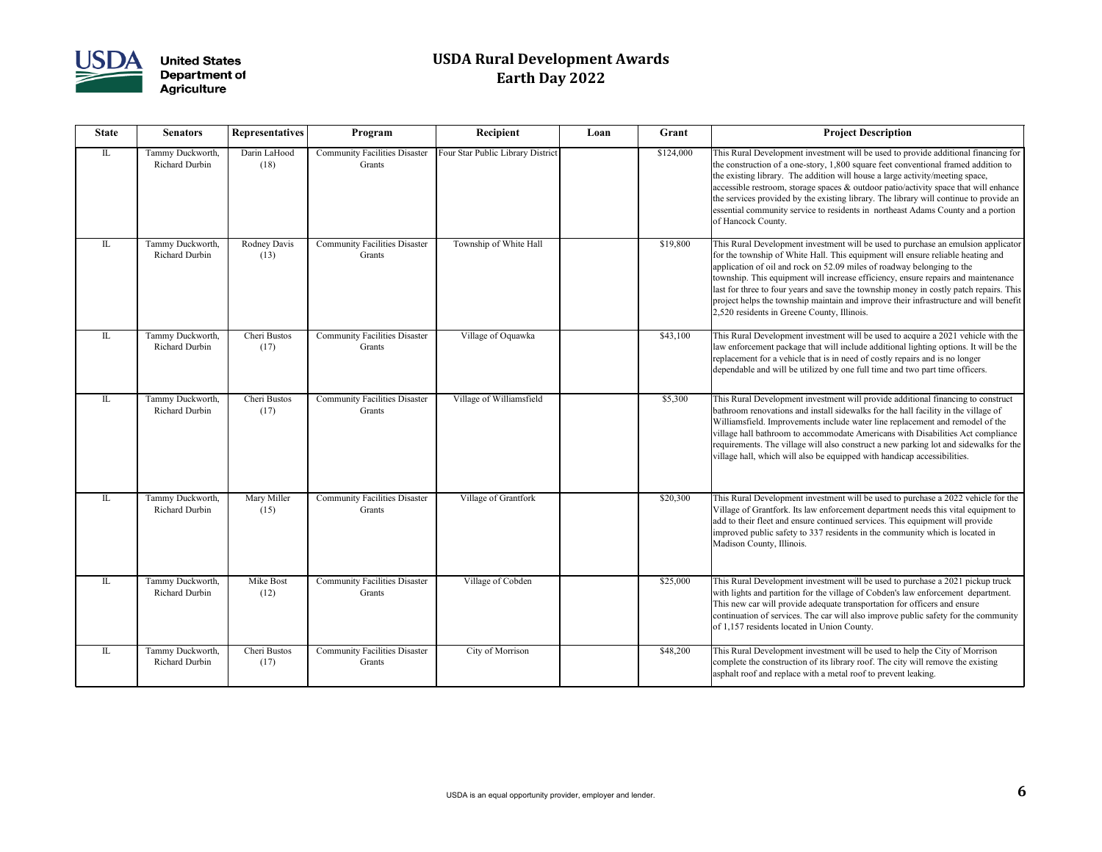

| <b>State</b>                      | <b>Senators</b>                    | <b>Representatives</b> | Program                                        | Recipient                         | Loan | Grant     | <b>Project Description</b>                                                                                                                                                                                                                                                                                                                                                                           |
|-----------------------------------|------------------------------------|------------------------|------------------------------------------------|-----------------------------------|------|-----------|------------------------------------------------------------------------------------------------------------------------------------------------------------------------------------------------------------------------------------------------------------------------------------------------------------------------------------------------------------------------------------------------------|
| $\mathbb{L}$                      | Tammy Duckworth,<br>Richard Durbin | Darin LaHood<br>(18)   | <b>Community Facilities Disaster</b><br>Grants | Four Star Public Library District |      | \$124,000 | This Rural Development investment will be used to pr<br>the construction of a one-story, 1,800 square feet conv<br>the existing library. The addition will house a large ac<br>accessible restroom, storage spaces & outdoor patio/ad<br>the services provided by the existing library. The libra<br>essential community service to residents in northeast a<br>of Hancock County.                   |
| $\mathop{\mathrm{IL}}\nolimits$   | Tammy Duckworth,<br>Richard Durbin | Rodney Davis<br>(13)   | <b>Community Facilities Disaster</b><br>Grants | Township of White Hall            |      | \$19,800  | This Rural Development investment will be used to pu<br>for the township of White Hall. This equipment will en<br>application of oil and rock on 52.09 miles of roadway<br>township. This equipment will increase efficiency, ens<br>last for three to four years and save the township mone<br>project helps the township maintain and improve their<br>2,520 residents in Greene County, Illinois. |
| $\mathop{\mathrm{I\!L}}\nolimits$ | Tammy Duckworth,<br>Richard Durbin | Cheri Bustos<br>(17)   | <b>Community Facilities Disaster</b><br>Grants | Village of Oquawka                |      | \$43,100  | This Rural Development investment will be used to ac<br>law enforcement package that will include additional l<br>replacement for a vehicle that is in need of costly repa<br>dependable and will be utilized by one full time and tv                                                                                                                                                                |
| $\mathop{\mathrm{IL}}$            | Tammy Duckworth,<br>Richard Durbin | Cheri Bustos<br>(17)   | <b>Community Facilities Disaster</b><br>Grants | Village of Williamsfield          |      | \$5,300   | This Rural Development investment will provide addit<br>bathroom renovations and install sidewalks for the hal<br>Williamsfield. Improvements include water line replac<br>village hall bathroom to accommodate Americans with<br>requirements. The village will also construct a new par<br>village hall, which will also be equipped with handicap                                                 |
| $\mathop{\mathrm{I\!L}}\nolimits$ | Tammy Duckworth,<br>Richard Durbin | Mary Miller<br>(15)    | <b>Community Facilities Disaster</b><br>Grants | Village of Grantfork              |      | \$20,300  | This Rural Development investment will be used to pu<br>Village of Grantfork. Its law enforcement department<br>add to their fleet and ensure continued services. This e<br>improved public safety to 337 residents in the commun<br>Madison County, Illinois.                                                                                                                                       |
| $\mathbb{L}$                      | Tammy Duckworth,<br>Richard Durbin | Mike Bost<br>(12)      | <b>Community Facilities Disaster</b><br>Grants | Village of Cobden                 |      | \$25,000  | This Rural Development investment will be used to pu<br>with lights and partition for the village of Cobden's lav<br>This new car will provide adequate transportation for o<br>continuation of services. The car will also improve pul<br>of 1,157 residents located in Union County.                                                                                                               |
| $\mathop{\mathrm{IL}}\nolimits$   | Tammy Duckworth,<br>Richard Durbin | Cheri Bustos<br>(17)   | <b>Community Facilities Disaster</b><br>Grants | City of Morrison                  |      | \$48,200  | This Rural Development investment will be used to he<br>complete the construction of its library roof. The city v<br>asphalt roof and replace with a metal roof to prevent le                                                                                                                                                                                                                        |

| <b>Recipient</b>                  | Loan | Grant     | <b>Project Description</b>                                                                                                                                                                                                                                                                                                                                                                                                                                                                                                                                            |
|-----------------------------------|------|-----------|-----------------------------------------------------------------------------------------------------------------------------------------------------------------------------------------------------------------------------------------------------------------------------------------------------------------------------------------------------------------------------------------------------------------------------------------------------------------------------------------------------------------------------------------------------------------------|
| Four Star Public Library District |      | \$124,000 | This Rural Development investment will be used to provide additional financing for<br>the construction of a one-story, 1,800 square feet conventional framed addition to<br>the existing library. The addition will house a large activity/meeting space,<br>accessible restroom, storage spaces $\&$ outdoor patio/activity space that will enhance<br>the services provided by the existing library. The library will continue to provide an<br>essential community service to residents in northeast Adams County and a portion<br>of Hancock County.              |
| Township of White Hall            |      | \$19,800  | This Rural Development investment will be used to purchase an emulsion applicator<br>for the township of White Hall. This equipment will ensure reliable heating and<br>application of oil and rock on 52.09 miles of roadway belonging to the<br>township. This equipment will increase efficiency, ensure repairs and maintenance<br>last for three to four years and save the township money in costly patch repairs. This<br>project helps the township maintain and improve their infrastructure and will benefit<br>2,520 residents in Greene County, Illinois. |
| Village of Oquawka                |      | \$43,100  | This Rural Development investment will be used to acquire a 2021 vehicle with the<br>law enforcement package that will include additional lighting options. It will be the<br>replacement for a vehicle that is in need of costly repairs and is no longer<br>dependable and will be utilized by one full time and two part time officers.                                                                                                                                                                                                                            |
| Village of Williamsfield          |      | \$5,300   | This Rural Development investment will provide additional financing to construct<br>bathroom renovations and install sidewalks for the hall facility in the village of<br>Williamsfield. Improvements include water line replacement and remodel of the<br>village hall bathroom to accommodate Americans with Disabilities Act compliance<br>requirements. The village will also construct a new parking lot and sidewalks for the<br>village hall, which will also be equipped with handicap accessibilities.                                                       |
| Village of Grantfork              |      | \$20,300  | This Rural Development investment will be used to purchase a 2022 vehicle for the<br>Village of Grantfork. Its law enforcement department needs this vital equipment to<br>add to their fleet and ensure continued services. This equipment will provide<br>improved public safety to 337 residents in the community which is located in<br>Madison County, Illinois.                                                                                                                                                                                                 |
| Village of Cobden                 |      | \$25,000  | This Rural Development investment will be used to purchase a 2021 pickup truck<br>with lights and partition for the village of Cobden's law enforcement department.<br>This new car will provide adequate transportation for officers and ensure<br>continuation of services. The car will also improve public safety for the community<br>of 1,157 residents located in Union County.                                                                                                                                                                                |
| City of Morrison                  |      | \$48,200  | This Rural Development investment will be used to help the City of Morrison<br>complete the construction of its library roof. The city will remove the existing<br>asphalt roof and replace with a metal roof to prevent leaking.                                                                                                                                                                                                                                                                                                                                     |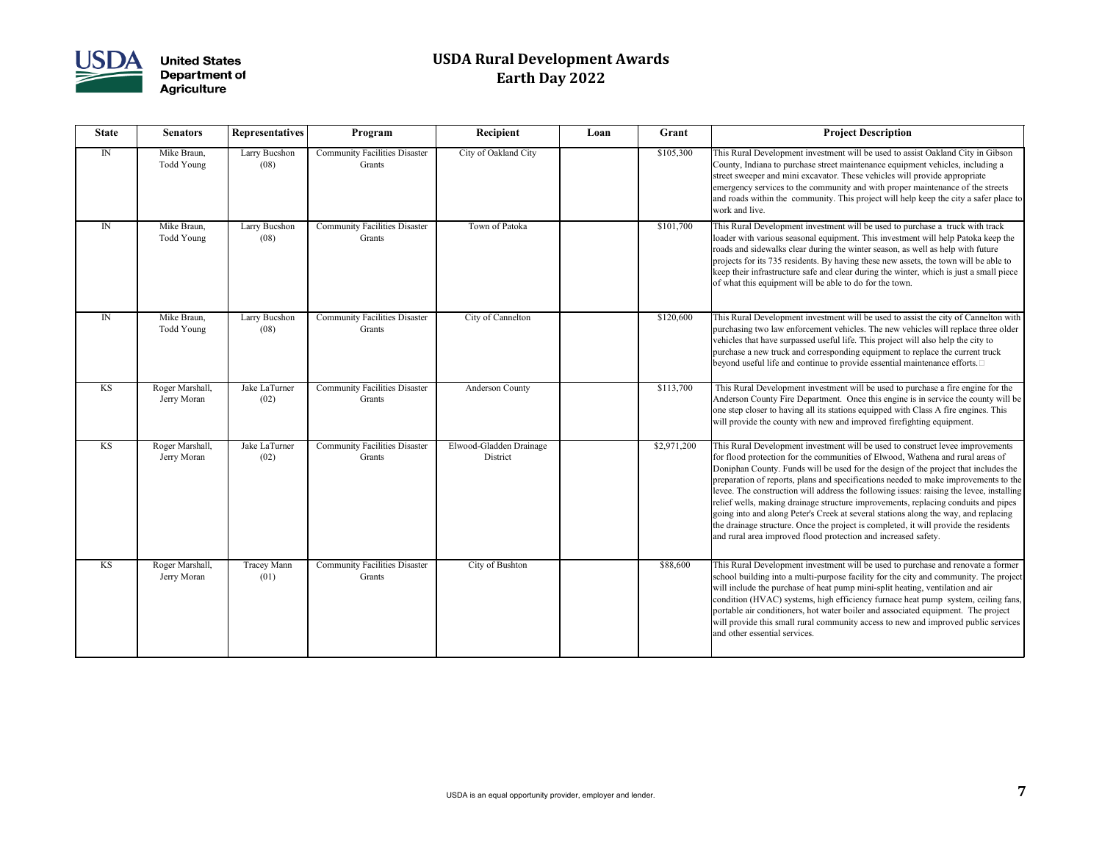

| <b>State</b> | <b>Senators</b>                | <b>Representatives</b>     | Program                                        | Recipient                           | Loan | Grant       | <b>Project Description</b>                                                                                                                                                                                                                                                                                                                                                                                                                                                                                                             |
|--------------|--------------------------------|----------------------------|------------------------------------------------|-------------------------------------|------|-------------|----------------------------------------------------------------------------------------------------------------------------------------------------------------------------------------------------------------------------------------------------------------------------------------------------------------------------------------------------------------------------------------------------------------------------------------------------------------------------------------------------------------------------------------|
| IN           | Mike Braun,<br>Todd Young      | Larry Bucshon<br>(08)      | <b>Community Facilities Disaster</b><br>Grants | City of Oakland City                |      | \$105,300   | This Rural Development investment will be used to as<br>County, Indiana to purchase street maintenance equipr<br>street sweeper and mini excavator. These vehicles will<br>emergency services to the community and with proper<br>and roads within the community. This project will hel<br>work and live.                                                                                                                                                                                                                              |
| $\mathbb{N}$ | Mike Braun,<br>Todd Young      | Larry Bucshon<br>(08)      | <b>Community Facilities Disaster</b><br>Grants | Town of Patoka                      |      | \$101,700   | This Rural Development investment will be used to pu<br>loader with various seasonal equipment. This investme<br>roads and sidewalks clear during the winter season, as<br>projects for its 735 residents. By having these new asset<br>keep their infrastructure safe and clear during the winter<br>of what this equipment will be able to do for the town.                                                                                                                                                                          |
| IN           | Mike Braun,<br>Todd Young      | Larry Bucshon<br>(08)      | <b>Community Facilities Disaster</b><br>Grants | City of Cannelton                   |      | \$120,600   | This Rural Development investment will be used to as<br>purchasing two law enforcement vehicles. The new ve<br>vehicles that have surpassed useful life. This project w<br>purchase a new truck and corresponding equipment to<br>beyond useful life and continue to provide essential m                                                                                                                                                                                                                                               |
| KS           | Roger Marshall,<br>Jerry Moran | Jake LaTurner<br>(02)      | <b>Community Facilities Disaster</b><br>Grants | <b>Anderson County</b>              |      | \$113,700   | This Rural Development investment will be used to p<br>Anderson County Fire Department. Once this engine<br>one step closer to having all its stations equipped with<br>will provide the county with new and improved firefig                                                                                                                                                                                                                                                                                                          |
| KS           | Roger Marshall,<br>Jerry Moran | Jake LaTurner<br>(02)      | <b>Community Facilities Disaster</b><br>Grants | Elwood-Gladden Drainage<br>District |      | \$2,971,200 | This Rural Development investment will be used to co<br>for flood protection for the communities of Elwood, V<br>Doniphan County. Funds will be used for the design o<br>preparation of reports, plans and specifications needed<br>levee. The construction will address the following issu<br>relief wells, making drainage structure improvements,<br>going into and along Peter's Creek at several stations a<br>the drainage structure. Once the project is completed, i<br>and rural area improved flood protection and increased |
| KS           | Roger Marshall,<br>Jerry Moran | <b>Tracey Mann</b><br>(01) | <b>Community Facilities Disaster</b><br>Grants | City of Bushton                     |      | \$88,600    | This Rural Development investment will be used to pu<br>school building into a multi-purpose facility for the cit<br>will include the purchase of heat pump mini-split heati<br>condition (HVAC) systems, high efficiency furnace he<br>portable air conditioners, hot water boiler and associat<br>will provide this small rural community access to new<br>and other essential services.                                                                                                                                             |

| Recipient                         | Loan | Grant       | <b>Project Description</b>                                                                                                                                                                                                                                                                                                                                                                                                                                                                                                                                                                                                                                                                                                                                                        |
|-----------------------------------|------|-------------|-----------------------------------------------------------------------------------------------------------------------------------------------------------------------------------------------------------------------------------------------------------------------------------------------------------------------------------------------------------------------------------------------------------------------------------------------------------------------------------------------------------------------------------------------------------------------------------------------------------------------------------------------------------------------------------------------------------------------------------------------------------------------------------|
| City of Oakland City              |      | \$105,300   | This Rural Development investment will be used to assist Oakland City in Gibson<br>County, Indiana to purchase street maintenance equipment vehicles, including a<br>street sweeper and mini excavator. These vehicles will provide appropriate<br>emergency services to the community and with proper maintenance of the streets<br>and roads within the community. This project will help keep the city a safer place to<br>work and live.                                                                                                                                                                                                                                                                                                                                      |
| Town of Patoka                    |      | \$101,700   | This Rural Development investment will be used to purchase a truck with track<br>loader with various seasonal equipment. This investment will help Patoka keep the<br>roads and sidewalks clear during the winter season, as well as help with future<br>projects for its 735 residents. By having these new assets, the town will be able to<br>keep their infrastructure safe and clear during the winter, which is just a small piece<br>of what this equipment will be able to do for the town.                                                                                                                                                                                                                                                                               |
| City of Cannelton                 |      | \$120,600   | This Rural Development investment will be used to assist the city of Cannelton with<br>purchasing two law enforcement vehicles. The new vehicles will replace three older<br>vehicles that have surpassed useful life. This project will also help the city to<br>purchase a new truck and corresponding equipment to replace the current truck<br>beyond useful life and continue to provide essential maintenance efforts. $\square$                                                                                                                                                                                                                                                                                                                                            |
| <b>Anderson County</b>            |      | \$113,700   | This Rural Development investment will be used to purchase a fire engine for the<br>Anderson County Fire Department. Once this engine is in service the county will be<br>one step closer to having all its stations equipped with Class A fire engines. This<br>will provide the county with new and improved firefighting equipment.                                                                                                                                                                                                                                                                                                                                                                                                                                            |
| vood-Gladden Drainage<br>District |      | \$2,971,200 | This Rural Development investment will be used to construct levee improvements<br>for flood protection for the communities of Elwood, Wathena and rural areas of<br>Doniphan County. Funds will be used for the design of the project that includes the<br>preparation of reports, plans and specifications needed to make improvements to the<br>levee. The construction will address the following issues: raising the levee, installing<br>relief wells, making drainage structure improvements, replacing conduits and pipes<br>going into and along Peter's Creek at several stations along the way, and replacing<br>the drainage structure. Once the project is completed, it will provide the residents<br>and rural area improved flood protection and increased safety. |
| City of Bushton                   |      | \$88,600    | This Rural Development investment will be used to purchase and renovate a former<br>school building into a multi-purpose facility for the city and community. The project<br>will include the purchase of heat pump mini-split heating, ventilation and air<br>condition (HVAC) systems, high efficiency furnace heat pump system, ceiling fans,<br>portable air conditioners, hot water boiler and associated equipment. The project<br>will provide this small rural community access to new and improved public services<br>and other essential services.                                                                                                                                                                                                                      |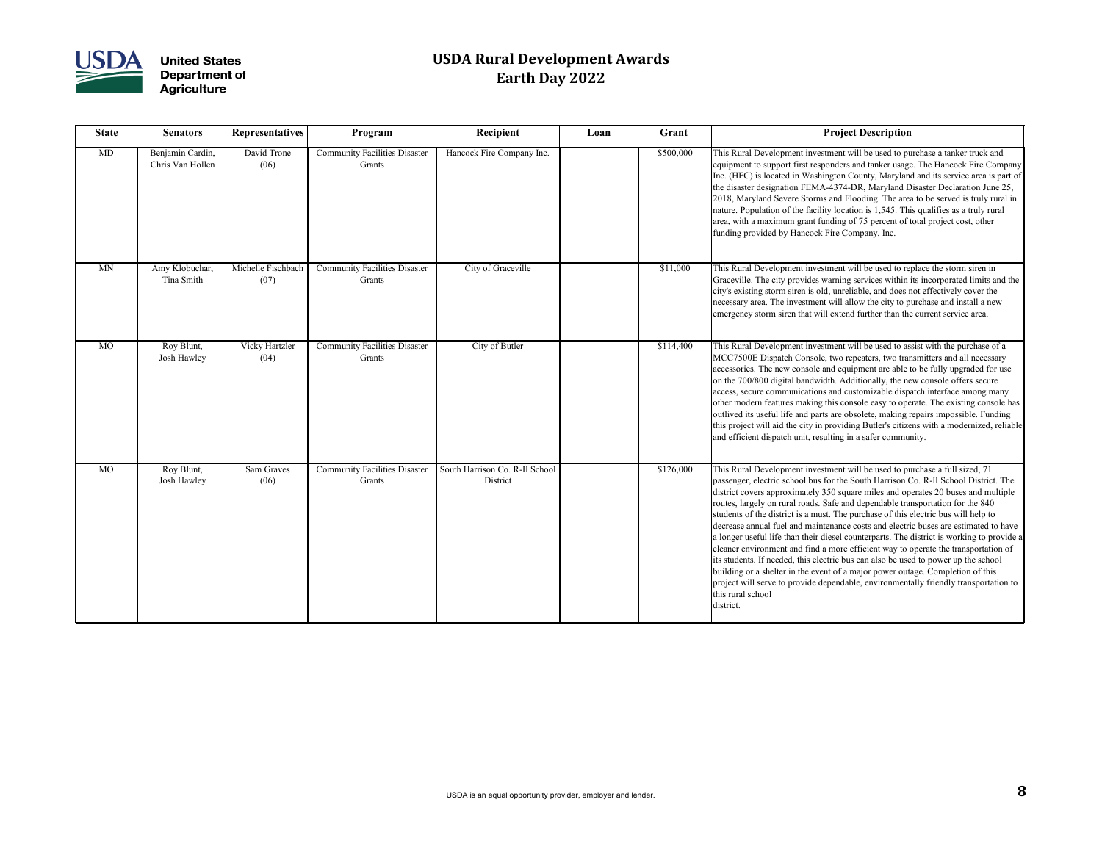

| <b>State</b> | <b>Senators</b>                      | <b>Representatives</b>     | Program                                        | Recipient                                  | Loan | Grant     | <b>Project Description</b>                                                                                                                                                                                                                                                                                                                                                                                                                                                                                                                                                                                                                                                                                                                                                                                                                                                                                                                                                                                  |
|--------------|--------------------------------------|----------------------------|------------------------------------------------|--------------------------------------------|------|-----------|-------------------------------------------------------------------------------------------------------------------------------------------------------------------------------------------------------------------------------------------------------------------------------------------------------------------------------------------------------------------------------------------------------------------------------------------------------------------------------------------------------------------------------------------------------------------------------------------------------------------------------------------------------------------------------------------------------------------------------------------------------------------------------------------------------------------------------------------------------------------------------------------------------------------------------------------------------------------------------------------------------------|
| MD           | Benjamin Cardin,<br>Chris Van Hollen | David Trone<br>(06)        | <b>Community Facilities Disaster</b><br>Grants | Hancock Fire Company Inc.                  |      | \$500,000 | This Rural Development investment will be used to purchase a tanker truck and<br>equipment to support first responders and tanker usage. The Hancock Fire Company<br>Inc. (HFC) is located in Washington County, Maryland and its service area is part of<br>the disaster designation FEMA-4374-DR, Maryland Disaster Declaration June 25,<br>2018, Maryland Severe Storms and Flooding. The area to be served is truly rural in<br>nature. Population of the facility location is 1,545. This qualifies as a truly rural<br>area, with a maximum grant funding of 75 percent of total project cost, other<br>funding provided by Hancock Fire Company, Inc.                                                                                                                                                                                                                                                                                                                                                |
| <b>MN</b>    | Amy Klobuchar,<br>Tina Smith         | Michelle Fischbach<br>(07) | <b>Community Facilities Disaster</b><br>Grants | City of Graceville                         |      | \$11,000  | This Rural Development investment will be used to replace the storm siren in<br>Graceville. The city provides warning services within its incorporated limits and the<br>city's existing storm siren is old, unreliable, and does not effectively cover the<br>necessary area. The investment will allow the city to purchase and install a new<br>emergency storm siren that will extend further than the current service area.                                                                                                                                                                                                                                                                                                                                                                                                                                                                                                                                                                            |
| <b>MO</b>    | Roy Blunt,<br>Josh Hawley            | Vicky Hartzler<br>(04)     | <b>Community Facilities Disaster</b><br>Grants | City of Butler                             |      | \$114,400 | This Rural Development investment will be used to assist with the purchase of a<br>MCC7500E Dispatch Console, two repeaters, two transmitters and all necessary<br>accessories. The new console and equipment are able to be fully upgraded for use<br>on the 700/800 digital bandwidth. Additionally, the new console offers secure<br>access, secure communications and customizable dispatch interface among many<br>other modern features making this console easy to operate. The existing console has<br>outlived its useful life and parts are obsolete, making repairs impossible. Funding<br>this project will aid the city in providing Butler's citizens with a modernized, reliable<br>and efficient dispatch unit, resulting in a safer community.                                                                                                                                                                                                                                             |
| MO           | Roy Blunt,<br>Josh Hawley            | Sam Graves<br>(06)         | <b>Community Facilities Disaster</b><br>Grants | South Harrison Co. R-II School<br>District |      | \$126,000 | This Rural Development investment will be used to purchase a full sized, 71<br>passenger, electric school bus for the South Harrison Co. R-II School District. The<br>district covers approximately 350 square miles and operates 20 buses and multiple<br>routes, largely on rural roads. Safe and dependable transportation for the 840<br>students of the district is a must. The purchase of this electric bus will help to<br>decrease annual fuel and maintenance costs and electric buses are estimated to have<br>a longer useful life than their diesel counterparts. The district is working to provide a<br>cleaner environment and find a more efficient way to operate the transportation of<br>its students. If needed, this electric bus can also be used to power up the school<br>building or a shelter in the event of a major power outage. Completion of this<br>project will serve to provide dependable, environmentally friendly transportation to<br>this rural school<br>district. |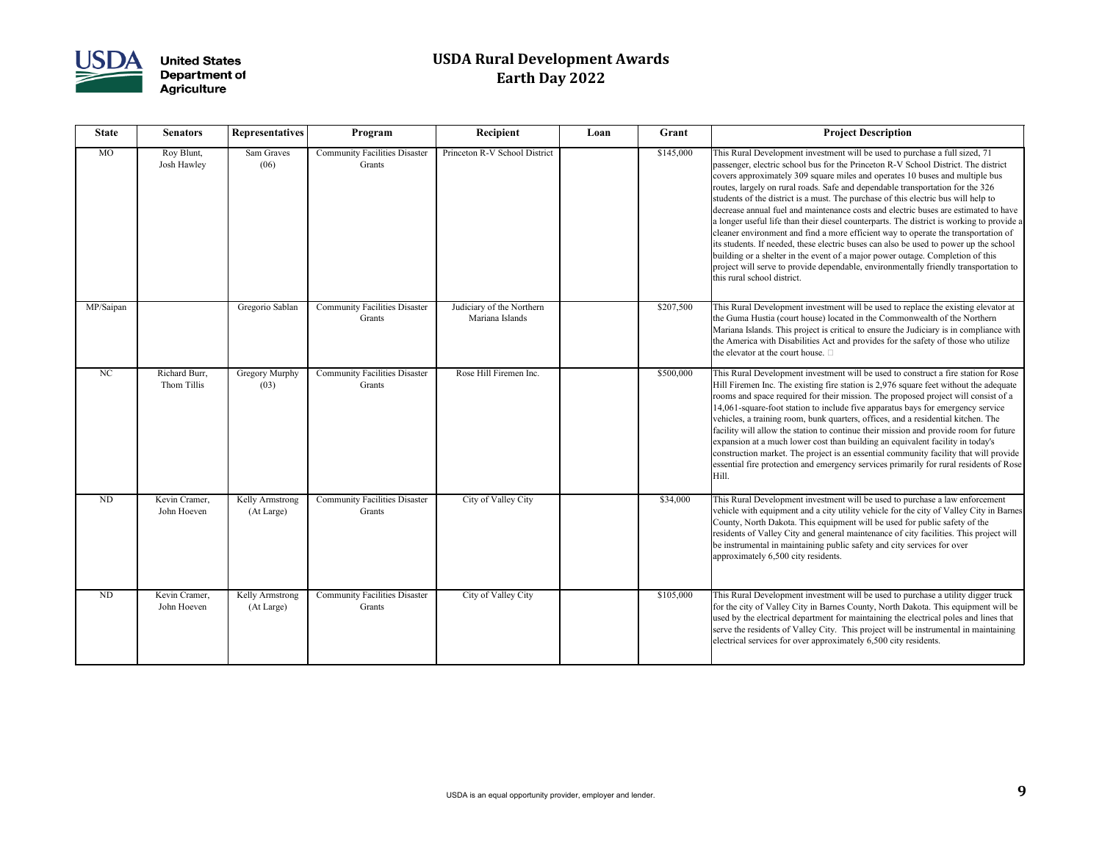

| <b>State</b> | <b>Senators</b>              | <b>Representatives</b>        | Program                                        | Recipient                                    | Loan | Grant     | <b>Project Description</b>                                                                                                                                                                                                                                                                                                                                                                                                                                                                                                                                                                                                                                                                      |
|--------------|------------------------------|-------------------------------|------------------------------------------------|----------------------------------------------|------|-----------|-------------------------------------------------------------------------------------------------------------------------------------------------------------------------------------------------------------------------------------------------------------------------------------------------------------------------------------------------------------------------------------------------------------------------------------------------------------------------------------------------------------------------------------------------------------------------------------------------------------------------------------------------------------------------------------------------|
| <b>MO</b>    | Roy Blunt,<br>Josh Hawley    | Sam Graves<br>(06)            | <b>Community Facilities Disaster</b><br>Grants | Princeton R-V School District                |      | \$145,000 | This Rural Development investment will be used to pu<br>passenger, electric school bus for the Princeton R-V S<br>covers approximately 309 square miles and operates 1<br>routes, largely on rural roads. Safe and dependable trai<br>students of the district is a must. The purchase of this<br>decrease annual fuel and maintenance costs and electri<br>a longer useful life than their diesel counterparts. The<br>cleaner environment and find a more efficient way to o<br>its students. If needed, these electric buses can also be<br>building or a shelter in the event of a major power outa<br>project will serve to provide dependable, environment<br>this rural school district. |
| MP/Saipan    |                              | Gregorio Sablan               | <b>Community Facilities Disaster</b><br>Grants | Judiciary of the Northern<br>Mariana Islands |      | \$207,500 | This Rural Development investment will be used to re<br>the Guma Hustia (court house) located in the Commor<br>Mariana Islands. This project is critical to ensure the Ju<br>the America with Disabilities Act and provides for the<br>the elevator at the court house. $\square$                                                                                                                                                                                                                                                                                                                                                                                                               |
| NC           | Richard Burr,<br>Thom Tillis | <b>Gregory Murphy</b><br>(03) | <b>Community Facilities Disaster</b><br>Grants | Rose Hill Firemen Inc.                       |      | \$500,000 | This Rural Development investment will be used to co<br>Hill Firemen Inc. The existing fire station is 2,976 squ<br>rooms and space required for their mission. The propo<br>14,061-square-foot station to include five apparatus ba<br>vehicles, a training room, bunk quarters, offices, and a<br>facility will allow the station to continue their mission<br>expansion at a much lower cost than building an equiv<br>construction market. The project is an essential commu<br>essential fire protection and emergency services prima<br>Hill.                                                                                                                                             |
| ND           | Kevin Cramer,<br>John Hoeven | Kelly Armstrong<br>(At Large) | <b>Community Facilities Disaster</b><br>Grants | City of Valley City                          |      | \$34,000  | This Rural Development investment will be used to pu<br>vehicle with equipment and a city utility vehicle for th<br>County, North Dakota. This equipment will be used fo<br>residents of Valley City and general maintenance of ci<br>be instrumental in maintaining public safety and city s<br>approximately 6,500 city residents.                                                                                                                                                                                                                                                                                                                                                            |
| ND           | Kevin Cramer,<br>John Hoeven | Kelly Armstrong<br>(At Large) | <b>Community Facilities Disaster</b><br>Grants | City of Valley City                          |      | \$105,000 | This Rural Development investment will be used to pu<br>for the city of Valley City in Barnes County, North Da<br>used by the electrical department for maintaining the e<br>serve the residents of Valley City. This project will be<br>electrical services for over approximately 6,500 city re                                                                                                                                                                                                                                                                                                                                                                                               |

| <b>Recipient</b>                             | Loan | Grant     | <b>Project Description</b>                                                                                                                                                                                                                                                                                                                                                                                                                                                                                                                                                                                                                                                                                                                                                                                                                                                                                                                                                                            |
|----------------------------------------------|------|-----------|-------------------------------------------------------------------------------------------------------------------------------------------------------------------------------------------------------------------------------------------------------------------------------------------------------------------------------------------------------------------------------------------------------------------------------------------------------------------------------------------------------------------------------------------------------------------------------------------------------------------------------------------------------------------------------------------------------------------------------------------------------------------------------------------------------------------------------------------------------------------------------------------------------------------------------------------------------------------------------------------------------|
| Princeton R-V School District                |      | \$145,000 | This Rural Development investment will be used to purchase a full sized, 71<br>passenger, electric school bus for the Princeton R-V School District. The district<br>covers approximately 309 square miles and operates 10 buses and multiple bus<br>routes, largely on rural roads. Safe and dependable transportation for the 326<br>students of the district is a must. The purchase of this electric bus will help to<br>decrease annual fuel and maintenance costs and electric buses are estimated to have<br>a longer useful life than their diesel counterparts. The district is working to provide a<br>cleaner environment and find a more efficient way to operate the transportation of<br>its students. If needed, these electric buses can also be used to power up the school<br>building or a shelter in the event of a major power outage. Completion of this<br>project will serve to provide dependable, environmentally friendly transportation to<br>this rural school district. |
| Judiciary of the Northern<br>Mariana Islands |      | \$207,500 | This Rural Development investment will be used to replace the existing elevator at<br>the Guma Hustia (court house) located in the Commonwealth of the Northern<br>Mariana Islands. This project is critical to ensure the Judiciary is in compliance with<br>the America with Disabilities Act and provides for the safety of those who utilize<br>the elevator at the court house. $\square$                                                                                                                                                                                                                                                                                                                                                                                                                                                                                                                                                                                                        |
| Rose Hill Firemen Inc.                       |      | \$500,000 | This Rural Development investment will be used to construct a fire station for Rose<br>Hill Firemen Inc. The existing fire station is 2,976 square feet without the adequate<br>rooms and space required for their mission. The proposed project will consist of a<br>14,061-square-foot station to include five apparatus bays for emergency service<br>vehicles, a training room, bunk quarters, offices, and a residential kitchen. The<br>facility will allow the station to continue their mission and provide room for future<br>expansion at a much lower cost than building an equivalent facility in today's<br>construction market. The project is an essential community facility that will provide<br>essential fire protection and emergency services primarily for rural residents of Rose<br>Hill.                                                                                                                                                                                     |
| City of Valley City                          |      | \$34,000  | This Rural Development investment will be used to purchase a law enforcement<br>vehicle with equipment and a city utility vehicle for the city of Valley City in Barnes<br>County, North Dakota. This equipment will be used for public safety of the<br>residents of Valley City and general maintenance of city facilities. This project will<br>be instrumental in maintaining public safety and city services for over<br>approximately 6,500 city residents.                                                                                                                                                                                                                                                                                                                                                                                                                                                                                                                                     |
| City of Valley City                          |      | \$105,000 | This Rural Development investment will be used to purchase a utility digger truck<br>for the city of Valley City in Barnes County, North Dakota. This equipment will be<br>used by the electrical department for maintaining the electrical poles and lines that<br>serve the residents of Valley City. This project will be instrumental in maintaining<br>electrical services for over approximately 6,500 city residents.                                                                                                                                                                                                                                                                                                                                                                                                                                                                                                                                                                          |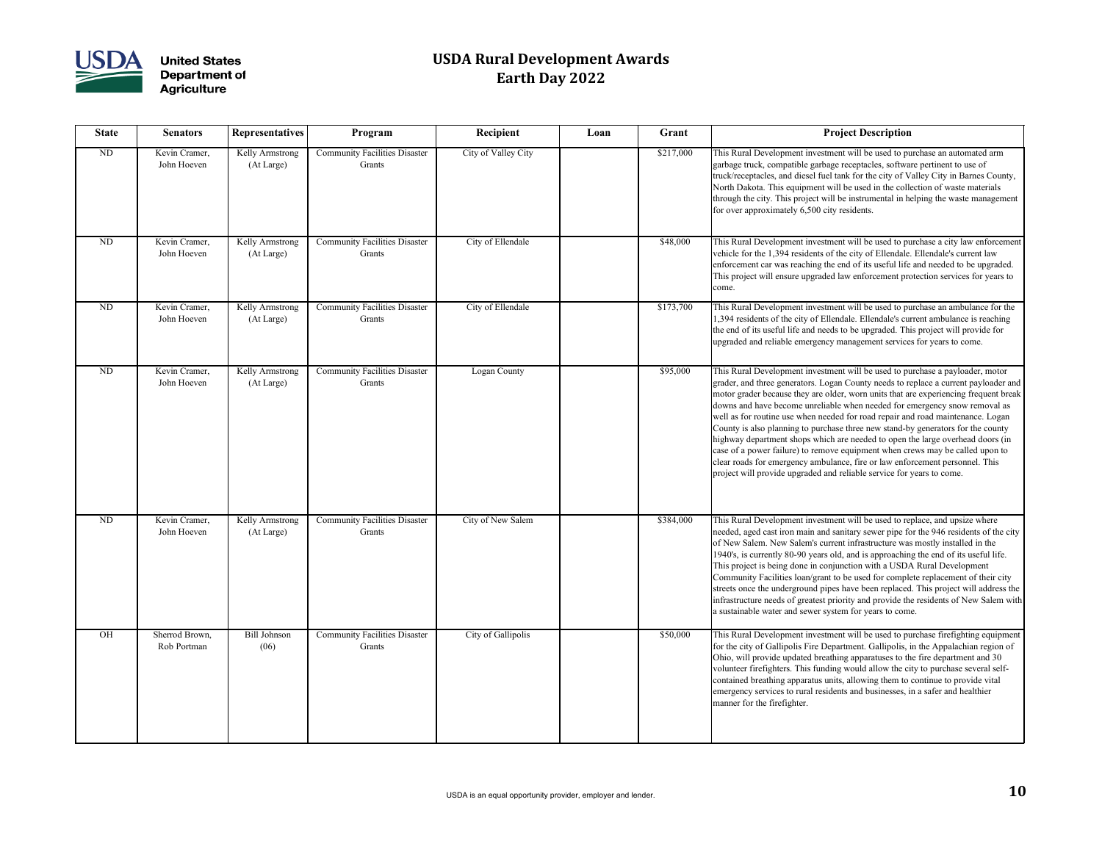

| <b>State</b> | <b>Senators</b>               | <b>Representatives</b>        | Program                                        | Recipient           | Loan     | Grant     | <b>Project Description</b>                                                                                                                                                                                                                                                                                                                                                                                                                                                                                                                                                             |
|--------------|-------------------------------|-------------------------------|------------------------------------------------|---------------------|----------|-----------|----------------------------------------------------------------------------------------------------------------------------------------------------------------------------------------------------------------------------------------------------------------------------------------------------------------------------------------------------------------------------------------------------------------------------------------------------------------------------------------------------------------------------------------------------------------------------------------|
| ND           | Kevin Cramer,<br>John Hoeven  | Kelly Armstrong<br>(At Large) | <b>Community Facilities Disaster</b><br>Grants | City of Valley City |          | \$217,000 | This Rural Development investment will be used to pu<br>garbage truck, compatible garbage receptacles, softwar<br>truck/receptacles, and diesel fuel tank for the city of V<br>North Dakota. This equipment will be used in the colle<br>through the city. This project will be instrumental in he<br>for over approximately 6,500 city residents.                                                                                                                                                                                                                                     |
| <b>ND</b>    | Kevin Cramer,<br>John Hoeven  | Kelly Armstrong<br>(At Large) | <b>Community Facilities Disaster</b><br>Grants | City of Ellendale   |          | \$48,000  | This Rural Development investment will be used to pu<br>vehicle for the 1,394 residents of the city of Ellendale.<br>enforcement car was reaching the end of its useful life<br>This project will ensure upgraded law enforcement pro<br>come.                                                                                                                                                                                                                                                                                                                                         |
| ND           | Kevin Cramer,<br>John Hoeven  | Kelly Armstrong<br>(At Large) | <b>Community Facilities Disaster</b><br>Grants | City of Ellendale   |          | \$173,700 | This Rural Development investment will be used to pu<br>1,394 residents of the city of Ellendale. Ellendale's cur<br>the end of its useful life and needs to be upgraded. Thi<br>upgraded and reliable emergency management service                                                                                                                                                                                                                                                                                                                                                    |
| <b>ND</b>    | Kevin Cramer,<br>John Hoeven  | Kelly Armstrong<br>(At Large) | <b>Community Facilities Disaster</b><br>Grants | Logan County        | \$95,000 |           | This Rural Development investment will be used to pu<br>grader, and three generators. Logan County needs to re<br>motor grader because they are older, worn units that an<br>downs and have become unreliable when needed for e<br>well as for routine use when needed for road repair and<br>County is also planning to purchase three new stand-by<br>highway department shops which are needed to open t<br>case of a power failure) to remove equipment when cr<br>clear roads for emergency ambulance, fire or law enfo<br>project will provide upgraded and reliable service for |
| <b>ND</b>    | Kevin Cramer,<br>John Hoeven  | Kelly Armstrong<br>(At Large) | Community Facilities Disaster<br>Grants        | City of New Salem   |          | \$384,000 | This Rural Development investment will be used to re<br>needed, aged cast iron main and sanitary sewer pipe fo<br>of New Salem. New Salem's current infrastructure was<br>1940's, is currently 80-90 years old, and is approachin<br>This project is being done in conjunction with a USD/<br>Community Facilities loan/grant to be used for comple<br>streets once the underground pipes have been replaced<br>infrastructure needs of greatest priority and provide the<br>a sustainable water and sewer system for years to com-                                                    |
| OH           | Sherrod Brown,<br>Rob Portman | <b>Bill Johnson</b><br>(06)   | <b>Community Facilities Disaster</b><br>Grants | City of Gallipolis  |          | \$50,000  | This Rural Development investment will be used to pu<br>for the city of Gallipolis Fire Department. Gallipolis, i<br>Ohio, will provide updated breathing apparatuses to th<br>volunteer firefighters. This funding would allow the ci<br>contained breathing apparatus units, allowing them to<br>emergency services to rural residents and businesses, i<br>manner for the firefighter.                                                                                                                                                                                              |

| Loan | Grant     | <b>Project Description</b>                                                                                                                                                                                                                                                                                                                                                                                                                                                                                                                                                                                                                                                                                                                                                                                                                    |
|------|-----------|-----------------------------------------------------------------------------------------------------------------------------------------------------------------------------------------------------------------------------------------------------------------------------------------------------------------------------------------------------------------------------------------------------------------------------------------------------------------------------------------------------------------------------------------------------------------------------------------------------------------------------------------------------------------------------------------------------------------------------------------------------------------------------------------------------------------------------------------------|
|      | \$217,000 | This Rural Development investment will be used to purchase an automated arm<br>garbage truck, compatible garbage receptacles, software pertinent to use of<br>truck/receptacles, and diesel fuel tank for the city of Valley City in Barnes County,<br>North Dakota. This equipment will be used in the collection of waste materials<br>through the city. This project will be instrumental in helping the waste management<br>for over approximately 6,500 city residents.                                                                                                                                                                                                                                                                                                                                                                  |
|      | \$48,000  | This Rural Development investment will be used to purchase a city law enforcement<br>vehicle for the 1,394 residents of the city of Ellendale. Ellendale's current law<br>enforcement car was reaching the end of its useful life and needed to be upgraded.<br>This project will ensure upgraded law enforcement protection services for years to<br>come.                                                                                                                                                                                                                                                                                                                                                                                                                                                                                   |
|      | \$173,700 | This Rural Development investment will be used to purchase an ambulance for the<br>1,394 residents of the city of Ellendale. Ellendale's current ambulance is reaching<br>the end of its useful life and needs to be upgraded. This project will provide for<br>upgraded and reliable emergency management services for years to come.                                                                                                                                                                                                                                                                                                                                                                                                                                                                                                        |
|      | \$95,000  | This Rural Development investment will be used to purchase a payloader, motor<br>grader, and three generators. Logan County needs to replace a current payloader and<br>motor grader because they are older, worn units that are experiencing frequent break<br>downs and have become unreliable when needed for emergency snow removal as<br>well as for routine use when needed for road repair and road maintenance. Logan<br>County is also planning to purchase three new stand-by generators for the county<br>highway department shops which are needed to open the large overhead doors (in<br>case of a power failure) to remove equipment when crews may be called upon to<br>clear roads for emergency ambulance, fire or law enforcement personnel. This<br>project will provide upgraded and reliable service for years to come. |
|      | \$384,000 | This Rural Development investment will be used to replace, and upsize where<br>needed, aged cast iron main and sanitary sewer pipe for the 946 residents of the city<br>of New Salem. New Salem's current infrastructure was mostly installed in the<br>1940's, is currently 80-90 years old, and is approaching the end of its useful life.<br>This project is being done in conjunction with a USDA Rural Development<br>Community Facilities loan/grant to be used for complete replacement of their city<br>streets once the underground pipes have been replaced. This project will address the<br>infrastructure needs of greatest priority and provide the residents of New Salem with<br>a sustainable water and sewer system for years to come.                                                                                      |
|      | \$50,000  | This Rural Development investment will be used to purchase firefighting equipment<br>for the city of Gallipolis Fire Department. Gallipolis, in the Appalachian region of<br>Ohio, will provide updated breathing apparatuses to the fire department and 30<br>volunteer firefighters. This funding would allow the city to purchase several self-<br>contained breathing apparatus units, allowing them to continue to provide vital<br>emergency services to rural residents and businesses, in a safer and healthier<br>manner for the firefighter.                                                                                                                                                                                                                                                                                        |
|      |           |                                                                                                                                                                                                                                                                                                                                                                                                                                                                                                                                                                                                                                                                                                                                                                                                                                               |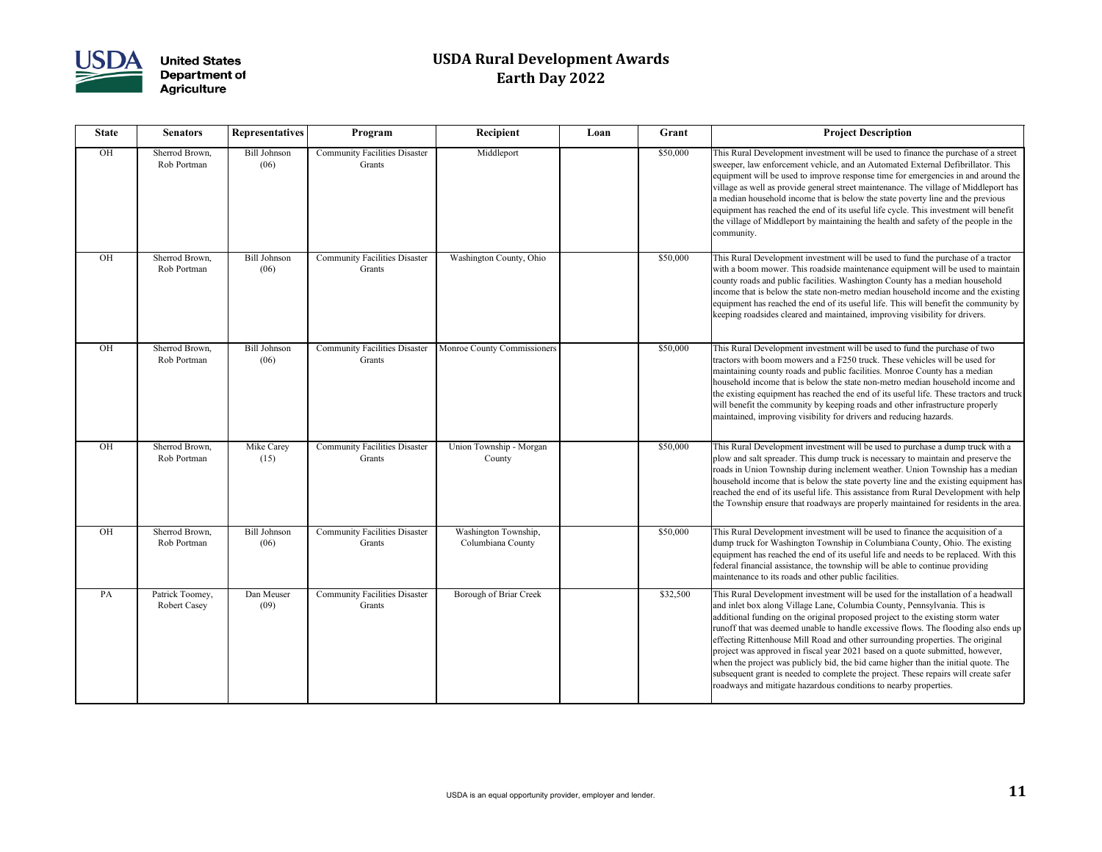

| <b>State</b> | <b>Senators</b>                        | <b>Representatives</b>      | Program                                        | Recipient                                 | Loan | Grant    | <b>Project Description</b>                                                                                                                                                                                                                                                                                                                                                                                                                                                                                                      |
|--------------|----------------------------------------|-----------------------------|------------------------------------------------|-------------------------------------------|------|----------|---------------------------------------------------------------------------------------------------------------------------------------------------------------------------------------------------------------------------------------------------------------------------------------------------------------------------------------------------------------------------------------------------------------------------------------------------------------------------------------------------------------------------------|
| OH           | Sherrod Brown,<br>Rob Portman          | <b>Bill Johnson</b><br>(06) | <b>Community Facilities Disaster</b><br>Grants | Middleport                                |      | \$50,000 | This Rural Development investment will be used to fir<br>sweeper, law enforcement vehicle, and an Automated<br>equipment will be used to improve response time for e<br>village as well as provide general street maintenance.<br>a median household income that is below the state pov<br>equipment has reached the end of its useful life cycle.<br>the village of Middleport by maintaining the health and<br>community.                                                                                                     |
| OH           | Sherrod Brown,<br>Rob Portman          | <b>Bill Johnson</b><br>(06) | <b>Community Facilities Disaster</b><br>Grants | Washington County, Ohio                   |      | \$50,000 | This Rural Development investment will be used to fu<br>with a boom mower. This roadside maintenance equip<br>county roads and public facilities. Washington County<br>income that is below the state non-metro median house<br>equipment has reached the end of its useful life. This v<br>keeping roadsides cleared and maintained, improving                                                                                                                                                                                 |
| OH           | Sherrod Brown,<br>Rob Portman          | <b>Bill Johnson</b><br>(06) | <b>Community Facilities Disaster</b><br>Grants | Monroe County Commissioners               |      | \$50,000 | This Rural Development investment will be used to fu<br>tractors with boom mowers and a F250 truck. These v<br>maintaining county roads and public facilities. Monroe<br>household income that is below the state non-metro m<br>the existing equipment has reached the end of its usefu<br>will benefit the community by keeping roads and other<br>maintained, improving visibility for drivers and reduci                                                                                                                    |
| OH           | Sherrod Brown,<br>Rob Portman          | Mike Carey<br>(15)          | <b>Community Facilities Disaster</b><br>Grants | Union Township - Morgan<br>County         |      | \$50,000 | This Rural Development investment will be used to pu<br>plow and salt spreader. This dump truck is necessary to<br>roads in Union Township during inclement weather. U<br>household income that is below the state poverty line a<br>reached the end of its useful life. This assistance from<br>the Township ensure that roadways are properly maint                                                                                                                                                                           |
| OH           | Sherrod Brown,<br>Rob Portman          | <b>Bill Johnson</b><br>(06) | <b>Community Facilities Disaster</b><br>Grants | Washington Township,<br>Columbiana County |      | \$50,000 | This Rural Development investment will be used to fir<br>dump truck for Washington Township in Columbiana<br>equipment has reached the end of its useful life and ne<br>federal financial assistance, the township will be able t<br>maintenance to its roads and other public facilities.                                                                                                                                                                                                                                      |
| PA           | Patrick Toomey,<br><b>Robert Casey</b> | Dan Meuser<br>(09)          | <b>Community Facilities Disaster</b><br>Grants | <b>Borough of Briar Creek</b>             |      | \$32,500 | This Rural Development investment will be used for tl<br>and inlet box along Village Lane, Columbia County, F<br>additional funding on the original proposed project to<br>runoff that was deemed unable to handle excessive flo<br>effecting Rittenhouse Mill Road and other surrounding<br>project was approved in fiscal year 2021 based on a qu<br>when the project was publicly bid, the bid came higher<br>subsequent grant is needed to complete the project. Th<br>roadways and mitigate hazardous conditions to nearby |

| Recipient                                 | Loan | Grant    | <b>Project Description</b>                                                                                                                                                                                                                                                                                                                                                                                                                                                                                                                                                                                                                                                                                                                                 |
|-------------------------------------------|------|----------|------------------------------------------------------------------------------------------------------------------------------------------------------------------------------------------------------------------------------------------------------------------------------------------------------------------------------------------------------------------------------------------------------------------------------------------------------------------------------------------------------------------------------------------------------------------------------------------------------------------------------------------------------------------------------------------------------------------------------------------------------------|
| Middleport                                |      | \$50,000 | This Rural Development investment will be used to finance the purchase of a street<br>sweeper, law enforcement vehicle, and an Automated External Defibrillator. This<br>equipment will be used to improve response time for emergencies in and around the<br>village as well as provide general street maintenance. The village of Middleport has<br>a median household income that is below the state poverty line and the previous<br>equipment has reached the end of its useful life cycle. This investment will benefit<br>the village of Middleport by maintaining the health and safety of the people in the<br>community.                                                                                                                         |
| Washington County, Ohio                   |      | \$50,000 | This Rural Development investment will be used to fund the purchase of a tractor<br>with a boom mower. This roadside maintenance equipment will be used to maintain<br>county roads and public facilities. Washington County has a median household<br>income that is below the state non-metro median household income and the existing<br>equipment has reached the end of its useful life. This will benefit the community by<br>keeping roadsides cleared and maintained, improving visibility for drivers.                                                                                                                                                                                                                                            |
| <b>Monroe County Commissioners</b>        |      | \$50,000 | This Rural Development investment will be used to fund the purchase of two<br>tractors with boom mowers and a F250 truck. These vehicles will be used for<br>maintaining county roads and public facilities. Monroe County has a median<br>household income that is below the state non-metro median household income and<br>the existing equipment has reached the end of its useful life. These tractors and truck<br>will benefit the community by keeping roads and other infrastructure properly<br>maintained, improving visibility for drivers and reducing hazards.                                                                                                                                                                                |
| Union Township - Morgan<br>County         |      | \$50,000 | This Rural Development investment will be used to purchase a dump truck with a<br>plow and salt spreader. This dump truck is necessary to maintain and preserve the<br>roads in Union Township during inclement weather. Union Township has a median<br>household income that is below the state poverty line and the existing equipment has<br>reached the end of its useful life. This assistance from Rural Development with help<br>the Township ensure that roadways are properly maintained for residents in the area.                                                                                                                                                                                                                               |
| Washington Township,<br>Columbiana County |      | \$50,000 | This Rural Development investment will be used to finance the acquisition of a<br>dump truck for Washington Township in Columbiana County, Ohio. The existing<br>equipment has reached the end of its useful life and needs to be replaced. With this<br>federal financial assistance, the township will be able to continue providing<br>maintenance to its roads and other public facilities.                                                                                                                                                                                                                                                                                                                                                            |
| <b>Borough of Briar Creek</b>             |      | \$32,500 | This Rural Development investment will be used for the installation of a headwall<br>and inlet box along Village Lane, Columbia County, Pennsylvania. This is<br>additional funding on the original proposed project to the existing storm water<br>runoff that was deemed unable to handle excessive flows. The flooding also ends up<br>effecting Rittenhouse Mill Road and other surrounding properties. The original<br>project was approved in fiscal year 2021 based on a quote submitted, however,<br>when the project was publicly bid, the bid came higher than the initial quote. The<br>subsequent grant is needed to complete the project. These repairs will create safer<br>roadways and mitigate hazardous conditions to nearby properties. |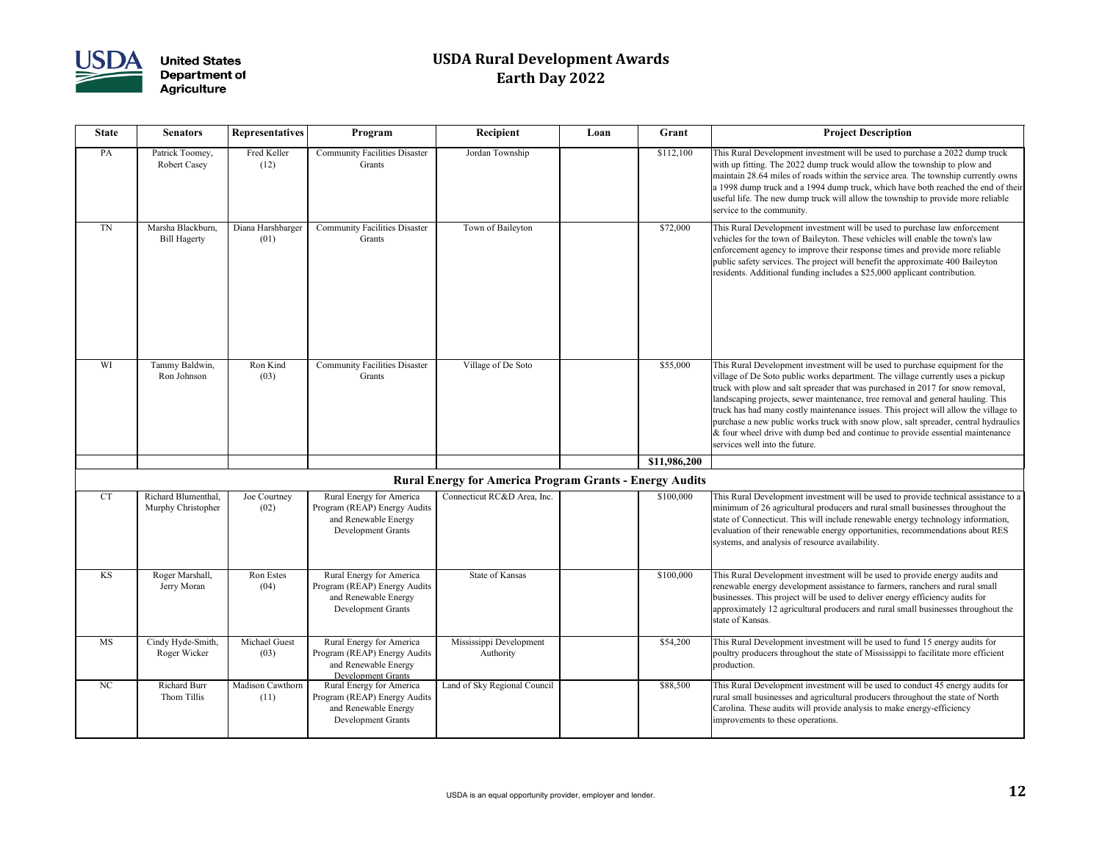

| <b>State</b> | <b>Senators</b>                           | Recipient<br>Grant<br><b>Representatives</b><br>Program<br>Loan |                                                                                                               | <b>Project Description</b>                                     |           |              |                                                                                                                                                                                                                                                                                                                                                                                                                                                |
|--------------|-------------------------------------------|-----------------------------------------------------------------|---------------------------------------------------------------------------------------------------------------|----------------------------------------------------------------|-----------|--------------|------------------------------------------------------------------------------------------------------------------------------------------------------------------------------------------------------------------------------------------------------------------------------------------------------------------------------------------------------------------------------------------------------------------------------------------------|
| PA           | Patrick Toomey,<br><b>Robert Casey</b>    | Fred Keller<br>(12)                                             | <b>Community Facilities Disaster</b><br>Grants                                                                | Jordan Township                                                | \$112,100 |              | This Rural Development investment will be used to pu<br>with up fitting. The 2022 dump truck would allow the<br>maintain 28.64 miles of roads within the service area.<br>a 1998 dump truck and a 1994 dump truck, which hav<br>useful life. The new dump truck will allow the townsh<br>service to the community.                                                                                                                             |
| TN           | Marsha Blackburn,<br><b>Bill Hagerty</b>  | Diana Harshbarger<br>(01)                                       | <b>Community Facilities Disaster</b><br>Grants                                                                | Town of Baileyton                                              |           | \$72,000     | This Rural Development investment will be used to pu<br>vehicles for the town of Baileyton. These vehicles will<br>enforcement agency to improve their response times a<br>public safety services. The project will benefit the app<br>residents. Additional funding includes a \$25,000 appli                                                                                                                                                 |
| <b>WI</b>    | Tammy Baldwin,<br>Ron Johnson             | Ron Kind<br>(03)                                                | <b>Community Facilities Disaster</b><br>Grants                                                                | Village of De Soto                                             |           | \$55,000     | This Rural Development investment will be used to pu<br>village of De Soto public works department. The villa;<br>truck with plow and salt spreader that was purchased i:<br>landscaping projects, sewer maintenance, tree removal<br>truck has had many costly maintenance issues. This pro<br>purchase a new public works truck with snow plow, sa<br>& four wheel drive with dump bed and continue to pro<br>services well into the future. |
|              |                                           |                                                                 |                                                                                                               |                                                                |           | \$11,986,200 |                                                                                                                                                                                                                                                                                                                                                                                                                                                |
|              |                                           |                                                                 |                                                                                                               | <b>Rural Energy for America Program Grants - Energy Audits</b> |           |              |                                                                                                                                                                                                                                                                                                                                                                                                                                                |
| <b>CT</b>    | Richard Blumenthal,<br>Murphy Christopher | Joe Courtney<br>(02)                                            | Rural Energy for America<br>Program (REAP) Energy Audits<br>and Renewable Energy<br>Development Grants        | Connecticut RC&D Area, Inc.                                    |           | \$100,000    | This Rural Development investment will be used to pr<br>minimum of 26 agricultural producers and rural small<br>state of Connecticut. This will include renewable energ<br>evaluation of their renewable energy opportunities, rec<br>systems, and analysis of resource availability.                                                                                                                                                          |
| KS           | Roger Marshall,<br>Jerry Moran            | Ron Estes<br>(04)                                               | Rural Energy for America<br>Program (REAP) Energy Audits<br>and Renewable Energy<br>Development Grants        | State of Kansas                                                |           | \$100,000    | This Rural Development investment will be used to pr<br>renewable energy development assistance to farmers, 1<br>businesses. This project will be used to deliver energy<br>approximately 12 agricultural producers and rural sma<br>state of Kansas.                                                                                                                                                                                          |
| <b>MS</b>    | Cindy Hyde-Smith,<br>Roger Wicker         | Michael Guest<br>(03)                                           | Rural Energy for America<br>Program (REAP) Energy Audits<br>and Renewable Energy<br><b>Development Grants</b> | Mississippi Development<br>Authority                           |           | \$54,200     | This Rural Development investment will be used to fu<br>poultry producers throughout the state of Mississippi t<br>production.                                                                                                                                                                                                                                                                                                                 |
| NC           | <b>Richard Burr</b><br>Thom Tillis        | Madison Cawthorn<br>(11)                                        | Rural Energy for America<br>Program (REAP) Energy Audits<br>and Renewable Energy<br>Development Grants        | Land of Sky Regional Council                                   |           | \$88,500     | This Rural Development investment will be used to co<br>rural small businesses and agricultural producers throu<br>Carolina. These audits will provide analysis to make e<br>improvements to these operations.                                                                                                                                                                                                                                 |

| Recipient                                       | Loan | Grant        | <b>Project Description</b>                                                                                                                                                                                                                                                                                                                                                                                                                                                                                                                                                                                                              |
|-------------------------------------------------|------|--------------|-----------------------------------------------------------------------------------------------------------------------------------------------------------------------------------------------------------------------------------------------------------------------------------------------------------------------------------------------------------------------------------------------------------------------------------------------------------------------------------------------------------------------------------------------------------------------------------------------------------------------------------------|
| Jordan Township                                 |      | \$112,100    | This Rural Development investment will be used to purchase a 2022 dump truck<br>with up fitting. The 2022 dump truck would allow the township to plow and<br>maintain 28.64 miles of roads within the service area. The township currently owns<br>a 1998 dump truck and a 1994 dump truck, which have both reached the end of their<br>useful life. The new dump truck will allow the township to provide more reliable<br>service to the community.                                                                                                                                                                                   |
| Town of Baileyton                               |      | \$72,000     | This Rural Development investment will be used to purchase law enforcement<br>vehicles for the town of Baileyton. These vehicles will enable the town's law<br>enforcement agency to improve their response times and provide more reliable<br>public safety services. The project will benefit the approximate 400 Baileyton<br>residents. Additional funding includes a \$25,000 applicant contribution.                                                                                                                                                                                                                              |
| Village of De Soto                              |      | \$55,000     | This Rural Development investment will be used to purchase equipment for the<br>village of De Soto public works department. The village currently uses a pickup<br>truck with plow and salt spreader that was purchased in 2017 for snow removal,<br>landscaping projects, sewer maintenance, tree removal and general hauling. This<br>truck has had many costly maintenance issues. This project will allow the village to<br>purchase a new public works truck with snow plow, salt spreader, central hydraulics<br>& four wheel drive with dump bed and continue to provide essential maintenance<br>services well into the future. |
|                                                 |      | \$11,986,200 |                                                                                                                                                                                                                                                                                                                                                                                                                                                                                                                                                                                                                                         |
| ergy for America Program Grants - Energy Audits |      |              |                                                                                                                                                                                                                                                                                                                                                                                                                                                                                                                                                                                                                                         |
| Connecticut RC&D Area, Inc.                     |      | \$100,000    | This Rural Development investment will be used to provide technical assistance to a<br>minimum of 26 agricultural producers and rural small businesses throughout the<br>state of Connecticut. This will include renewable energy technology information,<br>evaluation of their renewable energy opportunities, recommendations about RES<br>systems, and analysis of resource availability.                                                                                                                                                                                                                                           |
| <b>State of Kansas</b>                          |      | \$100,000    | This Rural Development investment will be used to provide energy audits and<br>renewable energy development assistance to farmers, ranchers and rural small<br>businesses. This project will be used to deliver energy efficiency audits for<br>approximately 12 agricultural producers and rural small businesses throughout the<br>state of Kansas.                                                                                                                                                                                                                                                                                   |
| Mississippi Development<br>Authority            |      | \$54,200     | This Rural Development investment will be used to fund 15 energy audits for<br>poultry producers throughout the state of Mississippi to facilitate more efficient<br>production.                                                                                                                                                                                                                                                                                                                                                                                                                                                        |
| Land of Sky Regional Council                    |      | \$88,500     | This Rural Development investment will be used to conduct 45 energy audits for<br>rural small businesses and agricultural producers throughout the state of North<br>Carolina. These audits will provide analysis to make energy-efficiency<br>improvements to these operations.                                                                                                                                                                                                                                                                                                                                                        |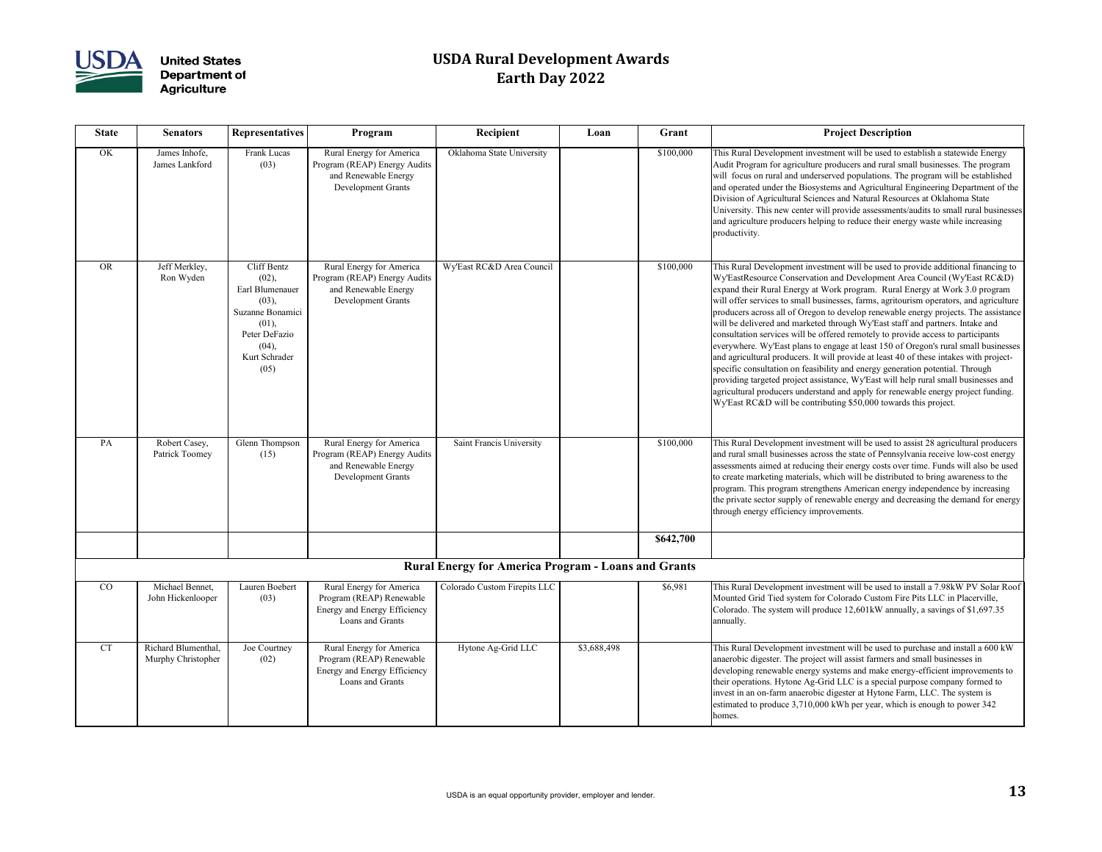

| Recipient                                            | Loan        | Grant     | <b>Project Description</b>                                                                                                                                                                                                                                                                                                                                                                                                                                                                                                                                                                                                                                                                                                                                                                                                                                                                                                                                                                                                                                                                                           |
|------------------------------------------------------|-------------|-----------|----------------------------------------------------------------------------------------------------------------------------------------------------------------------------------------------------------------------------------------------------------------------------------------------------------------------------------------------------------------------------------------------------------------------------------------------------------------------------------------------------------------------------------------------------------------------------------------------------------------------------------------------------------------------------------------------------------------------------------------------------------------------------------------------------------------------------------------------------------------------------------------------------------------------------------------------------------------------------------------------------------------------------------------------------------------------------------------------------------------------|
| Oklahoma State University                            |             | \$100,000 | This Rural Development investment will be used to establish a statewide Energy<br>Audit Program for agriculture producers and rural small businesses. The program<br>will focus on rural and underserved populations. The program will be established<br>and operated under the Biosystems and Agricultural Engineering Department of the<br>Division of Agricultural Sciences and Natural Resources at Oklahoma State<br>University. This new center will provide assessments/audits to small rural businesses<br>and agriculture producers helping to reduce their energy waste while increasing<br>productivity.                                                                                                                                                                                                                                                                                                                                                                                                                                                                                                  |
| Wy'East RC&D Area Council                            |             | \$100,000 | This Rural Development investment will be used to provide additional financing to<br>Wy'EastResource Conservation and Development Area Council (Wy'East RC&D)<br>expand their Rural Energy at Work program. Rural Energy at Work 3.0 program<br>will offer services to small businesses, farms, agritourism operators, and agriculture<br>producers across all of Oregon to develop renewable energy projects. The assistance<br>will be delivered and marketed through Wy'East staff and partners. Intake and<br>consultation services will be offered remotely to provide access to participants<br>everywhere. Wy'East plans to engage at least 150 of Oregon's rural small businesses<br>and agricultural producers. It will provide at least 40 of these intakes with project-<br>specific consultation on feasibility and energy generation potential. Through<br>providing targeted project assistance, Wy'East will help rural small businesses and<br>agricultural producers understand and apply for renewable energy project funding.<br>Wy'East RC&D will be contributing \$50,000 towards this project. |
| Saint Francis University                             |             | \$100,000 | This Rural Development investment will be used to assist 28 agricultural producers<br>and rural small businesses across the state of Pennsylvania receive low-cost energy<br>assessments aimed at reducing their energy costs over time. Funds will also be used<br>to create marketing materials, which will be distributed to bring awareness to the<br>program. This program strengthens American energy independence by increasing<br>the private sector supply of renewable energy and decreasing the demand for energy<br>through energy efficiency improvements.                                                                                                                                                                                                                                                                                                                                                                                                                                                                                                                                              |
|                                                      |             | \$642,700 |                                                                                                                                                                                                                                                                                                                                                                                                                                                                                                                                                                                                                                                                                                                                                                                                                                                                                                                                                                                                                                                                                                                      |
| <b>Energy for America Program - Loans and Grants</b> |             |           |                                                                                                                                                                                                                                                                                                                                                                                                                                                                                                                                                                                                                                                                                                                                                                                                                                                                                                                                                                                                                                                                                                                      |
| Colorado Custom Firepits LLC                         |             | \$6,981   | This Rural Development investment will be used to install a 7.98kW PV Solar Roof<br>Mounted Grid Tied system for Colorado Custom Fire Pits LLC in Placerville,<br>Colorado. The system will produce 12,601kW annually, a savings of \$1,697.35<br>annually.                                                                                                                                                                                                                                                                                                                                                                                                                                                                                                                                                                                                                                                                                                                                                                                                                                                          |
| Hytone Ag-Grid LLC                                   | \$3,688,498 |           | This Rural Development investment will be used to purchase and install a 600 kW<br>anaerobic digester. The project will assist farmers and small businesses in<br>developing renewable energy systems and make energy-efficient improvements to<br>their operations. Hytone Ag-Grid LLC is a special purpose company formed to<br>invest in an on-farm anaerobic digester at Hytone Farm, LLC. The system is<br>estimated to produce 3,710,000 kWh per year, which is enough to power 342<br>homes.                                                                                                                                                                                                                                                                                                                                                                                                                                                                                                                                                                                                                  |

| <b>State</b> | <b>Senators</b>                           | <b>Representatives</b>                                                                                                                  | Program                                                                                                       | Recipient                                                  | Loan        | Grant     | <b>Project Description</b>                                                                                                                                                                                                                                                                                                                                                                                                                                                                                                                                                                                                                                                                                                                                             |
|--------------|-------------------------------------------|-----------------------------------------------------------------------------------------------------------------------------------------|---------------------------------------------------------------------------------------------------------------|------------------------------------------------------------|-------------|-----------|------------------------------------------------------------------------------------------------------------------------------------------------------------------------------------------------------------------------------------------------------------------------------------------------------------------------------------------------------------------------------------------------------------------------------------------------------------------------------------------------------------------------------------------------------------------------------------------------------------------------------------------------------------------------------------------------------------------------------------------------------------------------|
| OK           | James Inhofe,<br>James Lankford           | Frank Lucas<br>(03)                                                                                                                     | Rural Energy for America<br>Program (REAP) Energy Audits<br>and Renewable Energy<br>Development Grants        | Oklahoma State University                                  |             | \$100,000 | This Rural Development investment will be used to es<br>Audit Program for agriculture producers and rural sma<br>will focus on rural and underserved populations. The<br>and operated under the Biosystems and Agricultural E.<br>Division of Agricultural Sciences and Natural Resourc<br>University. This new center will provide assessments/a<br>and agriculture producers helping to reduce their energ<br>productivity.                                                                                                                                                                                                                                                                                                                                          |
| <b>OR</b>    | Jeff Merkley,<br>Ron Wyden                | <b>Cliff Bentz</b><br>(02),<br>Earl Blumenauer<br>(03),<br>Suzanne Bonamici<br>(01),<br>Peter DeFazio<br>(04),<br>Kurt Schrader<br>(05) | Rural Energy for America<br>Program (REAP) Energy Audits<br>and Renewable Energy<br><b>Development Grants</b> | Wy'East RC&D Area Council                                  |             | \$100,000 | This Rural Development investment will be used to pr<br>Wy'EastResource Conservation and Development Are<br>expand their Rural Energy at Work program. Rural Ei<br>will offer services to small businesses, farms, agritouri<br>producers across all of Oregon to develop renewable e<br>will be delivered and marketed through Wy'East staff a<br>consultation services will be offered remotely to provi<br>everywhere. Wy'East plans to engage at least 150 of O<br>and agricultural producers. It will provide at least 40 o<br>specific consultation on feasibility and energy generati<br>providing targeted project assistance, Wy'East will hel<br>agricultural producers understand and apply for renew<br>Wy'East RC&D will be contributing \$50,000 towards |
| PA           | Robert Casey,<br>Patrick Toomey           | Glenn Thompson<br>(15)                                                                                                                  | Rural Energy for America<br>Program (REAP) Energy Audits<br>and Renewable Energy<br><b>Development Grants</b> | Saint Francis University                                   |             | \$100,000 | This Rural Development investment will be used to as<br>and rural small businesses across the state of Pennsylv<br>assessments aimed at reducing their energy costs over<br>to create marketing materials, which will be distributed<br>program. This program strengthens American energy i<br>the private sector supply of renewable energy and decr<br>through energy efficiency improvements.                                                                                                                                                                                                                                                                                                                                                                       |
|              |                                           |                                                                                                                                         |                                                                                                               |                                                            |             | \$642,700 |                                                                                                                                                                                                                                                                                                                                                                                                                                                                                                                                                                                                                                                                                                                                                                        |
|              |                                           |                                                                                                                                         |                                                                                                               | <b>Rural Energy for America Program - Loans and Grants</b> |             |           |                                                                                                                                                                                                                                                                                                                                                                                                                                                                                                                                                                                                                                                                                                                                                                        |
| CO           | Michael Bennet,<br>John Hickenlooper      | Lauren Boebert<br>(03)                                                                                                                  | Rural Energy for America<br>Program (REAP) Renewable<br>Energy and Energy Efficiency<br>Loans and Grants      | Colorado Custom Firepits LLC                               |             | \$6,981   | This Rural Development investment will be used to in<br>Mounted Grid Tied system for Colorado Custom Fire<br>Colorado. The system will produce 12,601kW annuall<br>annually.                                                                                                                                                                                                                                                                                                                                                                                                                                                                                                                                                                                           |
| <b>CT</b>    | Richard Blumenthal,<br>Murphy Christopher | Joe Courtney<br>(02)                                                                                                                    | Rural Energy for America<br>Program (REAP) Renewable<br>Energy and Energy Efficiency<br>Loans and Grants      | Hytone Ag-Grid LLC                                         | \$3,688,498 |           | This Rural Development investment will be used to pu<br>anaerobic digester. The project will assist farmers and<br>developing renewable energy systems and make energ<br>their operations. Hytone Ag-Grid LLC is a special pur<br>invest in an on-farm anaerobic digester at Hytone Farn<br>estimated to produce 3,710,000 kWh per year, which i<br>homes.                                                                                                                                                                                                                                                                                                                                                                                                             |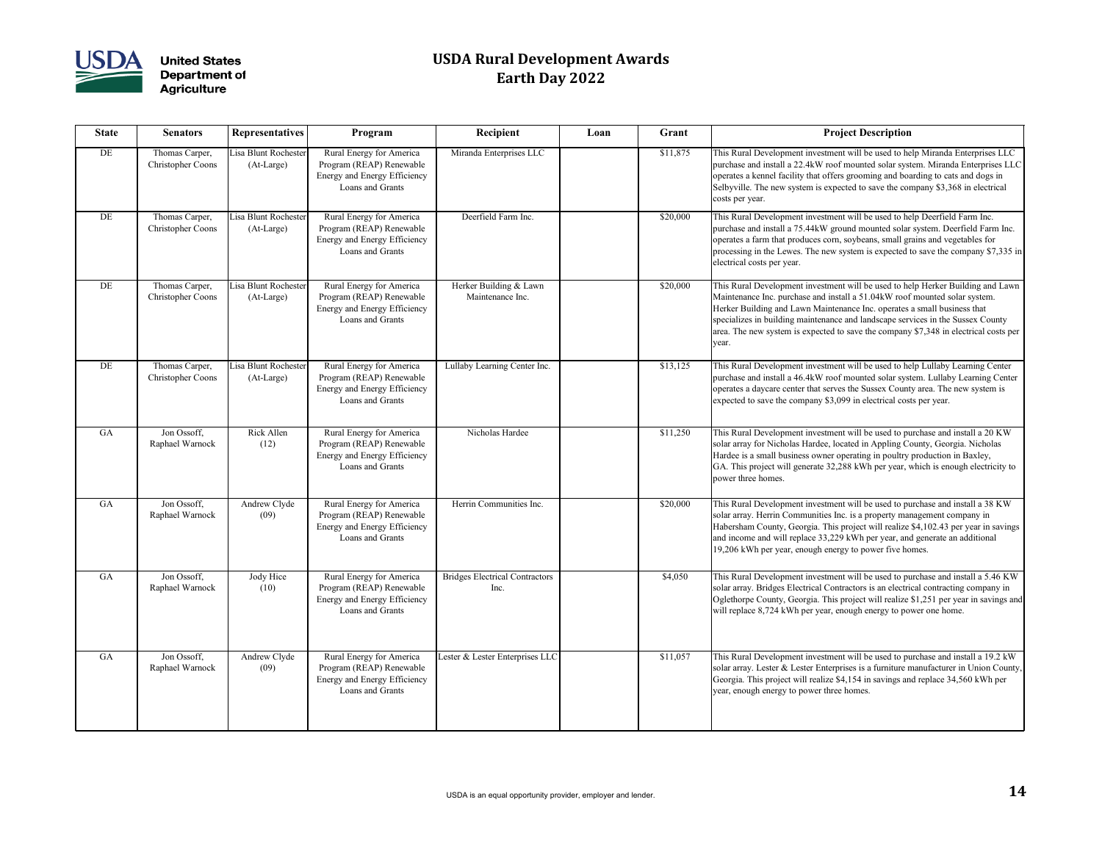

| <b>State</b> | <b>Senators</b>                            | <b>Representatives</b>             | Program                                                                                                  | Recipient                                     | Loan | Grant    | <b>Project Description</b>                                                                                                                                                                                                                                                                    |
|--------------|--------------------------------------------|------------------------------------|----------------------------------------------------------------------------------------------------------|-----------------------------------------------|------|----------|-----------------------------------------------------------------------------------------------------------------------------------------------------------------------------------------------------------------------------------------------------------------------------------------------|
| DE           | Thomas Carper,<br><b>Christopher Coons</b> | Lisa Blunt Rochester<br>(At-Large) | Rural Energy for America<br>Program (REAP) Renewable<br>Energy and Energy Efficiency<br>Loans and Grants | Miranda Enterprises LLC                       |      | \$11,875 | This Rural Development investment will be used to he<br>purchase and install a 22.4kW roof mounted solar syst<br>operates a kennel facility that offers grooming and boa<br>Selbyville. The new system is expected to save the cor<br>costs per year.                                         |
| DE           | Thomas Carper,<br><b>Christopher Coons</b> | Lisa Blunt Rochester<br>(At-Large) | Rural Energy for America<br>Program (REAP) Renewable<br>Energy and Energy Efficiency<br>Loans and Grants | Deerfield Farm Inc.                           |      | \$20,000 | This Rural Development investment will be used to he<br>purchase and install a 75.44kW ground mounted solar<br>operates a farm that produces corn, soybeans, small gr<br>processing in the Lewes. The new system is expected t<br>electrical costs per year.                                  |
| DE           | Thomas Carper,<br><b>Christopher Coons</b> | Lisa Blunt Rochester<br>(At-Large) | Rural Energy for America<br>Program (REAP) Renewable<br>Energy and Energy Efficiency<br>Loans and Grants | Herker Building & Lawn<br>Maintenance Inc.    |      | \$20,000 | This Rural Development investment will be used to he<br>Maintenance Inc. purchase and install a 51.04kW roof<br>Herker Building and Lawn Maintenance Inc. operates<br>specializes in building maintenance and landscape serv<br>area. The new system is expected to save the company<br>year. |
| DE           | Thomas Carper,<br><b>Christopher Coons</b> | Lisa Blunt Rochester<br>(At-Large) | Rural Energy for America<br>Program (REAP) Renewable<br>Energy and Energy Efficiency<br>Loans and Grants | Lullaby Learning Center Inc.                  |      | \$13,125 | This Rural Development investment will be used to he<br>purchase and install a 46.4kW roof mounted solar syst<br>operates a daycare center that serves the Sussex Count<br>expected to save the company \$3,099 in electrical cost                                                            |
| GA           | Jon Ossoff,<br>Raphael Warnock             | Rick Allen<br>(12)                 | Rural Energy for America<br>Program (REAP) Renewable<br>Energy and Energy Efficiency<br>Loans and Grants | Nicholas Hardee                               |      | \$11,250 | This Rural Development investment will be used to pu<br>solar array for Nicholas Hardee, located in Appling Co<br>Hardee is a small business owner operating in poultry<br>GA. This project will generate 32,288 kWh per year, v<br>power three homes.                                        |
| GA           | Jon Ossoff,<br>Raphael Warnock             | Andrew Clyde<br>(09)               | Rural Energy for America<br>Program (REAP) Renewable<br>Energy and Energy Efficiency<br>Loans and Grants | Herrin Communities Inc.                       |      | \$20,000 | This Rural Development investment will be used to pu<br>solar array. Herrin Communities Inc. is a property mar<br>Habersham County, Georgia. This project will realize<br>and income and will replace 33,229 kWh per year, and<br>19,206 kWh per year, enough energy to power five ho         |
| GA           | Jon Ossoff,<br>Raphael Warnock             | Jody Hice<br>(10)                  | Rural Energy for America<br>Program (REAP) Renewable<br>Energy and Energy Efficiency<br>Loans and Grants | <b>Bridges Electrical Contractors</b><br>Inc. |      | \$4,050  | This Rural Development investment will be used to pu<br>solar array. Bridges Electrical Contractors is an electri-<br>Oglethorpe County, Georgia. This project will realize<br>will replace 8,724 kWh per year, enough energy to po                                                           |
| GA           | Jon Ossoff,<br>Raphael Warnock             | Andrew Clyde<br>(09)               | Rural Energy for America<br>Program (REAP) Renewable<br>Energy and Energy Efficiency<br>Loans and Grants | Lester & Lester Enterprises LLC               |      | \$11,057 | This Rural Development investment will be used to pu<br>solar array. Lester & Lester Enterprises is a furniture n<br>Georgia. This project will realize \$4,154 in savings an<br>year, enough energy to power three homes.                                                                    |

| Recipient                                     | Loan | Grant    | <b>Project Description</b>                                                                                                                                                                                                                                                                                                                                                                                                    |
|-----------------------------------------------|------|----------|-------------------------------------------------------------------------------------------------------------------------------------------------------------------------------------------------------------------------------------------------------------------------------------------------------------------------------------------------------------------------------------------------------------------------------|
| Miranda Enterprises LLC                       |      | \$11,875 | This Rural Development investment will be used to help Miranda Enterprises LLC<br>purchase and install a 22.4kW roof mounted solar system. Miranda Enterprises LLC<br>operates a kennel facility that offers grooming and boarding to cats and dogs in<br>Selbyville. The new system is expected to save the company \$3,368 in electrical<br>costs per year.                                                                 |
| Deerfield Farm Inc.                           |      | \$20,000 | This Rural Development investment will be used to help Deerfield Farm Inc.<br>purchase and install a 75.44kW ground mounted solar system. Deerfield Farm Inc.<br>operates a farm that produces corn, soybeans, small grains and vegetables for<br>processing in the Lewes. The new system is expected to save the company \$7,335 in<br>electrical costs per year.                                                            |
| Herker Building & Lawn<br>Maintenance Inc.    |      | \$20,000 | This Rural Development investment will be used to help Herker Building and Lawn<br>Maintenance Inc. purchase and install a 51.04kW roof mounted solar system.<br>Herker Building and Lawn Maintenance Inc. operates a small business that<br>specializes in building maintenance and landscape services in the Sussex County<br>area. The new system is expected to save the company \$7,348 in electrical costs per<br>year. |
| Lullaby Learning Center Inc.                  |      | \$13,125 | This Rural Development investment will be used to help Lullaby Learning Center<br>purchase and install a 46.4kW roof mounted solar system. Lullaby Learning Center<br>operates a daycare center that serves the Sussex County area. The new system is<br>expected to save the company \$3,099 in electrical costs per year.                                                                                                   |
| Nicholas Hardee                               |      | \$11,250 | This Rural Development investment will be used to purchase and install a 20 KW<br>solar array for Nicholas Hardee, located in Appling County, Georgia. Nicholas<br>Hardee is a small business owner operating in poultry production in Baxley,<br>GA. This project will generate 32,288 kWh per year, which is enough electricity to<br>power three homes.                                                                    |
| Herrin Communities Inc.                       |      | \$20,000 | This Rural Development investment will be used to purchase and install a 38 KW<br>solar array. Herrin Communities Inc. is a property management company in<br>Habersham County, Georgia. This project will realize \$4,102.43 per year in savings<br>and income and will replace 33,229 kWh per year, and generate an additional<br>19,206 kWh per year, enough energy to power five homes.                                   |
| <b>Bridges Electrical Contractors</b><br>Inc. |      | \$4,050  | This Rural Development investment will be used to purchase and install a 5.46 KW<br>solar array. Bridges Electrical Contractors is an electrical contracting company in<br>Oglethorpe County, Georgia. This project will realize \$1,251 per year in savings and<br>will replace 8,724 kWh per year, enough energy to power one home.                                                                                         |
| Lester & Lester Enterprises LLC               |      | \$11,057 | This Rural Development investment will be used to purchase and install a 19.2 kW<br>solar array. Lester & Lester Enterprises is a furniture manufacturer in Union County,<br>Georgia. This project will realize \$4,154 in savings and replace 34,560 kWh per<br>year, enough energy to power three homes.                                                                                                                    |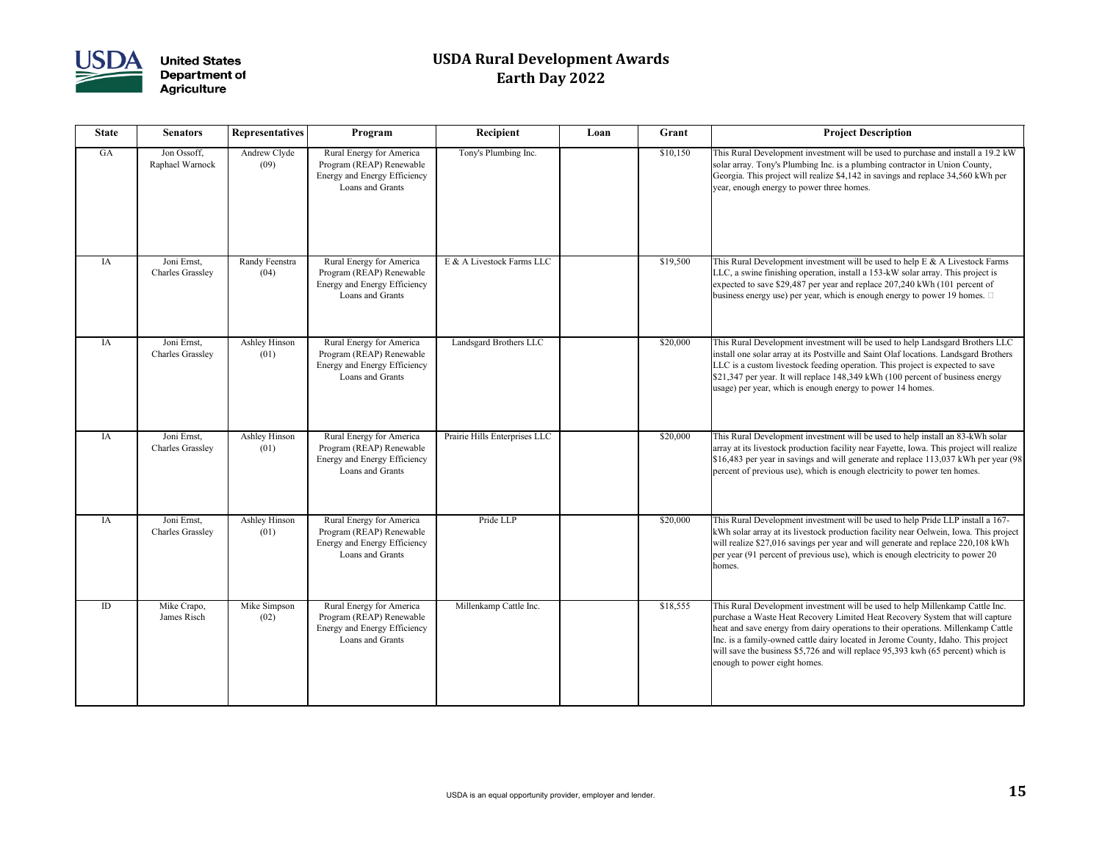

| <b>State</b> | <b>Senators</b>                        | <b>Representatives</b> | Program                                                                                                         | Recipient                     | Loan | Grant    | <b>Project Description</b>                                                                                                                                                                                                                                                                                                                                                                                                                                      |
|--------------|----------------------------------------|------------------------|-----------------------------------------------------------------------------------------------------------------|-------------------------------|------|----------|-----------------------------------------------------------------------------------------------------------------------------------------------------------------------------------------------------------------------------------------------------------------------------------------------------------------------------------------------------------------------------------------------------------------------------------------------------------------|
| GA           | Jon Ossoff,<br>Raphael Warnock         | Andrew Clyde<br>(09)   | Rural Energy for America<br>Program (REAP) Renewable<br>Energy and Energy Efficiency<br>Loans and Grants        | Tony's Plumbing Inc.          |      | \$10,150 | This Rural Development investment will be used to purchase and install a 19.2 kW<br>solar array. Tony's Plumbing Inc. is a plumbing contractor in Union County,<br>Georgia. This project will realize \$4,142 in savings and replace 34,560 kWh per<br>year, enough energy to power three homes.                                                                                                                                                                |
| IA           | Joni Ernst,<br><b>Charles Grassley</b> | Randy Feenstra<br>(04) | Rural Energy for America<br>Program (REAP) Renewable<br>Energy and Energy Efficiency<br>Loans and Grants        | E & A Livestock Farms LLC     |      | \$19,500 | This Rural Development investment will be used to help $E \& A$ Livestock Farms<br>LLC, a swine finishing operation, install a 153-kW solar array. This project is<br>expected to save \$29,487 per year and replace 207,240 kWh (101 percent of<br>business energy use) per year, which is enough energy to power 19 homes. $\Box$                                                                                                                             |
| IA           | Joni Ernst,<br><b>Charles Grassley</b> | Ashley Hinson<br>(01)  | Rural Energy for America<br>Program (REAP) Renewable<br>Energy and Energy Efficiency<br>Loans and Grants        | Landsgard Brothers LLC        |      | \$20,000 | This Rural Development investment will be used to help Landsgard Brothers LLC<br>install one solar array at its Postville and Saint Olaf locations. Landsgard Brothers<br>LLC is a custom livestock feeding operation. This project is expected to save<br>\$21,347 per year. It will replace 148,349 kWh (100 percent of business energy<br>usage) per year, which is enough energy to power 14 homes.                                                         |
| IA           | Joni Ernst,<br><b>Charles Grassley</b> | Ashley Hinson<br>(01)  | Rural Energy for America<br>Program (REAP) Renewable<br><b>Energy and Energy Efficiency</b><br>Loans and Grants | Prairie Hills Enterprises LLC |      | \$20,000 | This Rural Development investment will be used to help install an 83-kWh solar<br>array at its livestock production facility near Fayette, Iowa. This project will realize<br>\$16,483 per year in savings and will generate and replace 113,037 kWh per year (98<br>percent of previous use), which is enough electricity to power ten homes.                                                                                                                  |
| IA           | Joni Ernst,<br><b>Charles Grassley</b> | Ashley Hinson<br>(01)  | Rural Energy for America<br>Program (REAP) Renewable<br>Energy and Energy Efficiency<br>Loans and Grants        | Pride LLP                     |      | \$20,000 | This Rural Development investment will be used to help Pride LLP install a 167-<br>kWh solar array at its livestock production facility near Oelwein, Iowa. This project<br>will realize \$27,016 savings per year and will generate and replace 220,108 kWh<br>per year (91 percent of previous use), which is enough electricity to power 20<br>homes.                                                                                                        |
| ID           | Mike Crapo,<br>James Risch             | Mike Simpson<br>(02)   | Rural Energy for America<br>Program (REAP) Renewable<br>Energy and Energy Efficiency<br>Loans and Grants        | Millenkamp Cattle Inc.        |      | \$18,555 | This Rural Development investment will be used to help Millenkamp Cattle Inc.<br>purchase a Waste Heat Recovery Limited Heat Recovery System that will capture<br>heat and save energy from dairy operations to their operations. Millenkamp Cattle<br>Inc. is a family-owned cattle dairy located in Jerome County, Idaho. This project<br>will save the business $$5,726$ and will replace $95,393$ kwh (65 percent) which is<br>enough to power eight homes. |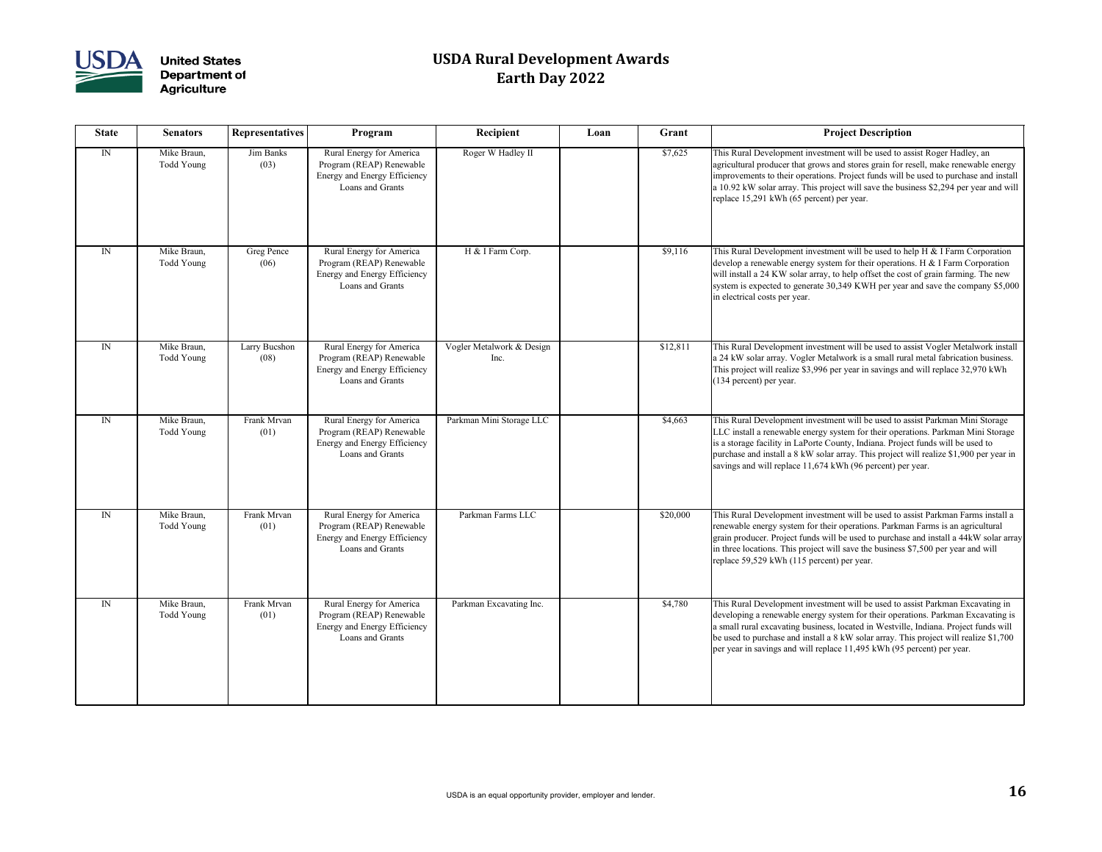

| <b>State</b> | <b>Senators</b>                  | <b>Representatives</b> | Program                                                                                                  | Recipient                         | Loan | Grant    | <b>Project Description</b>                                                                                                                                                                                                                                                                                                                                                                                                    |
|--------------|----------------------------------|------------------------|----------------------------------------------------------------------------------------------------------|-----------------------------------|------|----------|-------------------------------------------------------------------------------------------------------------------------------------------------------------------------------------------------------------------------------------------------------------------------------------------------------------------------------------------------------------------------------------------------------------------------------|
| $\mathbb{N}$ | Mike Braun,<br><b>Todd Young</b> | Jim Banks<br>(03)      | Rural Energy for America<br>Program (REAP) Renewable<br>Energy and Energy Efficiency<br>Loans and Grants | Roger W Hadley II                 |      | \$7,625  | This Rural Development investment will be used to assist Roger Hadley, an<br>agricultural producer that grows and stores grain for resell, make renewable energy<br>improvements to their operations. Project funds will be used to purchase and install<br>a 10.92 kW solar array. This project will save the business \$2,294 per year and will<br>replace 15,291 kWh (65 percent) per year.                                |
| $\mathbb{N}$ | Mike Braun,<br><b>Todd Young</b> | Greg Pence<br>(06)     | Rural Energy for America<br>Program (REAP) Renewable<br>Energy and Energy Efficiency<br>Loans and Grants | H & I Farm Corp.                  |      | \$9,116  | This Rural Development investment will be used to help H & I Farm Corporation<br>develop a renewable energy system for their operations. H & I Farm Corporation<br>will install a 24 KW solar array, to help offset the cost of grain farming. The new<br>system is expected to generate 30,349 KWH per year and save the company \$5,000<br>in electrical costs per year.                                                    |
| ${\rm IN}$   | Mike Braun,<br>Todd Young        | Larry Bucshon<br>(08)  | Rural Energy for America<br>Program (REAP) Renewable<br>Energy and Energy Efficiency<br>Loans and Grants | Vogler Metalwork & Design<br>Inc. |      | \$12,811 | This Rural Development investment will be used to assist Vogler Metalwork install<br>a 24 kW solar array. Vogler Metalwork is a small rural metal fabrication business.<br>This project will realize \$3,996 per year in savings and will replace 32,970 kWh<br>(134 percent) per year.                                                                                                                                       |
| $\mathbb{N}$ | Mike Braun,<br>Todd Young        | Frank Mrvan<br>(01)    | Rural Energy for America<br>Program (REAP) Renewable<br>Energy and Energy Efficiency<br>Loans and Grants | Parkman Mini Storage LLC          |      | \$4,663  | This Rural Development investment will be used to assist Parkman Mini Storage<br>LLC install a renewable energy system for their operations. Parkman Mini Storage<br>is a storage facility in LaPorte County, Indiana. Project funds will be used to<br>purchase and install a 8 kW solar array. This project will realize \$1,900 per year in<br>savings and will replace $11,674$ kWh (96 percent) per year.                |
| $\mathbb{N}$ | Mike Braun,<br>Todd Young        | Frank Mrvan<br>(01)    | Rural Energy for America<br>Program (REAP) Renewable<br>Energy and Energy Efficiency<br>Loans and Grants | Parkman Farms LLC                 |      | \$20,000 | This Rural Development investment will be used to assist Parkman Farms install a<br>renewable energy system for their operations. Parkman Farms is an agricultural<br>grain producer. Project funds will be used to purchase and install a 44kW solar array<br>in three locations. This project will save the business \$7,500 per year and will<br>replace 59,529 kWh (115 percent) per year.                                |
| ${\rm IN}$   | Mike Braun,<br>Todd Young        | Frank Mrvan<br>(01)    | Rural Energy for America<br>Program (REAP) Renewable<br>Energy and Energy Efficiency<br>Loans and Grants | Parkman Excavating Inc.           |      | \$4,780  | This Rural Development investment will be used to assist Parkman Excavating in<br>developing a renewable energy system for their operations. Parkman Excavating is<br>a small rural excavating business, located in Westville, Indiana. Project funds will<br>be used to purchase and install a 8 kW solar array. This project will realize \$1,700<br>per year in savings and will replace 11,495 kWh (95 percent) per year. |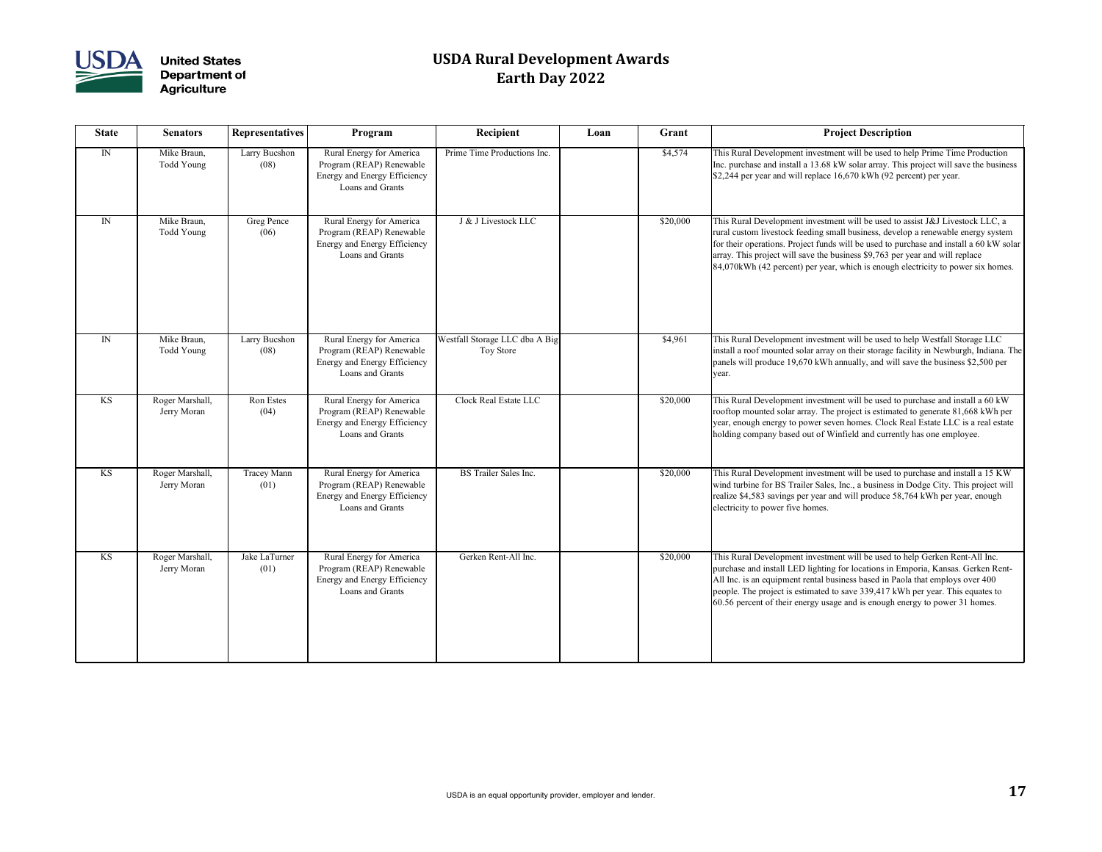

| <b>State</b> | <b>Senators</b>                | <b>Representatives</b>     | Program                                                                                                  | Recipient                                   | Loan | Grant    | <b>Project Description</b>                                                                                                                                                                                                                                                                       |
|--------------|--------------------------------|----------------------------|----------------------------------------------------------------------------------------------------------|---------------------------------------------|------|----------|--------------------------------------------------------------------------------------------------------------------------------------------------------------------------------------------------------------------------------------------------------------------------------------------------|
| $\mathbb{N}$ | Mike Braun,<br>Todd Young      | Larry Bucshon<br>(08)      | Rural Energy for America<br>Program (REAP) Renewable<br>Energy and Energy Efficiency<br>Loans and Grants | Prime Time Productions Inc.                 |      | \$4,574  | This Rural Development investment will be used to he<br>Inc. purchase and install a $13.68$ kW solar array. This<br>$\vert$ \$2,244 per year and will replace 16,670 kWh (92 perc                                                                                                                |
| $\mathbb{N}$ | Mike Braun,<br>Todd Young      | Greg Pence<br>(06)         | Rural Energy for America<br>Program (REAP) Renewable<br>Energy and Energy Efficiency<br>Loans and Grants | J & J Livestock LLC                         |      | \$20,000 | This Rural Development investment will be used to as<br>rural custom livestock feeding small business, develop<br>for their operations. Project funds will be used to purc<br>array. This project will save the business \$9,763 per you<br>84,070kWh (42 percent) per year, which is enough ele |
| $\mathbb{N}$ | Mike Braun,<br>Todd Young      | Larry Bucshon<br>(08)      | Rural Energy for America<br>Program (REAP) Renewable<br>Energy and Energy Efficiency<br>Loans and Grants | Westfall Storage LLC dba A Big<br>Toy Store |      | \$4,961  | This Rural Development investment will be used to he<br>install a roof mounted solar array on their storage facil<br>panels will produce 19,670 kWh annually, and will say<br>year.                                                                                                              |
| KS           | Roger Marshall,<br>Jerry Moran | Ron Estes<br>(04)          | Rural Energy for America<br>Program (REAP) Renewable<br>Energy and Energy Efficiency<br>Loans and Grants | Clock Real Estate LLC                       |      | \$20,000 | This Rural Development investment will be used to pu<br>rooftop mounted solar array. The project is estimated t<br>year, enough energy to power seven homes. Clock Rea<br>holding company based out of Winfield and currently                                                                    |
| KS           | Roger Marshall,<br>Jerry Moran | <b>Tracey Mann</b><br>(01) | Rural Energy for America<br>Program (REAP) Renewable<br>Energy and Energy Efficiency<br>Loans and Grants | <b>BS</b> Trailer Sales Inc.                |      | \$20,000 | This Rural Development investment will be used to pu<br>wind turbine for BS Trailer Sales, Inc., a business in D<br>realize \$4,583 savings per year and will produce 58,76<br>electricity to power five homes.                                                                                  |
| KS           | Roger Marshall,<br>Jerry Moran | Jake LaTurner<br>(01)      | Rural Energy for America<br>Program (REAP) Renewable<br>Energy and Energy Efficiency<br>Loans and Grants | Gerken Rent-All Inc.                        |      | \$20,000 | This Rural Development investment will be used to he<br>purchase and install LED lighting for locations in Emp<br>All Inc. is an equipment rental business based in Paola<br>people. The project is estimated to save 339,417 kWh<br>60.56 percent of their energy usage and is enough ener      |

| Recipient                                         | Loan | Grant    | <b>Project Description</b>                                                                                                                                                                                                                                                                                                                                                                                                                               |
|---------------------------------------------------|------|----------|----------------------------------------------------------------------------------------------------------------------------------------------------------------------------------------------------------------------------------------------------------------------------------------------------------------------------------------------------------------------------------------------------------------------------------------------------------|
| Prime Time Productions Inc.                       |      | \$4,574  | This Rural Development investment will be used to help Prime Time Production<br>Inc. purchase and install a 13.68 kW solar array. This project will save the business<br>\$2,244 per year and will replace 16,670 kWh (92 percent) per year.                                                                                                                                                                                                             |
| J & J Livestock LLC                               |      | \$20,000 | This Rural Development investment will be used to assist J&J Livestock LLC, a<br>rural custom livestock feeding small business, develop a renewable energy system<br>for their operations. Project funds will be used to purchase and install a 60 kW solar<br>array. This project will save the business \$9,763 per year and will replace<br>$\left  84,070 \text{kWh} \right $ (42 percent) per year, which is enough electricity to power six homes. |
| estfall Storage LLC dba A Big<br><b>Toy Store</b> |      | \$4,961  | This Rural Development investment will be used to help Westfall Storage LLC<br>install a roof mounted solar array on their storage facility in Newburgh, Indiana. The<br>panels will produce 19,670 kWh annually, and will save the business \$2,500 per<br>year.                                                                                                                                                                                        |
| <b>Clock Real Estate LLC</b>                      |      | \$20,000 | This Rural Development investment will be used to purchase and install a 60 kW<br>rooftop mounted solar array. The project is estimated to generate 81,668 kWh per<br>year, enough energy to power seven homes. Clock Real Estate LLC is a real estate<br>holding company based out of Winfield and currently has one employee.                                                                                                                          |
| <b>BS</b> Trailer Sales Inc.                      |      | \$20,000 | This Rural Development investment will be used to purchase and install a 15 KW<br>wind turbine for BS Trailer Sales, Inc., a business in Dodge City. This project will<br>realize \$4,583 savings per year and will produce 58,764 kWh per year, enough<br>electricity to power five homes.                                                                                                                                                              |
| Gerken Rent-All Inc.                              |      | \$20,000 | This Rural Development investment will be used to help Gerken Rent-All Inc.<br>purchase and install LED lighting for locations in Emporia, Kansas. Gerken Rent-<br>All Inc. is an equipment rental business based in Paola that employs over 400<br>people. The project is estimated to save 339,417 kWh per year. This equates to<br>$\vert$ 60.56 percent of their energy usage and is enough energy to power 31 homes.                                |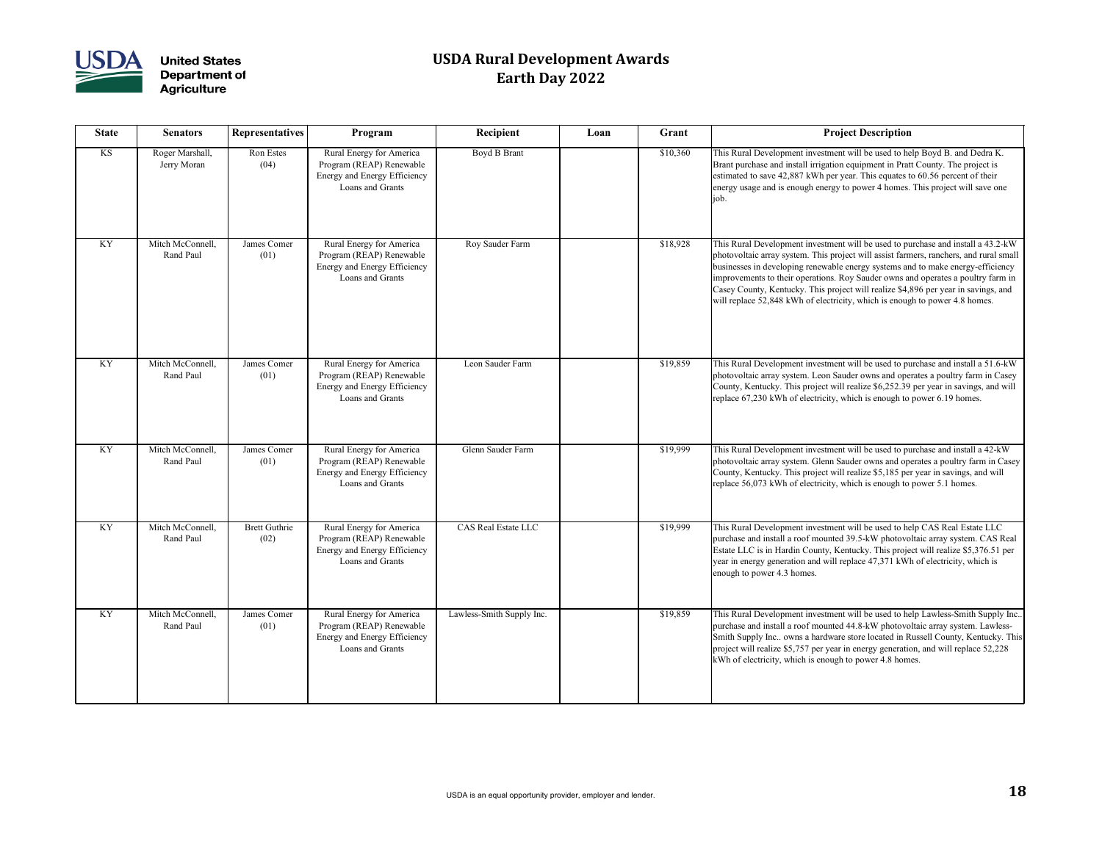

| <b>State</b> | <b>Senators</b>                | <b>Representatives</b>       | Program                                                                                                  | Recipient                  | Loan | Grant    | <b>Project Description</b>                                                                                                                                                                                                                                                                                                                            |
|--------------|--------------------------------|------------------------------|----------------------------------------------------------------------------------------------------------|----------------------------|------|----------|-------------------------------------------------------------------------------------------------------------------------------------------------------------------------------------------------------------------------------------------------------------------------------------------------------------------------------------------------------|
| KS           | Roger Marshall,<br>Jerry Moran | Ron Estes<br>(04)            | Rural Energy for America<br>Program (REAP) Renewable<br>Energy and Energy Efficiency<br>Loans and Grants | Boyd B Brant               |      | \$10,360 | This Rural Development investment will be used to he<br>Brant purchase and install irrigation equipment in Prat<br>estimated to save 42,887 kWh per year. This equates t<br>energy usage and is enough energy to power 4 homes.<br> job.                                                                                                              |
| KY           | Mitch McConnell,<br>Rand Paul  | James Comer<br>(01)          | Rural Energy for America<br>Program (REAP) Renewable<br>Energy and Energy Efficiency<br>Loans and Grants | Roy Sauder Farm            |      | \$18,928 | This Rural Development investment will be used to pu<br>photovoltaic array system. This project will assist farm<br>businesses in developing renewable energy systems an<br>improvements to their operations. Roy Sauder owns an<br>Casey County, Kentucky. This project will realize \$4,8<br>will replace 52,848 kWh of electricity, which is enoug |
| KY           | Mitch McConnell,<br>Rand Paul  | James Comer<br>(01)          | Rural Energy for America<br>Program (REAP) Renewable<br>Energy and Energy Efficiency<br>Loans and Grants | Leon Sauder Farm           |      | \$19,859 | This Rural Development investment will be used to pu<br>photovoltaic array system. Leon Sauder owns and ope<br>County, Kentucky. This project will realize \$6,252.39<br>replace 67,230 kWh of electricity, which is enough to                                                                                                                        |
| KY           | Mitch McConnell,<br>Rand Paul  | James Comer<br>(01)          | Rural Energy for America<br>Program (REAP) Renewable<br>Energy and Energy Efficiency<br>Loans and Grants | Glenn Sauder Farm          |      | \$19,999 | This Rural Development investment will be used to pu<br>photovoltaic array system. Glenn Sauder owns and ope<br>County, Kentucky. This project will realize \$5,185 per<br>replace 56,073 kWh of electricity, which is enough to                                                                                                                      |
| KY           | Mitch McConnell,<br>Rand Paul  | <b>Brett Guthrie</b><br>(02) | Rural Energy for America<br>Program (REAP) Renewable<br>Energy and Energy Efficiency<br>Loans and Grants | <b>CAS Real Estate LLC</b> |      | \$19,999 | This Rural Development investment will be used to he<br>purchase and install a roof mounted 39.5-kW photovo<br>Estate LLC is in Hardin County, Kentucky. This proje<br>year in energy generation and will replace 47,371 kWl<br>enough to power 4.3 homes.                                                                                            |
| <b>KY</b>    | Mitch McConnell,<br>Rand Paul  | James Comer<br>(01)          | Rural Energy for America<br>Program (REAP) Renewable<br>Energy and Energy Efficiency<br>Loans and Grants | Lawless-Smith Supply Inc.  |      | \$19,859 | This Rural Development investment will be used to he<br>purchase and install a roof mounted 44.8-kW photovo<br>Smith Supply Inc owns a hardware store located in R<br>project will realize \$5,757 per year in energy generation<br>kWh of electricity, which is enough to power 4.8 hom-                                                             |

| Recipient                  | Loan | Grant    | <b>Project Description</b>                                                                                                                                                                                                                                                                                                                                                                                                                                                                                             |
|----------------------------|------|----------|------------------------------------------------------------------------------------------------------------------------------------------------------------------------------------------------------------------------------------------------------------------------------------------------------------------------------------------------------------------------------------------------------------------------------------------------------------------------------------------------------------------------|
| Boyd B Brant               |      | \$10,360 | This Rural Development investment will be used to help Boyd B. and Dedra K.<br>Brant purchase and install irrigation equipment in Pratt County. The project is<br>estimated to save 42,887 kWh per year. This equates to 60.56 percent of their<br>energy usage and is enough energy to power 4 homes. This project will save one<br>job.                                                                                                                                                                              |
| Roy Sauder Farm            |      | \$18,928 | This Rural Development investment will be used to purchase and install a 43.2-kW<br>photovoltaic array system. This project will assist farmers, ranchers, and rural small<br>businesses in developing renewable energy systems and to make energy-efficiency<br>improvements to their operations. Roy Sauder owns and operates a poultry farm in<br>Casey County, Kentucky. This project will realize \$4,896 per year in savings, and<br>will replace 52,848 kWh of electricity, which is enough to power 4.8 homes. |
| Leon Sauder Farm           |      | \$19,859 | This Rural Development investment will be used to purchase and install a 51.6-kW<br>photovoltaic array system. Leon Sauder owns and operates a poultry farm in Casey<br>County, Kentucky. This project will realize \$6,252.39 per year in savings, and will<br>replace 67,230 kWh of electricity, which is enough to power 6.19 homes.                                                                                                                                                                                |
| Glenn Sauder Farm          |      | \$19,999 | This Rural Development investment will be used to purchase and install a 42-kW<br>photovoltaic array system. Glenn Sauder owns and operates a poultry farm in Casey<br>County, Kentucky. This project will realize \$5,185 per year in savings, and will<br>replace 56,073 kWh of electricity, which is enough to power 5.1 homes.                                                                                                                                                                                     |
| <b>CAS Real Estate LLC</b> |      | \$19,999 | This Rural Development investment will be used to help CAS Real Estate LLC<br>purchase and install a roof mounted 39.5-kW photovoltaic array system. CAS Real<br>Estate LLC is in Hardin County, Kentucky. This project will realize \$5,376.51 per<br>year in energy generation and will replace 47,371 kWh of electricity, which is<br>enough to power 4.3 homes.                                                                                                                                                    |
| Lawless-Smith Supply Inc.  |      | \$19,859 | This Rural Development investment will be used to help Lawless-Smith Supply Inc<br>purchase and install a roof mounted 44.8-kW photovoltaic array system. Lawless-<br>Smith Supply Inc owns a hardware store located in Russell County, Kentucky. This<br>project will realize \$5,757 per year in energy generation, and will replace 52,228<br>kWh of electricity, which is enough to power 4.8 homes.                                                                                                               |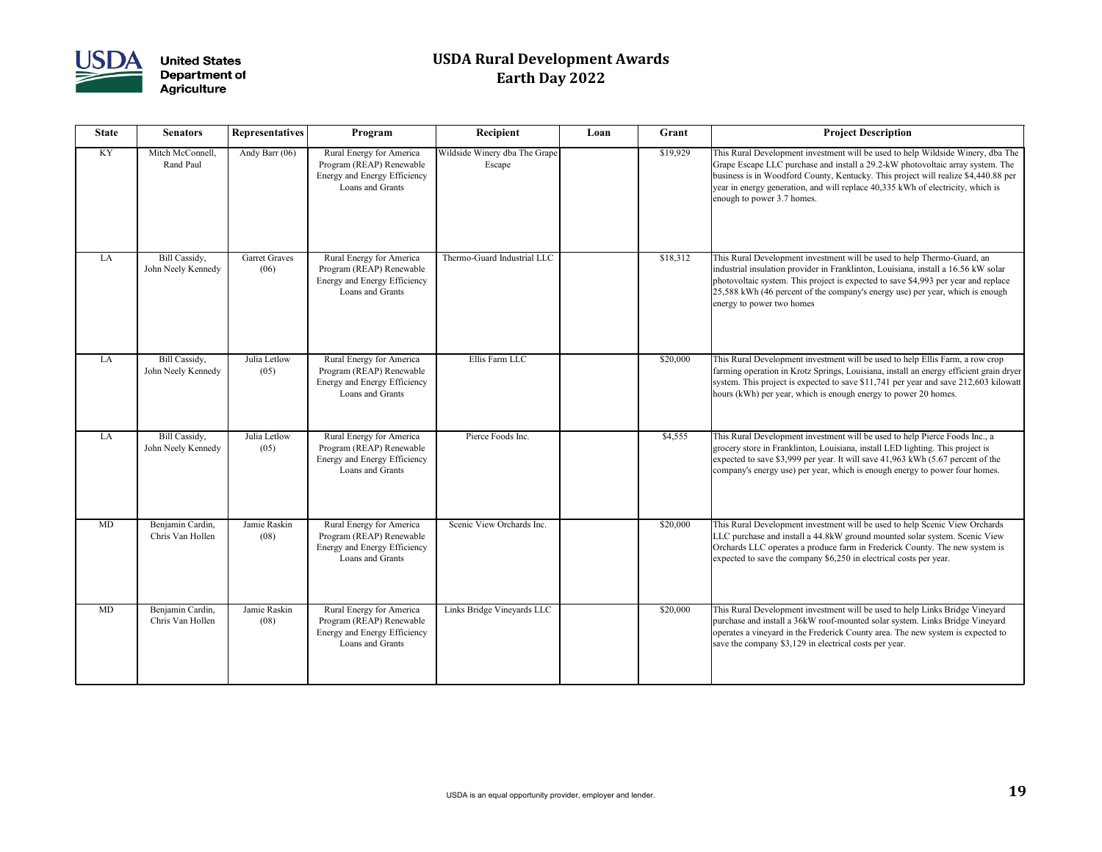

| <b>State</b> | <b>Senators</b>                      | <b>Representatives</b>       | Program                                                                                                         | Recipient                               | Loan | Grant    | <b>Project Description</b>                                                                                                                                                                                                                                          |
|--------------|--------------------------------------|------------------------------|-----------------------------------------------------------------------------------------------------------------|-----------------------------------------|------|----------|---------------------------------------------------------------------------------------------------------------------------------------------------------------------------------------------------------------------------------------------------------------------|
| KY           | Mitch McConnell,<br>Rand Paul        | Andy Barr (06)               | Rural Energy for America<br>Program (REAP) Renewable<br>Energy and Energy Efficiency<br>Loans and Grants        | Wildside Winery dba The Grape<br>Escape |      | \$19,929 | This Rural Development investment will be used to he<br>Grape Escape LLC purchase and install a 29.2-kW phe<br>business is in Woodford County, Kentucky. This proje<br>year in energy generation, and will replace 40,335 kW<br>enough to power 3.7 homes.          |
| LA           | Bill Cassidy,<br>John Neely Kennedy  | <b>Garret Graves</b><br>(06) | Rural Energy for America<br>Program (REAP) Renewable<br>Energy and Energy Efficiency<br>Loans and Grants        | Thermo-Guard Industrial LLC             |      | \$18,312 | This Rural Development investment will be used to he<br>industrial insulation provider in Franklinton, Louisiana<br>photovoltaic system. This project is expected to save \$<br>$ 25,588$ kWh (46 percent of the company's energy use)<br>energy to power two homes |
| LA           | Bill Cassidy,<br>John Neely Kennedy  | Julia Letlow<br>(05)         | Rural Energy for America<br>Program (REAP) Renewable<br>Energy and Energy Efficiency<br>Loans and Grants        | Ellis Farm LLC                          |      | \$20,000 | This Rural Development investment will be used to he<br>farming operation in Krotz Springs, Louisiana, install<br>system. This project is expected to save \$11,741 per y<br>hours (kWh) per year, which is enough energy to power                                  |
| LA           | Bill Cassidy,<br>John Neely Kennedy  | Julia Letlow<br>(05)         | Rural Energy for America<br>Program (REAP) Renewable<br>Energy and Energy Efficiency<br>Loans and Grants        | Pierce Foods Inc.                       |      | \$4,555  | This Rural Development investment will be used to he<br>grocery store in Franklinton, Louisiana, install LED lig<br>expected to save \$3,999 per year. It will save 41,963 k<br>company's energy use) per year, which is enough energy                              |
| <b>MD</b>    | Benjamin Cardin,<br>Chris Van Hollen | Jamie Raskin<br>(08)         | Rural Energy for America<br>Program (REAP) Renewable<br><b>Energy and Energy Efficiency</b><br>Loans and Grants | Scenic View Orchards Inc.               |      | \$20,000 | This Rural Development investment will be used to he<br>LLC purchase and install a 44.8kW ground mounted s<br>Orchards LLC operates a produce farm in Frederick C<br>expected to save the company $$6,250$ in electrical cost                                       |
| MD           | Benjamin Cardin,<br>Chris Van Hollen | Jamie Raskin<br>(08)         | Rural Energy for America<br>Program (REAP) Renewable<br>Energy and Energy Efficiency<br>Loans and Grants        | Links Bridge Vineyards LLC              |      | \$20,000 | This Rural Development investment will be used to he<br>purchase and install a 36kW roof-mounted solar system<br>operates a vineyard in the Frederick County area. The<br>save the company \$3,129 in electrical costs per year.                                    |

| Recipient                               | Loan | Grant    | <b>Project Description</b>                                                                                                                                                                                                                                                                                                                                               |
|-----------------------------------------|------|----------|--------------------------------------------------------------------------------------------------------------------------------------------------------------------------------------------------------------------------------------------------------------------------------------------------------------------------------------------------------------------------|
| Vildside Winery dba The Grape<br>Escape |      | \$19,929 | This Rural Development investment will be used to help Wildside Winery, dba The<br>Grape Escape LLC purchase and install a 29.2-kW photovoltaic array system. The<br>business is in Woodford County, Kentucky. This project will realize \$4,440.88 per<br>year in energy generation, and will replace 40,335 kWh of electricity, which is<br>enough to power 3.7 homes. |
| Thermo-Guard Industrial LLC             |      | \$18,312 | This Rural Development investment will be used to help Thermo-Guard, an<br>industrial insulation provider in Franklinton, Louisiana, install a 16.56 kW solar<br>photovoltaic system. This project is expected to save \$4,993 per year and replace<br>25,588 kWh (46 percent of the company's energy use) per year, which is enough<br>energy to power two homes        |
| Ellis Farm LLC                          |      | \$20,000 | This Rural Development investment will be used to help Ellis Farm, a row crop<br>farming operation in Krotz Springs, Louisiana, install an energy efficient grain dryer<br>system. This project is expected to save \$11,741 per year and save 212,603 kilowatt<br>hours (kWh) per year, which is enough energy to power 20 homes.                                       |
| Pierce Foods Inc.                       |      | \$4,555  | This Rural Development investment will be used to help Pierce Foods Inc., a<br>grocery store in Franklinton, Louisiana, install LED lighting. This project is<br>expected to save \$3,999 per year. It will save $41,963$ kWh (5.67 percent of the<br>company's energy use) per year, which is enough energy to power four homes.                                        |
| Scenic View Orchards Inc.               |      | \$20,000 | This Rural Development investment will be used to help Scenic View Orchards<br>LLC purchase and install a 44.8kW ground mounted solar system. Scenic View<br>Orchards LLC operates a produce farm in Frederick County. The new system is<br>expected to save the company \$6,250 in electrical costs per year.                                                           |
| Links Bridge Vineyards LLC              |      | \$20,000 | This Rural Development investment will be used to help Links Bridge Vineyard<br>purchase and install a 36kW roof-mounted solar system. Links Bridge Vineyard<br>operates a vineyard in the Frederick County area. The new system is expected to<br>save the company \$3,129 in electrical costs per year.                                                                |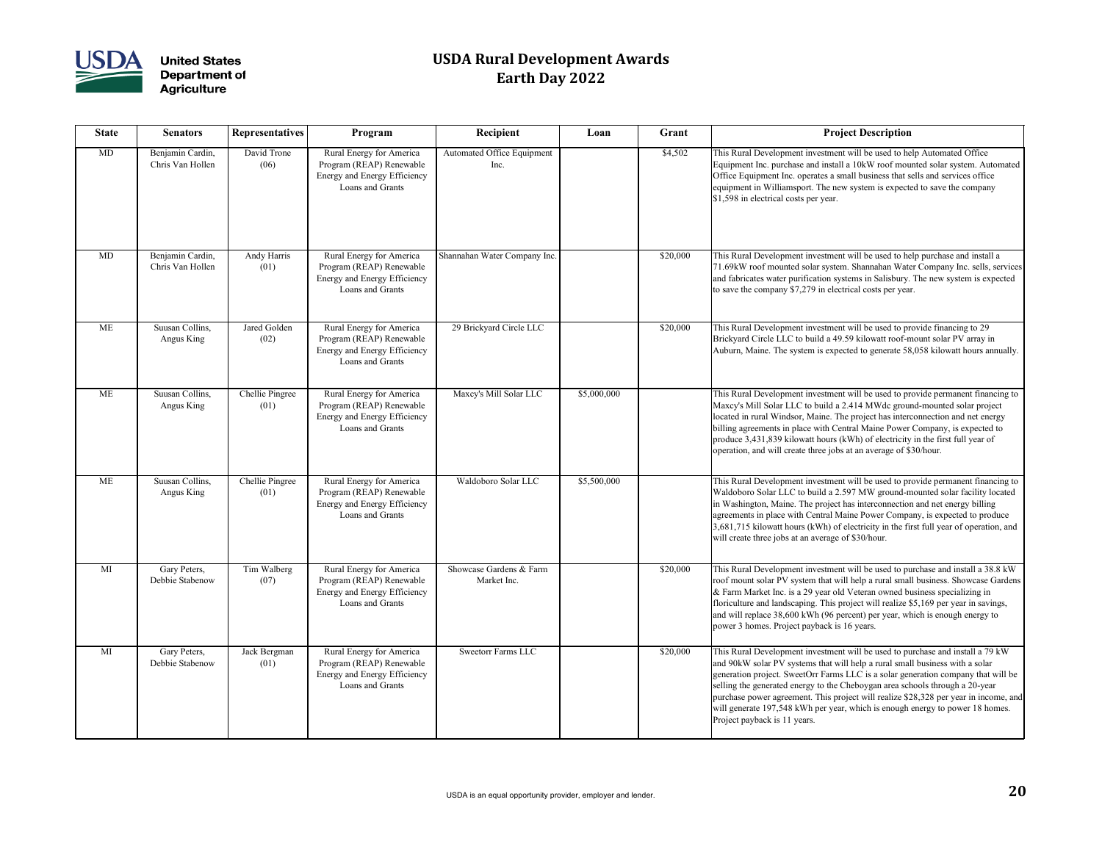

| <b>State</b> | <b>Senators</b>                      | <b>Representatives</b>  | Program                                                                                                  | Recipient                              | Loan        | Grant    | <b>Project Description</b>                                                                                                                                                                                                                                                                                                                                                         |
|--------------|--------------------------------------|-------------------------|----------------------------------------------------------------------------------------------------------|----------------------------------------|-------------|----------|------------------------------------------------------------------------------------------------------------------------------------------------------------------------------------------------------------------------------------------------------------------------------------------------------------------------------------------------------------------------------------|
| MD           | Benjamin Cardin,<br>Chris Van Hollen | David Trone<br>(06)     | Rural Energy for America<br>Program (REAP) Renewable<br>Energy and Energy Efficiency<br>Loans and Grants | Automated Office Equipment<br>Inc.     |             | \$4,502  | This Rural Development investment will be used to he<br>Equipment Inc. purchase and install a 10kW roof mou<br>Office Equipment Inc. operates a small business that s<br>equipment in Williamsport. The new system is expected<br>$\vert$ \$1,598 in electrical costs per year.                                                                                                    |
| MD           | Benjamin Cardin,<br>Chris Van Hollen | Andy Harris<br>(01)     | Rural Energy for America<br>Program (REAP) Renewable<br>Energy and Energy Efficiency<br>Loans and Grants | Shannahan Water Company Inc.           |             | \$20,000 | This Rural Development investment will be used to he<br>71.69kW roof mounted solar system. Shannahan Wate<br>and fabricates water purification systems in Salisbury.<br>to save the company \$7,279 in electrical costs per year                                                                                                                                                   |
| <b>ME</b>    | Suusan Collins,<br>Angus King        | Jared Golden<br>(02)    | Rural Energy for America<br>Program (REAP) Renewable<br>Energy and Energy Efficiency<br>Loans and Grants | 29 Brickyard Circle LLC                |             | \$20,000 | This Rural Development investment will be used to pr<br>Brickyard Circle LLC to build a 49.59 kilowatt roof-n<br>Auburn, Maine. The system is expected to generate 58                                                                                                                                                                                                              |
| <b>ME</b>    | Suusan Collins,<br>Angus King        | Chellie Pingree<br>(01) | Rural Energy for America<br>Program (REAP) Renewable<br>Energy and Energy Efficiency<br>Loans and Grants | Maxcy's Mill Solar LLC                 | \$5,000,000 |          | This Rural Development investment will be used to pr<br>Maxcy's Mill Solar LLC to build a 2.414 MWdc groui<br>located in rural Windsor, Maine. The project has intero<br>billing agreements in place with Central Maine Power<br>produce 3,431,839 kilowatt hours (kWh) of electricity<br>operation, and will create three jobs at an average of \$                                |
| <b>ME</b>    | Suusan Collins,<br>Angus King        | Chellie Pingree<br>(01) | Rural Energy for America<br>Program (REAP) Renewable<br>Energy and Energy Efficiency<br>Loans and Grants | Waldoboro Solar LLC                    | \$5,500,000 |          | This Rural Development investment will be used to pr<br>Waldoboro Solar LLC to build a 2.597 MW ground-n<br>in Washington, Maine. The project has interconnection<br>agreements in place with Central Maine Power Compa<br>3,681,715 kilowatt hours (kWh) of electricity in the fir<br>will create three jobs at an average of \$30/hour.                                          |
| MI           | Gary Peters,<br>Debbie Stabenow      | Tim Walberg<br>(07)     | Rural Energy for America<br>Program (REAP) Renewable<br>Energy and Energy Efficiency<br>Loans and Grants | Showcase Gardens & Farm<br>Market Inc. |             | \$20,000 | This Rural Development investment will be used to pu<br>roof mount solar PV system that will help a rural smal<br>& Farm Market Inc. is a 29 year old Veteran owned bu<br>floriculture and landscaping. This project will realize \$<br>and will replace 38,600 kWh (96 percent) per year, wh<br>power 3 homes. Project payback is 16 years.                                       |
| MI           | Gary Peters,<br>Debbie Stabenow      | Jack Bergman<br>(01)    | Rural Energy for America<br>Program (REAP) Renewable<br>Energy and Energy Efficiency<br>Loans and Grants | <b>Sweetorr Farms LLC</b>              |             | \$20,000 | This Rural Development investment will be used to pu<br>and 90kW solar PV systems that will help a rural smal<br>generation project. SweetOrr Farms LLC is a solar ger<br>selling the generated energy to the Cheboygan area sch<br>purchase power agreement. This project will realize \$2<br>will generate 197,548 kWh per year, which is enough<br>Project payback is 11 years. |

| Recipient                                 | Loan        | Grant    | <b>Project Description</b>                                                                                                                                                                                                                                                                                                                                                                                                                                                                                                                   |
|-------------------------------------------|-------------|----------|----------------------------------------------------------------------------------------------------------------------------------------------------------------------------------------------------------------------------------------------------------------------------------------------------------------------------------------------------------------------------------------------------------------------------------------------------------------------------------------------------------------------------------------------|
| <b>Automated Office Equipment</b><br>Inc. |             | \$4,502  | This Rural Development investment will be used to help Automated Office<br>Equipment Inc. purchase and install a 10kW roof mounted solar system. Automated<br>Office Equipment Inc. operates a small business that sells and services office<br>equipment in Williamsport. The new system is expected to save the company<br>\$1,598 in electrical costs per year.                                                                                                                                                                           |
| Shannahan Water Company Inc.              |             | \$20,000 | This Rural Development investment will be used to help purchase and install a<br>71.69kW roof mounted solar system. Shannahan Water Company Inc. sells, services<br>and fabricates water purification systems in Salisbury. The new system is expected<br>to save the company \$7,279 in electrical costs per year.                                                                                                                                                                                                                          |
| 29 Brickyard Circle LLC                   |             | \$20,000 | This Rural Development investment will be used to provide financing to 29<br>Brickyard Circle LLC to build a 49.59 kilowatt roof-mount solar PV array in<br>Auburn, Maine. The system is expected to generate 58,058 kilowatt hours annually.                                                                                                                                                                                                                                                                                                |
| Maxcy's Mill Solar LLC                    | \$5,000,000 |          | This Rural Development investment will be used to provide permanent financing to<br>Maxcy's Mill Solar LLC to build a 2.414 MWdc ground-mounted solar project<br>located in rural Windsor, Maine. The project has interconnection and net energy<br>billing agreements in place with Central Maine Power Company, is expected to<br>produce 3,431,839 kilowatt hours (kWh) of electricity in the first full year of<br>operation, and will create three jobs at an average of \$30/hour.                                                     |
| Waldoboro Solar LLC                       | \$5,500,000 |          | This Rural Development investment will be used to provide permanent financing to<br>Waldoboro Solar LLC to build a 2.597 MW ground-mounted solar facility located<br>in Washington, Maine. The project has interconnection and net energy billing<br>agreements in place with Central Maine Power Company, is expected to produce<br>3,681,715 kilowatt hours (kWh) of electricity in the first full year of operation, and<br>will create three jobs at an average of \$30/hour.                                                            |
| Showcase Gardens & Farm<br>Market Inc.    |             | \$20,000 | This Rural Development investment will be used to purchase and install a 38.8 kW<br>roof mount solar PV system that will help a rural small business. Showcase Gardens<br>& Farm Market Inc. is a 29 year old Veteran owned business specializing in<br>floriculture and landscaping. This project will realize \$5,169 per year in savings,<br>and will replace 38,600 kWh (96 percent) per year, which is enough energy to<br>power 3 homes. Project payback is 16 years.                                                                  |
| <b>Sweetorr Farms LLC</b>                 |             | \$20,000 | This Rural Development investment will be used to purchase and install a 79 kW<br>and 90kW solar PV systems that will help a rural small business with a solar<br>generation project. SweetOrr Farms LLC is a solar generation company that will be<br>selling the generated energy to the Cheboygan area schools through a 20-year<br>purchase power agreement. This project will realize \$28,328 per year in income, and<br>will generate 197,548 kWh per year, which is enough energy to power 18 homes.<br>Project payback is 11 years. |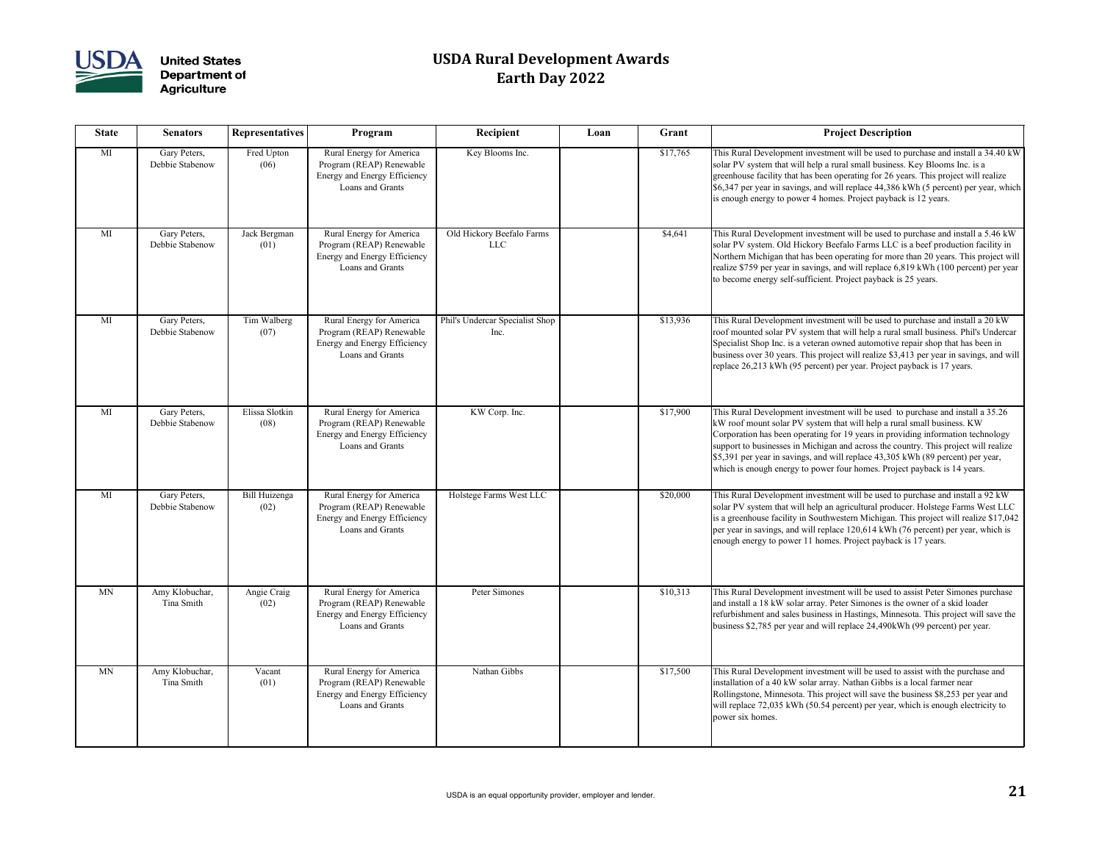

| <b>State</b> | <b>Senators</b>                 | <b>Representatives</b> | Program                                                                                                         | Recipient                               | Loan | Grant    | <b>Project Description</b>                                                                                                                                                                                                                                                                                                                           |
|--------------|---------------------------------|------------------------|-----------------------------------------------------------------------------------------------------------------|-----------------------------------------|------|----------|------------------------------------------------------------------------------------------------------------------------------------------------------------------------------------------------------------------------------------------------------------------------------------------------------------------------------------------------------|
| MI           | Gary Peters,<br>Debbie Stabenow | Fred Upton<br>(06)     | Rural Energy for America<br>Program (REAP) Renewable<br>Energy and Energy Efficiency<br>Loans and Grants        | Key Blooms Inc.                         |      | \$17,765 | This Rural Development investment will be used to pu<br>solar PV system that will help a rural small business. <b>K</b><br>greenhouse facility that has been operating for 26 year<br>\$6,347 per year in savings, and will replace 44,386 kV<br>is enough energy to power 4 homes. Project payback i                                                |
| MI           | Gary Peters,<br>Debbie Stabenow | Jack Bergman<br>(01)   | Rural Energy for America<br>Program (REAP) Renewable<br>Energy and Energy Efficiency<br>Loans and Grants        | Old Hickory Beefalo Farms<br>LLC        |      | \$4,641  | This Rural Development investment will be used to pu<br>solar PV system. Old Hickory Beefalo Farms LLC is a<br>Northern Michigan that has been operating for more th<br>realize \$759 per year in savings, and will replace 6,819<br>to become energy self-sufficient. Project payback is 2:                                                         |
| MI           | Gary Peters,<br>Debbie Stabenow | Tim Walberg<br>(07)    | Rural Energy for America<br>Program (REAP) Renewable<br>Energy and Energy Efficiency<br>Loans and Grants        | Phil's Undercar Specialist Shop<br>Inc. |      | \$13,936 | This Rural Development investment will be used to pu<br>roof mounted solar PV system that will help a rural sn<br>Specialist Shop Inc. is a veteran owned automotive rep<br>business over 30 years. This project will realize \$3,41.<br>replace 26,213 kWh (95 percent) per year. Project pay                                                       |
| MI           | Gary Peters,<br>Debbie Stabenow | Elissa Slotkin<br>(08) | Rural Energy for America<br>Program (REAP) Renewable<br>Energy and Energy Efficiency<br>Loans and Grants        | KW Corp. Inc.                           |      | \$17,900 | This Rural Development investment will be used to p<br>kW roof mount solar PV system that will help a rural s<br>Corporation has been operating for 19 years in providing<br>support to businesses in Michigan and across the coun<br>\$5,391 per year in savings, and will replace 43,305 kV<br>which is enough energy to power four homes. Project |
| MI           | Gary Peters,<br>Debbie Stabenow | Bill Huizenga<br>(02)  | Rural Energy for America<br>Program (REAP) Renewable<br><b>Energy and Energy Efficiency</b><br>Loans and Grants | Holstege Farms West LLC                 |      | \$20,000 | This Rural Development investment will be used to pu<br>solar PV system that will help an agricultural producer<br>is a greenhouse facility in Southwestern Michigan. Thi<br>per year in savings, and will replace 120,614 kWh (76<br>enough energy to power 11 homes. Project payback is                                                            |
| <b>MN</b>    | Amy Klobuchar,<br>Tina Smith    | Angie Craig<br>(02)    | Rural Energy for America<br>Program (REAP) Renewable<br>Energy and Energy Efficiency<br>Loans and Grants        | Peter Simones                           |      | \$10,313 | This Rural Development investment will be used to as<br>and install a 18 kW solar array. Peter Simones is the o<br>refurbishment and sales business in Hastings, Minnesc<br>business \$2,785 per year and will replace 24,490kWh                                                                                                                     |
| <b>MN</b>    | Amy Klobuchar,<br>Tina Smith    | Vacant<br>(01)         | Rural Energy for America<br>Program (REAP) Renewable<br>Energy and Energy Efficiency<br>Loans and Grants        | Nathan Gibbs                            |      | \$17,500 | This Rural Development investment will be used to as<br>installation of a 40 kW solar array. Nathan Gibbs is a 1<br>Rollingstone, Minnesota. This project will save the bu-<br>will replace 72,035 kWh (50.54 percent) per year, whi<br>power six homes.                                                                                             |

| <b>Recipient</b>                        | Loan | Grant    | <b>Project Description</b>                                                                                                                                                                                                                                                                                                                                                                                                                                                                         |
|-----------------------------------------|------|----------|----------------------------------------------------------------------------------------------------------------------------------------------------------------------------------------------------------------------------------------------------------------------------------------------------------------------------------------------------------------------------------------------------------------------------------------------------------------------------------------------------|
| Key Blooms Inc.                         |      | \$17,765 | This Rural Development investment will be used to purchase and install a 34.40 kW<br>solar PV system that will help a rural small business. Key Blooms Inc. is a<br>greenhouse facility that has been operating for 26 years. This project will realize<br>\$6,347 per year in savings, and will replace 44,386 kWh (5 percent) per year, which<br>is enough energy to power 4 homes. Project payback is 12 years.                                                                                 |
| Old Hickory Beefalo Farms<br><b>LLC</b> |      | \$4,641  | This Rural Development investment will be used to purchase and install a 5.46 kW<br>solar PV system. Old Hickory Beefalo Farms LLC is a beef production facility in<br>Northern Michigan that has been operating for more than 20 years. This project will<br>realize \$759 per year in savings, and will replace 6,819 kWh (100 percent) per year<br>to become energy self-sufficient. Project payback is 25 years.                                                                               |
| il's Undercar Specialist Shop<br>Inc.   |      | \$13,936 | This Rural Development investment will be used to purchase and install a 20 kW<br>roof mounted solar PV system that will help a rural small business. Phil's Undercar<br>Specialist Shop Inc. is a veteran owned automotive repair shop that has been in<br>business over 30 years. This project will realize \$3,413 per year in savings, and will<br>replace 26,213 kWh (95 percent) per year. Project payback is 17 years.                                                                      |
| KW Corp. Inc.                           |      | \$17,900 | This Rural Development investment will be used to purchase and install a 35.26<br>kW roof mount solar PV system that will help a rural small business. KW<br>Corporation has been operating for 19 years in providing information technology<br>support to businesses in Michigan and across the country. This project will realize<br>\$5,391 per year in savings, and will replace 43,305 kWh (89 percent) per year,<br>which is enough energy to power four homes. Project payback is 14 years. |
| Holstege Farms West LLC                 |      | \$20,000 | This Rural Development investment will be used to purchase and install a 92 kW<br>solar PV system that will help an agricultural producer. Holstege Farms West LLC<br>is a greenhouse facility in Southwestern Michigan. This project will realize \$17,042<br>per year in savings, and will replace 120,614 kWh (76 percent) per year, which is<br>enough energy to power 11 homes. Project payback is 17 years.                                                                                  |
| Peter Simones                           |      | \$10,313 | This Rural Development investment will be used to assist Peter Simones purchase<br>and install a 18 kW solar array. Peter Simones is the owner of a skid loader<br>refurbishment and sales business in Hastings, Minnesota. This project will save the<br>business \$2,785 per year and will replace 24,490kWh (99 percent) per year.                                                                                                                                                              |
| Nathan Gibbs                            |      | \$17,500 | This Rural Development investment will be used to assist with the purchase and<br>installation of a 40 kW solar array. Nathan Gibbs is a local farmer near<br>Rollingstone, Minnesota. This project will save the business \$8,253 per year and<br>will replace 72,035 kWh (50.54 percent) per year, which is enough electricity to<br>power six homes.                                                                                                                                            |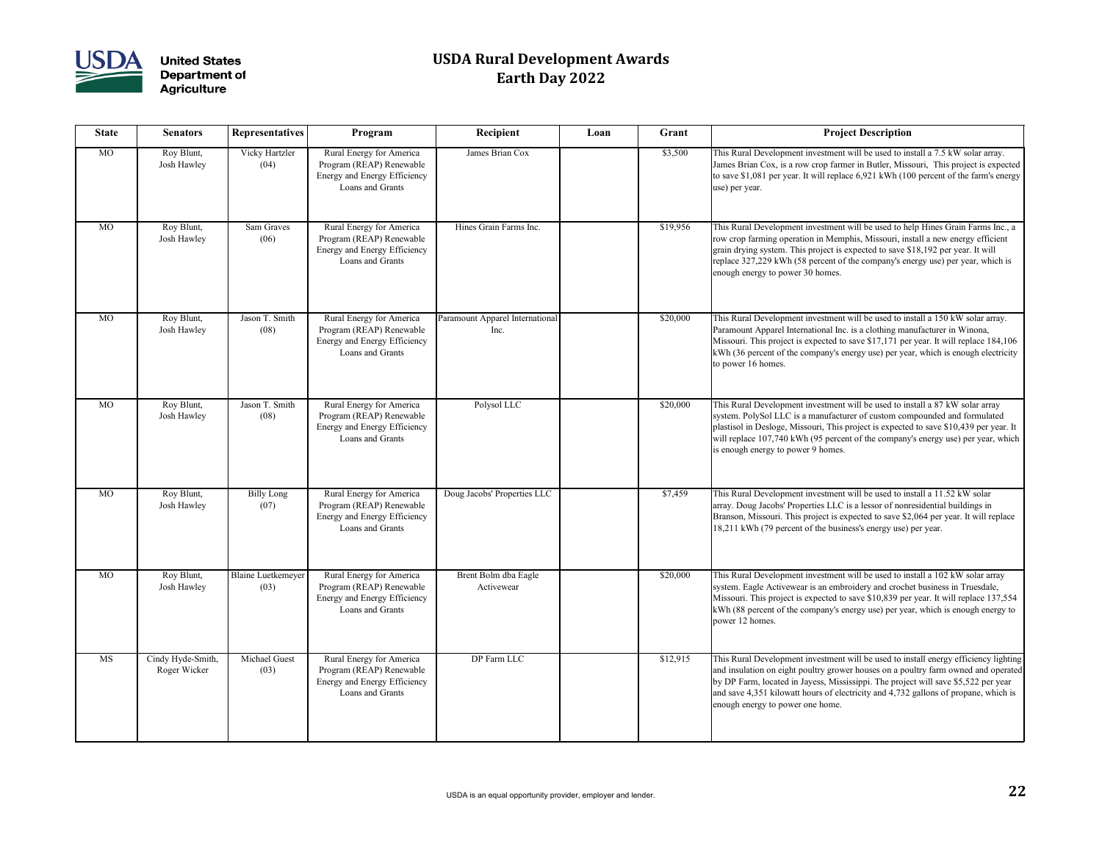

| <b>State</b> | <b>Senators</b>                   | <b>Representatives</b>       | Program                                                                                                  | Recipient                               | Loan | Grant    | <b>Project Description</b>                                                                                                                                                                                                                                               |
|--------------|-----------------------------------|------------------------------|----------------------------------------------------------------------------------------------------------|-----------------------------------------|------|----------|--------------------------------------------------------------------------------------------------------------------------------------------------------------------------------------------------------------------------------------------------------------------------|
| MO           | Roy Blunt,<br>Josh Hawley         | Vicky Hartzler<br>(04)       | Rural Energy for America<br>Program (REAP) Renewable<br>Energy and Energy Efficiency<br>Loans and Grants | James Brian Cox                         |      | \$3,500  | This Rural Development investment will be used to in<br>James Brian Cox, is a row crop farmer in Butler, Miss<br>to save \$1,081 per year. It will replace 6,921 kWh (10<br>use) per year.                                                                               |
| MO           | Roy Blunt,<br>Josh Hawley         | Sam Graves<br>(06)           | Rural Energy for America<br>Program (REAP) Renewable<br>Energy and Energy Efficiency<br>Loans and Grants | Hines Grain Farms Inc.                  |      | \$19,956 | This Rural Development investment will be used to he<br>row crop farming operation in Memphis, Missouri, ins<br>grain drying system. This project is expected to save \$<br>replace 327,229 kWh (58 percent of the company's en<br>enough energy to power 30 homes.      |
| <b>MO</b>    | Roy Blunt,<br>Josh Hawley         | Jason T. Smith<br>(08)       | Rural Energy for America<br>Program (REAP) Renewable<br>Energy and Energy Efficiency<br>Loans and Grants | Paramount Apparel International<br>Inc. |      | \$20,000 | This Rural Development investment will be used to in<br>Paramount Apparel International Inc. is a clothing mar<br>Missouri. This project is expected to save \$17,171 per<br>kWh (36 percent of the company's energy use) per yea<br>to power 16 homes.                  |
| <b>MO</b>    | Roy Blunt,<br>Josh Hawley         | Jason T. Smith<br>(08)       | Rural Energy for America<br>Program (REAP) Renewable<br>Energy and Energy Efficiency<br>Loans and Grants | Polysol LLC                             |      | \$20,000 | This Rural Development investment will be used to in:<br>system. PolySol LLC is a manufacturer of custom con<br>plastisol in Desloge, Missouri, This project is expected<br>will replace 107,740 kWh (95 percent of the company<br>is enough energy to power 9 homes.    |
| <b>MO</b>    | Roy Blunt,<br>Josh Hawley         | <b>Billy Long</b><br>(07)    | Rural Energy for America<br>Program (REAP) Renewable<br>Energy and Energy Efficiency<br>Loans and Grants | Doug Jacobs' Properties LLC             |      | \$7,459  | This Rural Development investment will be used to in<br>array. Doug Jacobs' Properties LLC is a lessor of nonr<br>Branson, Missouri. This project is expected to save \$2<br>18,211 kWh (79 percent of the business's energy use)                                        |
| <b>MO</b>    | Roy Blunt,<br>Josh Hawley         | Blaine Luetkemeyer<br>(03)   | Rural Energy for America<br>Program (REAP) Renewable<br>Energy and Energy Efficiency<br>Loans and Grants | Brent Bolm dba Eagle<br>Activewear      |      | \$20,000 | This Rural Development investment will be used to in<br>system. Eagle Activewear is an embroidery and croche<br>Missouri. This project is expected to save \$10,839 per<br>kWh (88 percent of the company's energy use) per yea<br>power 12 homes.                       |
| MS           | Cindy Hyde-Smith,<br>Roger Wicker | <b>Michael Guest</b><br>(03) | Rural Energy for America<br>Program (REAP) Renewable<br>Energy and Energy Efficiency<br>Loans and Grants | DP Farm LLC                             |      | \$12,915 | This Rural Development investment will be used to in<br>and insulation on eight poultry grower houses on a pou<br>by DP Farm, located in Jayess, Mississippi. The project-<br>and save 4,351 kilowatt hours of electricity and 4,732<br>enough energy to power one home. |

| Recipient                              | Loan | Grant    | <b>Project Description</b>                                                                                                                                                                                                                                                                                                                                                                  |
|----------------------------------------|------|----------|---------------------------------------------------------------------------------------------------------------------------------------------------------------------------------------------------------------------------------------------------------------------------------------------------------------------------------------------------------------------------------------------|
| James Brian Cox                        |      | \$3,500  | This Rural Development investment will be used to install a 7.5 kW solar array.<br>James Brian Cox, is a row crop farmer in Butler, Missouri, This project is expected<br>to save \$1,081 per year. It will replace 6,921 kWh (100 percent of the farm's energy<br>use) per year.                                                                                                           |
| Hines Grain Farms Inc.                 |      | \$19,956 | This Rural Development investment will be used to help Hines Grain Farms Inc., a<br>row crop farming operation in Memphis, Missouri, install a new energy efficient<br>grain drying system. This project is expected to save \$18,192 per year. It will<br>replace 327,229 kWh (58 percent of the company's energy use) per year, which is<br>enough energy to power 30 homes.              |
| aramount Apparel International<br>Inc. |      | \$20,000 | This Rural Development investment will be used to install a 150 kW solar array.<br>Paramount Apparel International Inc. is a clothing manufacturer in Winona,<br>Missouri. This project is expected to save \$17,171 per year. It will replace 184,106<br>kWh (36 percent of the company's energy use) per year, which is enough electricity<br>to power 16 homes.                          |
| Polysol LLC                            |      | \$20,000 | This Rural Development investment will be used to install a 87 kW solar array<br>system. PolySol LLC is a manufacturer of custom compounded and formulated<br>plastisol in Desloge, Missouri, This project is expected to save \$10,439 per year. It<br>will replace 107,740 kWh (95 percent of the company's energy use) per year, which<br>is enough energy to power 9 homes.             |
| Doug Jacobs' Properties LLC            |      | \$7,459  | This Rural Development investment will be used to install a 11.52 kW solar<br>array. Doug Jacobs' Properties LLC is a lessor of nonresidential buildings in<br>Branson, Missouri. This project is expected to save \$2,064 per year. It will replace<br>18,211 kWh (79 percent of the business's energy use) per year.                                                                      |
| Brent Bolm dba Eagle<br>Activewear     |      | \$20,000 | This Rural Development investment will be used to install a 102 kW solar array<br>system. Eagle Activewear is an embroidery and crochet business in Truesdale,<br>Missouri. This project is expected to save \$10,839 per year. It will replace 137,554<br>kWh (88 percent of the company's energy use) per year, which is enough energy to<br>power 12 homes.                              |
| DP Farm LLC                            |      | \$12,915 | This Rural Development investment will be used to install energy efficiency lighting<br>and insulation on eight poultry grower houses on a poultry farm owned and operated<br>by DP Farm, located in Jayess, Mississippi. The project will save \$5,522 per year<br>and save 4,351 kilowatt hours of electricity and 4,732 gallons of propane, which is<br>enough energy to power one home. |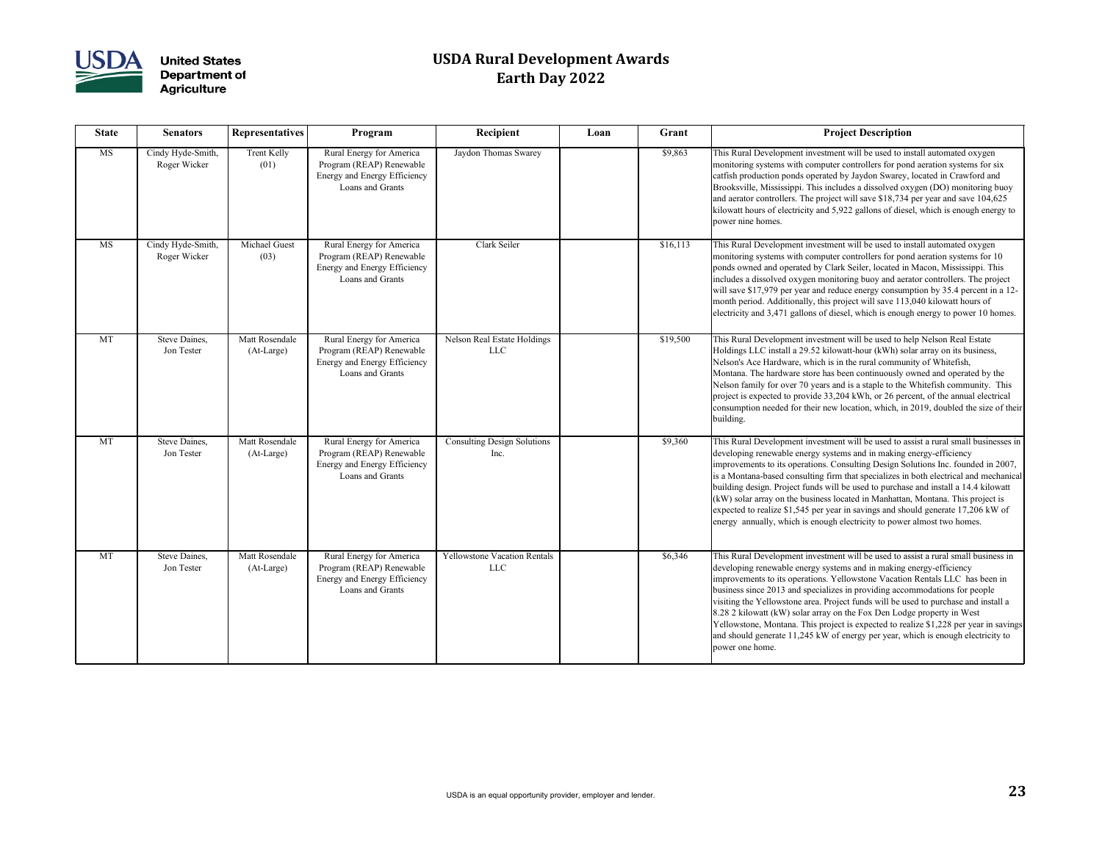

| <b>State</b> | <b>Senators</b>                   | <b>Representatives</b>       | Program                                                                                                  | Recipient                                         | Loan | Grant    | <b>Project Description</b>                                                                                                                                                                                                                                                                                                                                                                                                                                                                                                                                                                                                                                                               |
|--------------|-----------------------------------|------------------------------|----------------------------------------------------------------------------------------------------------|---------------------------------------------------|------|----------|------------------------------------------------------------------------------------------------------------------------------------------------------------------------------------------------------------------------------------------------------------------------------------------------------------------------------------------------------------------------------------------------------------------------------------------------------------------------------------------------------------------------------------------------------------------------------------------------------------------------------------------------------------------------------------------|
| MS           | Cindy Hyde-Smith,<br>Roger Wicker | Trent Kelly<br>(01)          | Rural Energy for America<br>Program (REAP) Renewable<br>Energy and Energy Efficiency<br>Loans and Grants | Jaydon Thomas Swarey                              |      | \$9,863  | This Rural Development investment will be used to install automated oxygen<br>monitoring systems with computer controllers for pond aeration systems for six<br>catfish production ponds operated by Jaydon Swarey, located in Crawford and<br>Brooksville, Mississippi. This includes a dissolved oxygen (DO) monitoring buoy<br>and aerator controllers. The project will save \$18,734 per year and save 104,625<br>kilowatt hours of electricity and 5,922 gallons of diesel, which is enough energy to<br>power nine homes.                                                                                                                                                         |
| MS           | Cindy Hyde-Smith,<br>Roger Wicker | Michael Guest<br>(03)        | Rural Energy for America<br>Program (REAP) Renewable<br>Energy and Energy Efficiency<br>Loans and Grants | Clark Seiler                                      |      | \$16,113 | This Rural Development investment will be used to install automated oxygen<br>monitoring systems with computer controllers for pond aeration systems for 10<br>ponds owned and operated by Clark Seiler, located in Macon, Mississippi. This<br>includes a dissolved oxygen monitoring buoy and aerator controllers. The project<br>will save \$17,979 per year and reduce energy consumption by 35.4 percent in a 12-<br>month period. Additionally, this project will save 113,040 kilowatt hours of<br>electricity and 3,471 gallons of diesel, which is enough energy to power 10 homes.                                                                                             |
| MT           | Steve Daines,<br>Jon Tester       | Matt Rosendale<br>(At-Large) | Rural Energy for America<br>Program (REAP) Renewable<br>Energy and Energy Efficiency<br>Loans and Grants | Nelson Real Estate Holdings<br><b>LLC</b>         |      | \$19,500 | This Rural Development investment will be used to help Nelson Real Estate<br>Holdings LLC install a 29.52 kilowatt-hour (kWh) solar array on its business,<br>Nelson's Ace Hardware, which is in the rural community of Whitefish,<br>Montana. The hardware store has been continuously owned and operated by the<br>Nelson family for over 70 years and is a staple to the Whitefish community. This<br>project is expected to provide 33,204 kWh, or 26 percent, of the annual electrical<br>consumption needed for their new location, which, in 2019, doubled the size of their<br>building.                                                                                         |
| <b>MT</b>    | Steve Daines,<br>Jon Tester       | Matt Rosendale<br>(At-Large) | Rural Energy for America<br>Program (REAP) Renewable<br>Energy and Energy Efficiency<br>Loans and Grants | <b>Consulting Design Solutions</b><br>Inc.        |      | \$9,360  | This Rural Development investment will be used to assist a rural small businesses in<br>developing renewable energy systems and in making energy-efficiency<br>improvements to its operations. Consulting Design Solutions Inc. founded in 2007,<br>is a Montana-based consulting firm that specializes in both electrical and mechanical<br>building design. Project funds will be used to purchase and install a 14.4 kilowatt<br>(kW) solar array on the business located in Manhattan, Montana. This project is<br>expected to realize \$1,545 per year in savings and should generate 17,206 kW of<br>energy annually, which is enough electricity to power almost two homes.       |
| <b>MT</b>    | Steve Daines,<br>Jon Tester       | Matt Rosendale<br>(At-Large) | Rural Energy for America<br>Program (REAP) Renewable<br>Energy and Energy Efficiency<br>Loans and Grants | <b>Yellowstone Vacation Rentals</b><br><b>LLC</b> |      | \$6,346  | This Rural Development investment will be used to assist a rural small business in<br>developing renewable energy systems and in making energy-efficiency<br>improvements to its operations. Yellowstone Vacation Rentals LLC has been in<br>business since 2013 and specializes in providing accommodations for people<br>visiting the Yellowstone area. Project funds will be used to purchase and install a<br>8.28 2 kilowatt (kW) solar array on the Fox Den Lodge property in West<br>Yellowstone, Montana. This project is expected to realize \$1,228 per year in savings<br>and should generate 11,245 kW of energy per year, which is enough electricity to<br>power one home. |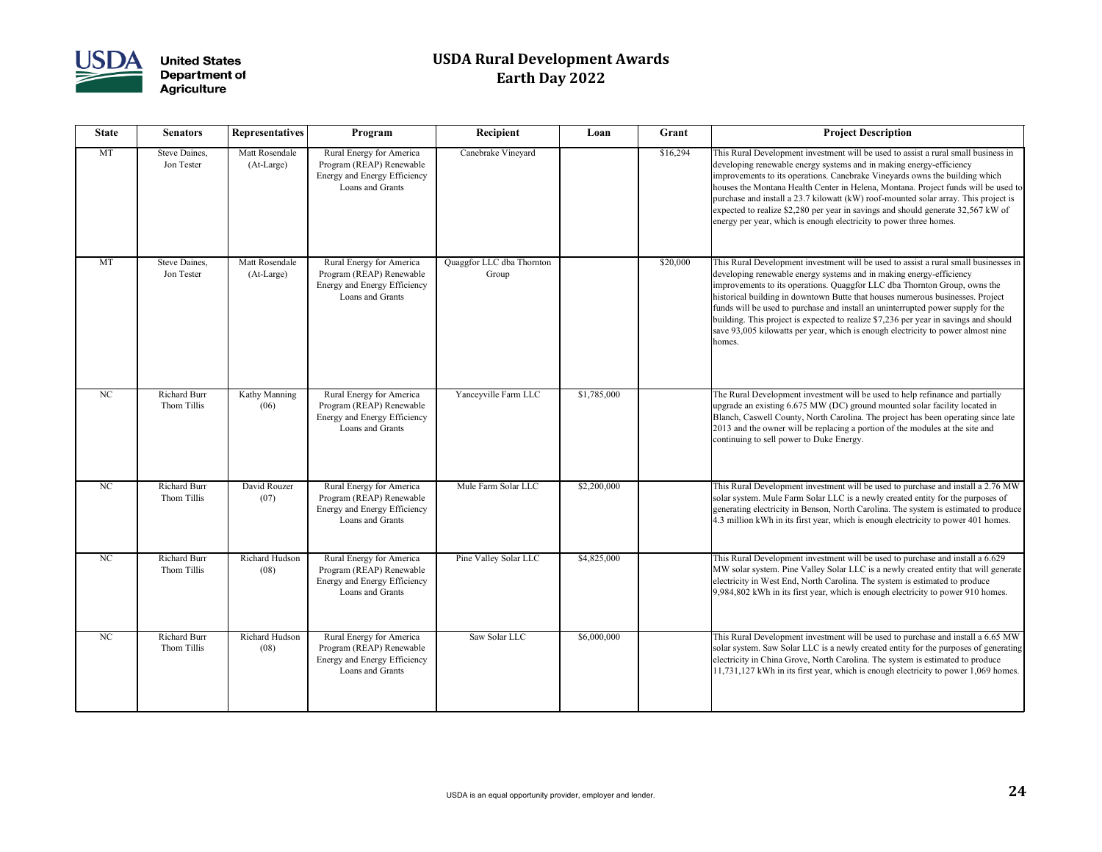

| <b>State</b> | <b>Senators</b>                    | <b>Representatives</b>       | Program                                                                                                         | Recipient                          | Loan        | Grant    | <b>Project Description</b>                                                                                                                                                                                                                                                                                                                                                                                               |
|--------------|------------------------------------|------------------------------|-----------------------------------------------------------------------------------------------------------------|------------------------------------|-------------|----------|--------------------------------------------------------------------------------------------------------------------------------------------------------------------------------------------------------------------------------------------------------------------------------------------------------------------------------------------------------------------------------------------------------------------------|
| MT           | Steve Daines,<br>Jon Tester        | Matt Rosendale<br>(At-Large) | Rural Energy for America<br>Program (REAP) Renewable<br><b>Energy and Energy Efficiency</b><br>Loans and Grants | Canebrake Vineyard                 |             | \$16,294 | This Rural Development investment will be used to as<br>developing renewable energy systems and in making e<br>improvements to its operations. Canebrake Vineyards<br>houses the Montana Health Center in Helena, Montana<br>purchase and install a 23.7 kilowatt (kW) roof-mounte<br>expected to realize $$2,280$ per year in savings and sho<br>energy per year, which is enough electricity to power to               |
| <b>MT</b>    | Steve Daines,<br>Jon Tester        | Matt Rosendale<br>(At-Large) | Rural Energy for America<br>Program (REAP) Renewable<br>Energy and Energy Efficiency<br>Loans and Grants        | Quaggfor LLC dba Thornton<br>Group |             | \$20,000 | This Rural Development investment will be used to as<br>developing renewable energy systems and in making e<br>improvements to its operations. Quaggfor LLC dba Th<br>historical building in downtown Butte that houses num<br>funds will be used to purchase and install an uninterrup<br>building. This project is expected to realize \$7,236 per<br>save 93,005 kilowatts per year, which is enough electr<br>homes. |
| NC           | <b>Richard Burr</b><br>Thom Tillis | Kathy Manning<br>(06)        | Rural Energy for America<br>Program (REAP) Renewable<br>Energy and Energy Efficiency<br>Loans and Grants        | Yanceyville Farm LLC               | \$1,785,000 |          | The Rural Development investment will be used to hel<br>upgrade an existing 6.675 MW (DC) ground mounted<br>Blanch, Caswell County, North Carolina. The project 1<br>2013 and the owner will be replacing a portion of the<br>continuing to sell power to Duke Energy.                                                                                                                                                   |
| NC           | <b>Richard Burr</b><br>Thom Tillis | David Rouzer<br>(07)         | Rural Energy for America<br>Program (REAP) Renewable<br>Energy and Energy Efficiency<br>Loans and Grants        | Mule Farm Solar LLC                | \$2,200,000 |          | This Rural Development investment will be used to pu<br>solar system. Mule Farm Solar LLC is a newly created<br>generating electricity in Benson, North Carolina. The s<br>4.3 million kWh in its first year, which is enough elect                                                                                                                                                                                      |
| NC           | <b>Richard Burr</b><br>Thom Tillis | Richard Hudson<br>(08)       | Rural Energy for America<br>Program (REAP) Renewable<br>Energy and Energy Efficiency<br>Loans and Grants        | Pine Valley Solar LLC              | \$4,825,000 |          | This Rural Development investment will be used to pu<br>MW solar system. Pine Valley Solar LLC is a newly c<br>electricity in West End, North Carolina. The system is<br>$9,984,802$ kWh in its first year, which is enough electr                                                                                                                                                                                       |
| NC           | <b>Richard Burr</b><br>Thom Tillis | Richard Hudson<br>(08)       | Rural Energy for America<br>Program (REAP) Renewable<br>Energy and Energy Efficiency<br>Loans and Grants        | Saw Solar LLC                      | \$6,000,000 |          | This Rural Development investment will be used to pu<br>solar system. Saw Solar LLC is a newly created entity<br>electricity in China Grove, North Carolina. The system<br>11,731,127 kWh in its first year, which is enough elec                                                                                                                                                                                        |

| <b>Recipient</b>                 | Loan        | Grant    | <b>Project Description</b>                                                                                                                                                                                                                                                                                                                                                                                                                                                                                                                                                                           |
|----------------------------------|-------------|----------|------------------------------------------------------------------------------------------------------------------------------------------------------------------------------------------------------------------------------------------------------------------------------------------------------------------------------------------------------------------------------------------------------------------------------------------------------------------------------------------------------------------------------------------------------------------------------------------------------|
| Canebrake Vineyard               |             | \$16,294 | This Rural Development investment will be used to assist a rural small business in<br>developing renewable energy systems and in making energy-efficiency<br>improvements to its operations. Canebrake Vineyards owns the building which<br>houses the Montana Health Center in Helena, Montana. Project funds will be used to<br>purchase and install a 23.7 kilowatt (kW) roof-mounted solar array. This project is<br>expected to realize \$2,280 per year in savings and should generate 32,567 kW of<br>energy per year, which is enough electricity to power three homes.                      |
| aggfor LLC dba Thornton<br>Group |             | \$20,000 | This Rural Development investment will be used to assist a rural small businesses in<br>developing renewable energy systems and in making energy-efficiency<br>improvements to its operations. Quaggfor LLC dba Thornton Group, owns the<br>historical building in downtown Butte that houses numerous businesses. Project<br>funds will be used to purchase and install an uninterrupted power supply for the<br>building. This project is expected to realize \$7,236 per year in savings and should<br>save 93,005 kilowatts per year, which is enough electricity to power almost nine<br>homes. |
| Yanceyville Farm LLC             | \$1,785,000 |          | The Rural Development investment will be used to help refinance and partially<br>upgrade an existing 6.675 MW (DC) ground mounted solar facility located in<br>Blanch, Caswell County, North Carolina. The project has been operating since late<br>2013 and the owner will be replacing a portion of the modules at the site and<br>continuing to sell power to Duke Energy.                                                                                                                                                                                                                        |
| Mule Farm Solar LLC              | \$2,200,000 |          | This Rural Development investment will be used to purchase and install a 2.76 MW<br>solar system. Mule Farm Solar LLC is a newly created entity for the purposes of<br>generating electricity in Benson, North Carolina. The system is estimated to produce<br>$\vert$ 4.3 million kWh in its first year, which is enough electricity to power 401 homes.                                                                                                                                                                                                                                            |
| Pine Valley Solar LLC            | \$4,825,000 |          | This Rural Development investment will be used to purchase and install a 6.629<br>MW solar system. Pine Valley Solar LLC is a newly created entity that will generate<br>electricity in West End, North Carolina. The system is estimated to produce<br>$9,984,802$ kWh in its first year, which is enough electricity to power 910 homes.                                                                                                                                                                                                                                                           |
| Saw Solar LLC                    | \$6,000,000 |          | This Rural Development investment will be used to purchase and install a 6.65 MW<br>solar system. Saw Solar LLC is a newly created entity for the purposes of generating<br>electricity in China Grove, North Carolina. The system is estimated to produce<br>11,731,127 kWh in its first year, which is enough electricity to power 1,069 homes.                                                                                                                                                                                                                                                    |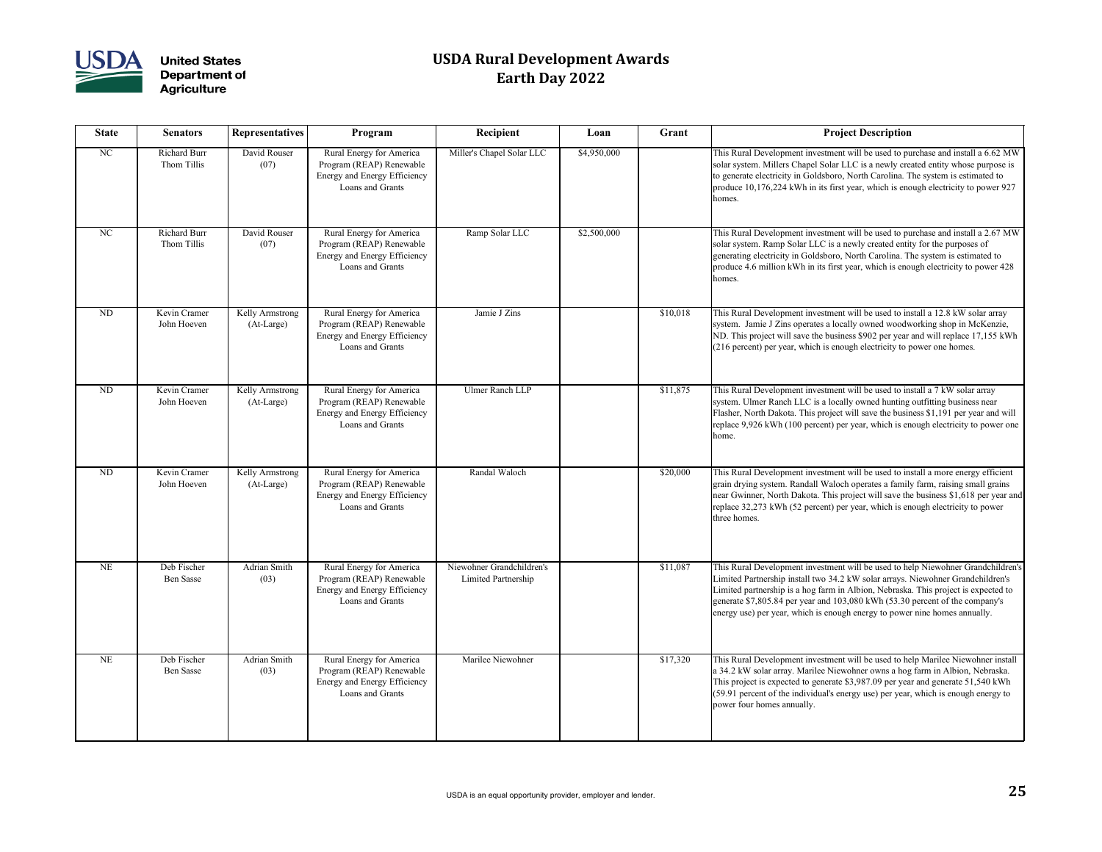

| <b>State</b>   | <b>Senators</b>                    | <b>Representatives</b>        | Program                                                                                                         | Recipient                                                    | Loan        | Grant                                                                                                                                                                                                                                                                                    | <b>Project Description</b>                                                                                                                                                                                                                                       |  |
|----------------|------------------------------------|-------------------------------|-----------------------------------------------------------------------------------------------------------------|--------------------------------------------------------------|-------------|------------------------------------------------------------------------------------------------------------------------------------------------------------------------------------------------------------------------------------------------------------------------------------------|------------------------------------------------------------------------------------------------------------------------------------------------------------------------------------------------------------------------------------------------------------------|--|
| NC             | <b>Richard Burr</b><br>Thom Tillis | David Rouser<br>(07)          | Rural Energy for America<br>Program (REAP) Renewable<br>Energy and Energy Efficiency<br>Loans and Grants        | Miller's Chapel Solar LLC                                    | \$4,950,000 |                                                                                                                                                                                                                                                                                          | This Rural Development investment will be used to pu<br>solar system. Millers Chapel Solar LLC is a newly cre<br>to generate electricity in Goldsboro, North Carolina. T<br>produce 10,176,224 kWh in its first year, which is enc<br>homes.                     |  |
| NC             | <b>Richard Burr</b><br>Thom Tillis | David Rouser<br>(07)          | Rural Energy for America<br>Program (REAP) Renewable<br>Energy and Energy Efficiency<br>Loans and Grants        | Ramp Solar LLC                                               | \$2,500,000 |                                                                                                                                                                                                                                                                                          | This Rural Development investment will be used to pu<br>solar system. Ramp Solar LLC is a newly created entit<br>generating electricity in Goldsboro, North Carolina. Tl<br>produce 4.6 million kWh in its first year, which is eno<br>homes.                    |  |
| <b>ND</b>      | Kevin Cramer<br>John Hoeven        | Kelly Armstrong<br>(At-Large) | Rural Energy for America<br>Program (REAP) Renewable<br><b>Energy and Energy Efficiency</b><br>Loans and Grants | Jamie J Zins<br>\$10,018                                     |             | This Rural Development investment will be used to in<br>system. Jamie J Zins operates a locally owned woodw<br>ND. This project will save the business \$902 per year<br>(216 percent) per year, which is enough electricity to p                                                        |                                                                                                                                                                                                                                                                  |  |
| N <sub>D</sub> | Kevin Cramer<br>John Hoeven        | Kelly Armstrong<br>(At-Large) | Rural Energy for America<br>Program (REAP) Renewable<br>Energy and Energy Efficiency<br>Loans and Grants        | <b>Ulmer Ranch LLP</b><br>\$11,875                           |             | This Rural Development investment will be used to in<br>system. Ulmer Ranch LLC is a locally owned hunting<br>Flasher, North Dakota. This project will save the busin<br>replace 9,926 kWh (100 percent) per year, which is en<br>home.                                                  |                                                                                                                                                                                                                                                                  |  |
| <b>ND</b>      | Kevin Cramer<br>John Hoeven        | Kelly Armstrong<br>(At-Large) | Rural Energy for America<br>Program (REAP) Renewable<br>Energy and Energy Efficiency<br>Loans and Grants        | Randal Waloch                                                |             | \$20,000                                                                                                                                                                                                                                                                                 | This Rural Development investment will be used to in<br>grain drying system. Randall Waloch operates a family<br>near Gwinner, North Dakota. This project will save the<br>replace 32,273 kWh (52 percent) per year, which is en<br>three homes.                 |  |
| <b>NE</b>      | Deb Fischer<br><b>Ben Sasse</b>    | Adrian Smith<br>(03)          | Rural Energy for America<br>Program (REAP) Renewable<br>Energy and Energy Efficiency<br>Loans and Grants        | Niewohner Grandchildren's<br>\$11,087<br>Limited Partnership |             | This Rural Development investment will be used to he<br>Limited Partnership install two 34.2 kW solar arrays. I<br>Limited partnership is a hog farm in Albion, Nebraska<br>generate \$7,805.84 per year and 103,080 kWh (53.30<br>energy use) per year, which is enough energy to power |                                                                                                                                                                                                                                                                  |  |
| <b>NE</b>      | Deb Fischer<br><b>Ben Sasse</b>    | Adrian Smith<br>(03)          | Rural Energy for America<br>Program (REAP) Renewable<br>Energy and Energy Efficiency<br>Loans and Grants        | Marilee Niewohner                                            |             | \$17,320                                                                                                                                                                                                                                                                                 | This Rural Development investment will be used to he<br>a 34.2 kW solar array. Marilee Niewohner owns a hog<br>This project is expected to generate \$3,987.09 per yea<br>(59.91 percent of the individual's energy use) per year,<br>power four homes annually. |  |

| Recipient                                               | Loan        | Grant    | <b>Project Description</b>                                                                                                                                                                                                                                                                                                                                                                                              |
|---------------------------------------------------------|-------------|----------|-------------------------------------------------------------------------------------------------------------------------------------------------------------------------------------------------------------------------------------------------------------------------------------------------------------------------------------------------------------------------------------------------------------------------|
| Miller's Chapel Solar LLC                               | \$4,950,000 |          | This Rural Development investment will be used to purchase and install a 6.62 MW<br>solar system. Millers Chapel Solar LLC is a newly created entity whose purpose is<br>to generate electricity in Goldsboro, North Carolina. The system is estimated to<br>produce 10,176,224 kWh in its first year, which is enough electricity to power 927<br>homes.                                                               |
| Ramp Solar LLC                                          | \$2,500,000 |          | This Rural Development investment will be used to purchase and install a 2.67 MW<br>solar system. Ramp Solar LLC is a newly created entity for the purposes of<br>generating electricity in Goldsboro, North Carolina. The system is estimated to<br>produce 4.6 million kWh in its first year, which is enough electricity to power 428<br>homes.                                                                      |
| Jamie J Zins                                            |             | \$10,018 | This Rural Development investment will be used to install a 12.8 kW solar array<br>system. Jamie J Zins operates a locally owned woodworking shop in McKenzie,<br>ND. This project will save the business \$902 per year and will replace 17,155 kWh<br>(216 percent) per year, which is enough electricity to power one homes.                                                                                         |
| <b>Ulmer Ranch LLP</b>                                  |             | \$11,875 | This Rural Development investment will be used to install a 7 kW solar array<br>system. Ulmer Ranch LLC is a locally owned hunting outfitting business near<br>Flasher, North Dakota. This project will save the business \$1,191 per year and will<br>replace 9,926 kWh (100 percent) per year, which is enough electricity to power one<br>home.                                                                      |
| Randal Waloch                                           |             | \$20,000 | This Rural Development investment will be used to install a more energy efficient<br>grain drying system. Randall Waloch operates a family farm, raising small grains<br>near Gwinner, North Dakota. This project will save the business \$1,618 per year and<br>replace 32,273 kWh (52 percent) per year, which is enough electricity to power<br>three homes.                                                         |
| Niewohner Grandchildren's<br><b>Limited Partnership</b> |             | \$11,087 | This Rural Development investment will be used to help Niewohner Grandchildren's<br>Limited Partnership install two 34.2 kW solar arrays. Niewohner Grandchildren's<br>Limited partnership is a hog farm in Albion, Nebraska. This project is expected to<br>generate \$7,805.84 per year and 103,080 kWh (53.30 percent of the company's<br>energy use) per year, which is enough energy to power nine homes annually. |
| Marilee Niewohner                                       |             | \$17,320 | This Rural Development investment will be used to help Marilee Niewohner install<br>a 34.2 kW solar array. Marilee Niewohner owns a hog farm in Albion, Nebraska.<br>This project is expected to generate \$3,987.09 per year and generate 51,540 kWh<br>(59.91 percent of the individual's energy use) per year, which is enough energy to<br>power four homes annually.                                               |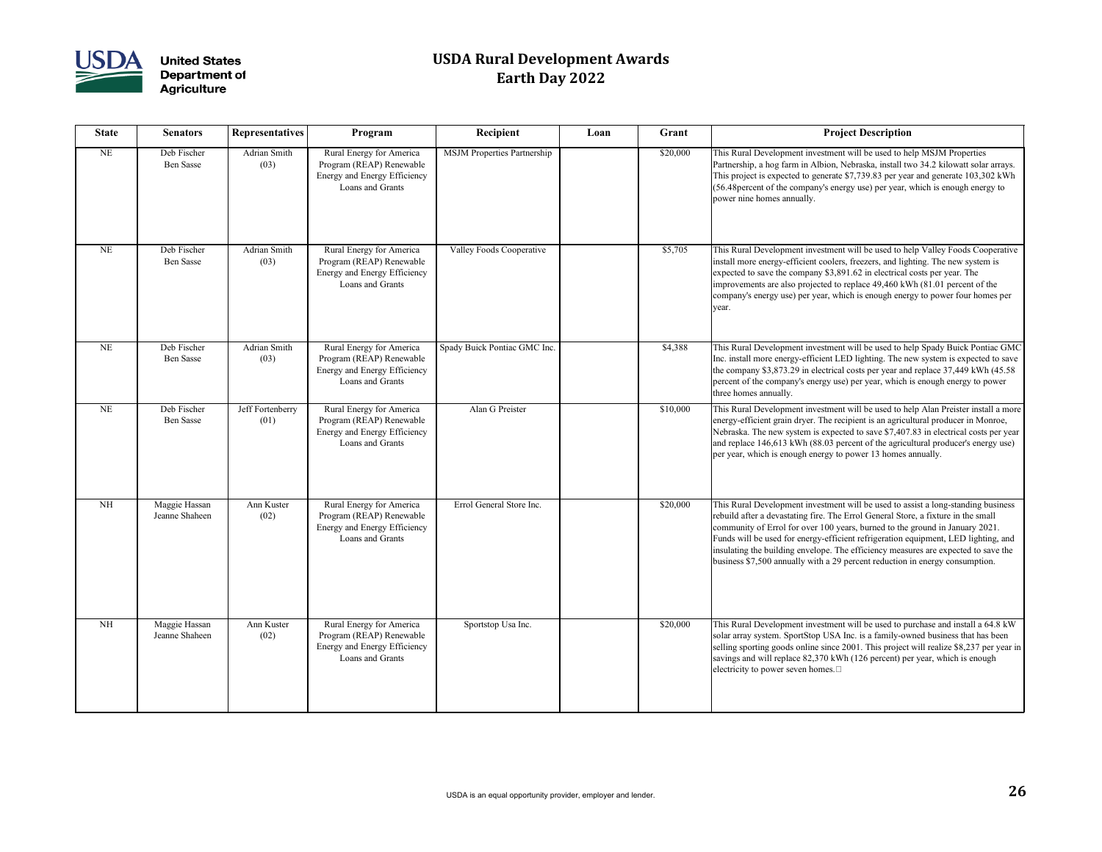

| <b>State</b> | <b>Senators</b>                 | <b>Representatives</b>      | Program                                                                                                  | Recipient                          | Loan | Grant    | <b>Project Description</b>                                                                                                                                                                                                                                                                                                                                 |
|--------------|---------------------------------|-----------------------------|----------------------------------------------------------------------------------------------------------|------------------------------------|------|----------|------------------------------------------------------------------------------------------------------------------------------------------------------------------------------------------------------------------------------------------------------------------------------------------------------------------------------------------------------------|
| <b>NE</b>    | Deb Fischer<br><b>Ben Sasse</b> | Adrian Smith<br>(03)        | Rural Energy for America<br>Program (REAP) Renewable<br>Energy and Energy Efficiency<br>Loans and Grants | <b>MSJM Properties Partnership</b> |      | \$20,000 | This Rural Development investment will be used to he<br>Partnership, a hog farm in Albion, Nebraska, install tw<br>This project is expected to generate \$7,739.83 per yea<br>(56.48 percent of the company's energy use) per year, v<br>power nine homes annually.                                                                                        |
| <b>NE</b>    | Deb Fischer<br><b>Ben Sasse</b> | <b>Adrian Smith</b><br>(03) | Rural Energy for America<br>Program (REAP) Renewable<br>Energy and Energy Efficiency<br>Loans and Grants | <b>Valley Foods Cooperative</b>    |      | \$5,705  | This Rural Development investment will be used to he<br>install more energy-efficient coolers, freezers, and ligh<br>expected to save the company \$3,891.62 in electrical of<br>improvements are also projected to replace 49,460 kW<br>company's energy use) per year, which is enough energy<br>year.                                                   |
| <b>NE</b>    | Deb Fischer<br><b>Ben Sasse</b> | Adrian Smith<br>(03)        | Rural Energy for America<br>Program (REAP) Renewable<br>Energy and Energy Efficiency<br>Loans and Grants | Spady Buick Pontiac GMC Inc.       |      | \$4,388  | This Rural Development investment will be used to he<br>Inc. install more energy-efficient LED lighting. The ne<br>the company \$3,873.29 in electrical costs per year and<br>percent of the company's energy use) per year, which i<br>three homes annually.                                                                                              |
| <b>NE</b>    | Deb Fischer<br><b>Ben Sasse</b> | Jeff Fortenberry<br>(01)    | Rural Energy for America<br>Program (REAP) Renewable<br>Energy and Energy Efficiency<br>Loans and Grants | Alan G Preister                    |      | \$10,000 | This Rural Development investment will be used to he<br>energy-efficient grain dryer. The recipient is an agricul<br>Nebraska. The new system is expected to save \$7,407.<br>and replace 146,613 kWh (88.03 percent of the agricu<br>per year, which is enough energy to power 13 homes a                                                                 |
| <b>NH</b>    | Maggie Hassan<br>Jeanne Shaheen | Ann Kuster<br>(02)          | Rural Energy for America<br>Program (REAP) Renewable<br>Energy and Energy Efficiency<br>Loans and Grants | Errol General Store Inc.           |      | \$20,000 | This Rural Development investment will be used to as<br>rebuild after a devastating fire. The Errol General Stor<br>community of Errol for over 100 years, burned to the<br>Funds will be used for energy-efficient refrigeration ed<br>insulating the building envelope. The efficiency measu<br>business \$7,500 annually with a 29 percent reduction is |
| <b>NH</b>    | Maggie Hassan<br>Jeanne Shaheen | Ann Kuster<br>(02)          | Rural Energy for America<br>Program (REAP) Renewable<br>Energy and Energy Efficiency<br>Loans and Grants | Sportstop Usa Inc.                 |      | \$20,000 | This Rural Development investment will be used to pu<br>solar array system. SportStop USA Inc. is a family-ow<br>selling sporting goods online since 2001. This project<br>savings and will replace 82,370 kWh (126 percent) pe<br>electricity to power seven homes.                                                                                       |

| Recipient                          | Loan | Grant    | <b>Project Description</b>                                                                                                                                                                                                                                                                                                                                                                                                                                                                                         |
|------------------------------------|------|----------|--------------------------------------------------------------------------------------------------------------------------------------------------------------------------------------------------------------------------------------------------------------------------------------------------------------------------------------------------------------------------------------------------------------------------------------------------------------------------------------------------------------------|
| <b>MSJM Properties Partnership</b> |      | \$20,000 | This Rural Development investment will be used to help MSJM Properties<br>Partnership, a hog farm in Albion, Nebraska, install two 34.2 kilowatt solar arrays.<br>This project is expected to generate \$7,739.83 per year and generate 103,302 kWh<br>(56.48 percent of the company's energy use) per year, which is enough energy to<br>power nine homes annually.                                                                                                                                               |
| <b>Valley Foods Cooperative</b>    |      | \$5,705  | This Rural Development investment will be used to help Valley Foods Cooperative<br>install more energy-efficient coolers, freezers, and lighting. The new system is<br>expected to save the company \$3,891.62 in electrical costs per year. The<br>improvements are also projected to replace 49,460 kWh (81.01 percent of the<br>company's energy use) per year, which is enough energy to power four homes per<br>year.                                                                                         |
| Spady Buick Pontiac GMC Inc.       |      | \$4,388  | This Rural Development investment will be used to help Spady Buick Pontiac GMC<br>Inc. install more energy-efficient LED lighting. The new system is expected to save<br>the company \$3,873.29 in electrical costs per year and replace 37,449 kWh (45.58)<br>percent of the company's energy use) per year, which is enough energy to power<br>three homes annually.                                                                                                                                             |
| Alan G Preister                    |      | \$10,000 | This Rural Development investment will be used to help Alan Preister install a more<br>energy-efficient grain dryer. The recipient is an agricultural producer in Monroe,<br>Nebraska. The new system is expected to save \$7,407.83 in electrical costs per year<br>and replace 146,613 kWh (88.03 percent of the agricultural producer's energy use)<br>per year, which is enough energy to power 13 homes annually.                                                                                             |
| Errol General Store Inc.           |      | \$20,000 | This Rural Development investment will be used to assist a long-standing business<br>rebuild after a devastating fire. The Errol General Store, a fixture in the small<br>community of Errol for over 100 years, burned to the ground in January 2021.<br>Funds will be used for energy-efficient refrigeration equipment, LED lighting, and<br>insulating the building envelope. The efficiency measures are expected to save the<br>business \$7,500 annually with a 29 percent reduction in energy consumption. |
| Sportstop Usa Inc.                 |      | \$20,000 | This Rural Development investment will be used to purchase and install a 64.8 kW<br>solar array system. SportStop USA Inc. is a family-owned business that has been<br>selling sporting goods online since 2001. This project will realize \$8,237 per year in<br>savings and will replace 82,370 kWh (126 percent) per year, which is enough<br>electricity to power seven homes. $\square$                                                                                                                       |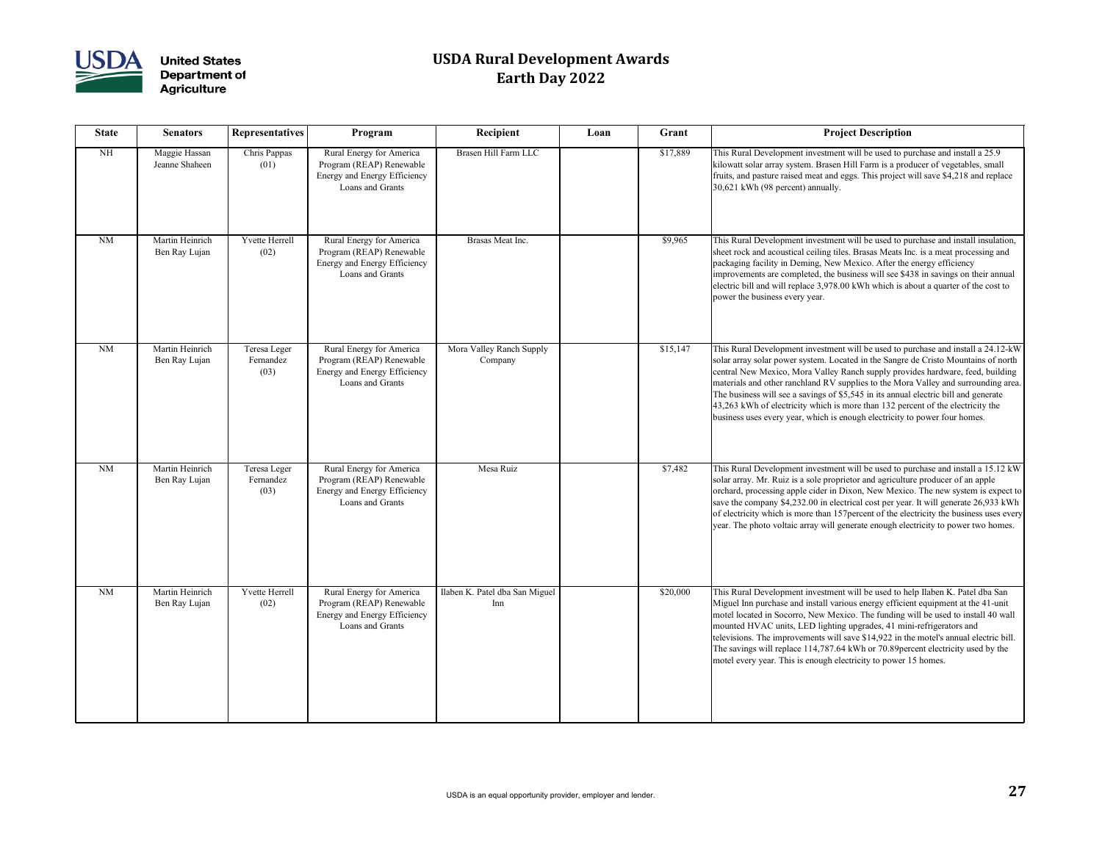

| <b>State</b> | <b>Senators</b>                  | <b>Representatives</b>            | Program                                                                                                  | Recipient                             | Loan | Grant    | <b>Project Description</b>                                                                                                                                                                                                                                                                                                                                                                                                                                                                                                                                                                              |
|--------------|----------------------------------|-----------------------------------|----------------------------------------------------------------------------------------------------------|---------------------------------------|------|----------|---------------------------------------------------------------------------------------------------------------------------------------------------------------------------------------------------------------------------------------------------------------------------------------------------------------------------------------------------------------------------------------------------------------------------------------------------------------------------------------------------------------------------------------------------------------------------------------------------------|
| <b>NH</b>    | Maggie Hassan<br>Jeanne Shaheen  | Chris Pappas<br>(01)              | Rural Energy for America<br>Program (REAP) Renewable<br>Energy and Energy Efficiency<br>Loans and Grants | Brasen Hill Farm LLC                  |      | \$17,889 | This Rural Development investment will be used to purchase and install a 25.9<br>kilowatt solar array system. Brasen Hill Farm is a producer of vegetables, small<br>fruits, and pasture raised meat and eggs. This project will save \$4,218 and replace<br>30,621 kWh (98 percent) annually.                                                                                                                                                                                                                                                                                                          |
| NM           | Martin Heinrich<br>Ben Ray Lujan | Yvette Herrell<br>(02)            | Rural Energy for America<br>Program (REAP) Renewable<br>Energy and Energy Efficiency<br>Loans and Grants | Brasas Meat Inc.                      |      | \$9,965  | This Rural Development investment will be used to purchase and install insulation,<br>sheet rock and acoustical ceiling tiles. Brasas Meats Inc. is a meat processing and<br>packaging facility in Deming, New Mexico. After the energy efficiency<br>improvements are completed, the business will see \$438 in savings on their annual<br>electric bill and will replace 3,978.00 kWh which is about a quarter of the cost to<br>power the business every year.                                                                                                                                       |
| <b>NM</b>    | Martin Heinrich<br>Ben Ray Lujan | Teresa Leger<br>Fernandez<br>(03) | Rural Energy for America<br>Program (REAP) Renewable<br>Energy and Energy Efficiency<br>Loans and Grants | Mora Valley Ranch Supply<br>Company   |      | \$15,147 | This Rural Development investment will be used to purchase and install a 24.12-kW<br>solar array solar power system. Located in the Sangre de Cristo Mountains of north<br>central New Mexico, Mora Valley Ranch supply provides hardware, feed, building<br>materials and other ranchland RV supplies to the Mora Valley and surrounding area.<br>The business will see a savings of \$5,545 in its annual electric bill and generate<br>43,263 kWh of electricity which is more than 132 percent of the electricity the<br>business uses every year, which is enough electricity to power four homes. |
| NM           | Martin Heinrich<br>Ben Ray Lujan | Teresa Leger<br>Fernandez<br>(03) | Rural Energy for America<br>Program (REAP) Renewable<br>Energy and Energy Efficiency<br>Loans and Grants | Mesa Ruiz                             |      | \$7,482  | This Rural Development investment will be used to purchase and install a 15.12 kW<br>solar array. Mr. Ruiz is a sole proprietor and agriculture producer of an apple<br>orchard, processing apple cider in Dixon, New Mexico. The new system is expect to<br>save the company \$4,232.00 in electrical cost per year. It will generate 26,933 kWh<br>of electricity which is more than 157 percent of the electricity the business uses every<br>year. The photo voltaic array will generate enough electricity to power two homes.                                                                     |
| <b>NM</b>    | Martin Heinrich<br>Ben Ray Lujan | Yvette Herrell<br>(02)            | Rural Energy for America<br>Program (REAP) Renewable<br>Energy and Energy Efficiency<br>Loans and Grants | Ilaben K. Patel dba San Miguel<br>Inn |      | \$20,000 | This Rural Development investment will be used to help Ilaben K. Patel dba San<br>Miguel Inn purchase and install various energy efficient equipment at the 41-unit<br>motel located in Socorro, New Mexico. The funding will be used to install 40 wall<br>mounted HVAC units, LED lighting upgrades, 41 mini-refrigerators and<br>televisions. The improvements will save \$14,922 in the motel's annual electric bill.<br>The savings will replace 114,787.64 kWh or 70.89 percent electricity used by the<br>motel every year. This is enough electricity to power 15 homes.                        |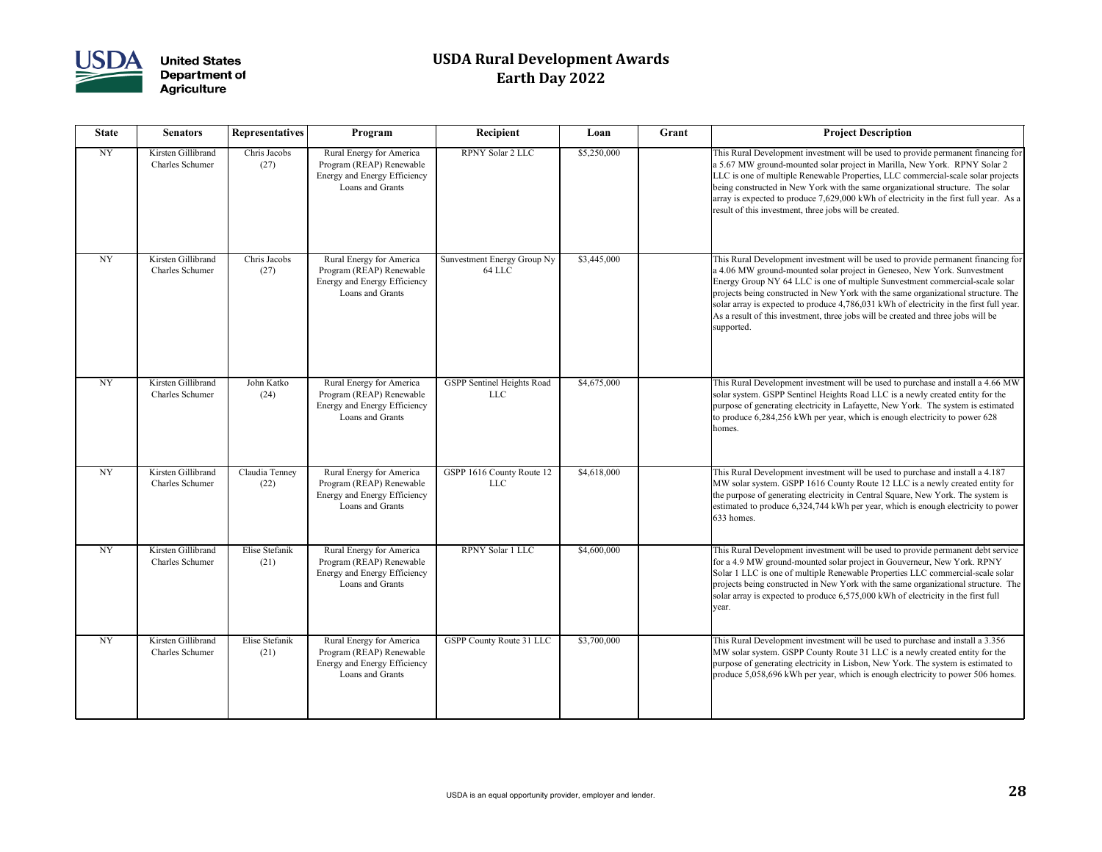

| <b>State</b> | <b>Senators</b>                              | <b>Representatives</b> | Program                                                                                                  | Recipient                                | Loan        | Grant | <b>Project Description</b>                                                                                                                                                                                                                                                                                                                                                                                                                                                                                                        |
|--------------|----------------------------------------------|------------------------|----------------------------------------------------------------------------------------------------------|------------------------------------------|-------------|-------|-----------------------------------------------------------------------------------------------------------------------------------------------------------------------------------------------------------------------------------------------------------------------------------------------------------------------------------------------------------------------------------------------------------------------------------------------------------------------------------------------------------------------------------|
| <b>NY</b>    | Kirsten Gillibrand<br><b>Charles Schumer</b> | Chris Jacobs<br>(27)   | Rural Energy for America<br>Program (REAP) Renewable<br>Energy and Energy Efficiency<br>Loans and Grants | <b>RPNY Solar 2 LLC</b>                  | \$5,250,000 |       | This Rural Development investment will be used to provide permanent financing for<br>a 5.67 MW ground-mounted solar project in Marilla, New York. RPNY Solar 2<br>LLC is one of multiple Renewable Properties, LLC commercial-scale solar projects<br>being constructed in New York with the same organizational structure. The solar<br>array is expected to produce 7,629,000 kWh of electricity in the first full year. As a<br>result of this investment, three jobs will be created.                                         |
| <b>NY</b>    | Kirsten Gillibrand<br><b>Charles Schumer</b> | Chris Jacobs<br>(27)   | Rural Energy for America<br>Program (REAP) Renewable<br>Energy and Energy Efficiency<br>Loans and Grants | Sunvestment Energy Group Ny<br>64 LLC    | \$3,445,000 |       | This Rural Development investment will be used to provide permanent financing for<br>a 4.06 MW ground-mounted solar project in Geneseo, New York. Sunvestment<br>Energy Group NY 64 LLC is one of multiple Sunvestment commercial-scale solar<br>projects being constructed in New York with the same organizational structure. The<br>solar array is expected to produce 4,786,031 kWh of electricity in the first full year.<br>As a result of this investment, three jobs will be created and three jobs will be<br>supported. |
| <b>NY</b>    | Kirsten Gillibrand<br><b>Charles Schumer</b> | John Katko<br>(24)     | Rural Energy for America<br>Program (REAP) Renewable<br>Energy and Energy Efficiency<br>Loans and Grants | GSPP Sentinel Heights Road<br><b>LLC</b> | \$4,675,000 |       | This Rural Development investment will be used to purchase and install a 4.66 MW<br>solar system. GSPP Sentinel Heights Road LLC is a newly created entity for the<br>purpose of generating electricity in Lafayette, New York. The system is estimated<br>to produce 6,284,256 kWh per year, which is enough electricity to power 628<br>homes.                                                                                                                                                                                  |
| <b>NY</b>    | Kirsten Gillibrand<br><b>Charles Schumer</b> | Claudia Tenney<br>(22) | Rural Energy for America<br>Program (REAP) Renewable<br>Energy and Energy Efficiency<br>Loans and Grants | GSPP 1616 County Route 12<br><b>LLC</b>  | \$4,618,000 |       | This Rural Development investment will be used to purchase and install a 4.187<br>MW solar system. GSPP 1616 County Route 12 LLC is a newly created entity for<br>the purpose of generating electricity in Central Square, New York. The system is<br>estimated to produce 6,324,744 kWh per year, which is enough electricity to power<br>$633$ homes.                                                                                                                                                                           |
| <b>NY</b>    | Kirsten Gillibrand<br><b>Charles Schumer</b> | Elise Stefanik<br>(21) | Rural Energy for America<br>Program (REAP) Renewable<br>Energy and Energy Efficiency<br>Loans and Grants | <b>RPNY Solar 1 LLC</b>                  | \$4,600,000 |       | This Rural Development investment will be used to provide permanent debt service<br>for a 4.9 MW ground-mounted solar project in Gouverneur, New York. RPNY<br>Solar 1 LLC is one of multiple Renewable Properties LLC commercial-scale solar<br>projects being constructed in New York with the same organizational structure. The<br>solar array is expected to produce 6,575,000 kWh of electricity in the first full<br>year.                                                                                                 |
| <b>NY</b>    | Kirsten Gillibrand<br><b>Charles Schumer</b> | Elise Stefanik<br>(21) | Rural Energy for America<br>Program (REAP) Renewable<br>Energy and Energy Efficiency<br>Loans and Grants | GSPP County Route 31 LLC                 | \$3,700,000 |       | This Rural Development investment will be used to purchase and install a 3.356<br>MW solar system. GSPP County Route 31 LLC is a newly created entity for the<br>purpose of generating electricity in Lisbon, New York. The system is estimated to<br>produce 5,058,696 kWh per year, which is enough electricity to power 506 homes.                                                                                                                                                                                             |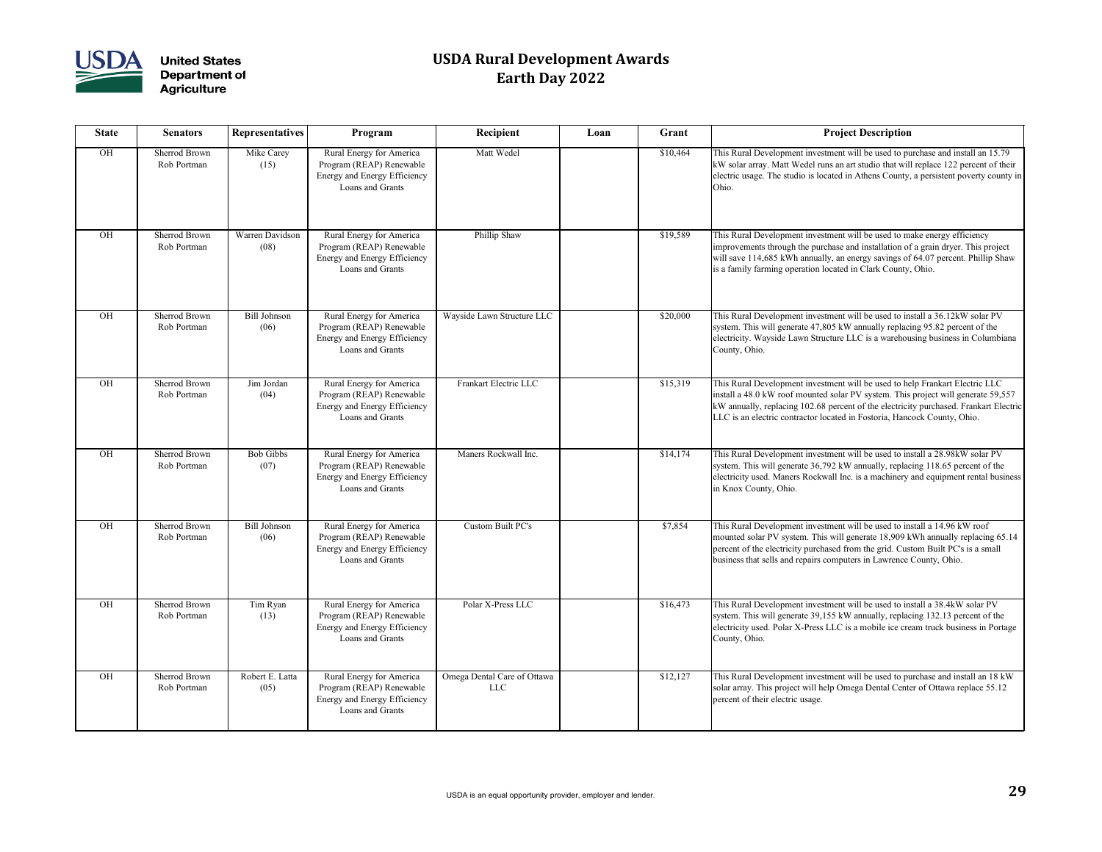

| <b>State</b> | <b>Senators</b>                     | <b>Representatives</b>      | Program                                                                                                         | Recipient                                 | Loan | Grant    | <b>Project Description</b>                                                                                                                                                                                                         |
|--------------|-------------------------------------|-----------------------------|-----------------------------------------------------------------------------------------------------------------|-------------------------------------------|------|----------|------------------------------------------------------------------------------------------------------------------------------------------------------------------------------------------------------------------------------------|
| OH           | <b>Sherrod Brown</b><br>Rob Portman | Mike Carey<br>(15)          | Rural Energy for America<br>Program (REAP) Renewable<br><b>Energy and Energy Efficiency</b><br>Loans and Grants | Matt Wedel                                |      | \$10,464 | This Rural Development investment will be used to pu<br>kW solar array. Matt Wedel runs an art studio that will<br>electric usage. The studio is located in Athens County,<br>Ohio.                                                |
| OH           | <b>Sherrod Brown</b><br>Rob Portman | Warren Davidson<br>(08)     | Rural Energy for America<br>Program (REAP) Renewable<br>Energy and Energy Efficiency<br>Loans and Grants        | Phillip Shaw                              |      | \$19,589 | This Rural Development investment will be used to m<br>improvements through the purchase and installation of<br>will save 114,685 kWh annually, an energy savings of<br>is a family farming operation located in Clark County,     |
| OH           | <b>Sherrod Brown</b><br>Rob Portman | <b>Bill Johnson</b><br>(06) | Rural Energy for America<br>Program (REAP) Renewable<br>Energy and Energy Efficiency<br>Loans and Grants        | Wayside Lawn Structure LLC                |      | \$20,000 | This Rural Development investment will be used to in<br>system. This will generate 47,805 kW annually replaci<br>electricity. Wayside Lawn Structure LLC is a warehou<br>County, Ohio.                                             |
| <b>OH</b>    | <b>Sherrod Brown</b><br>Rob Portman | Jim Jordan<br>(04)          | Rural Energy for America<br>Program (REAP) Renewable<br>Energy and Energy Efficiency<br>Loans and Grants        | Frankart Electric LLC                     |      | \$15,319 | This Rural Development investment will be used to he<br>install a 48.0 kW roof mounted solar PV system. This<br>kW annually, replacing 102.68 percent of the electricit<br>LLC is an electric contractor located in Fostoria, Hanc |
| OH           | <b>Sherrod Brown</b><br>Rob Portman | <b>Bob Gibbs</b><br>(07)    | Rural Energy for America<br>Program (REAP) Renewable<br>Energy and Energy Efficiency<br>Loans and Grants        | Maners Rockwall Inc.                      |      | \$14,174 | This Rural Development investment will be used to in<br>system. This will generate 36,792 kW annually, replac<br>electricity used. Maners Rockwall Inc. is a machinery<br>in Knox County, Ohio.                                    |
| OH           | <b>Sherrod Brown</b><br>Rob Portman | <b>Bill Johnson</b><br>(06) | Rural Energy for America<br>Program (REAP) Renewable<br>Energy and Energy Efficiency<br>Loans and Grants        | <b>Custom Built PC's</b>                  |      | \$7,854  | This Rural Development investment will be used to in<br>mounted solar PV system. This will generate 18,909 k<br>percent of the electricity purchased from the grid. Cus<br>business that sells and repairs computers in Lawrence   |
| OH           | Sherrod Brown<br>Rob Portman        | Tim Ryan<br>(13)            | Rural Energy for America<br>Program (REAP) Renewable<br>Energy and Energy Efficiency<br>Loans and Grants        | Polar X-Press LLC                         |      | \$16,473 | This Rural Development investment will be used to in<br>system. This will generate 39,155 kW annually, replac<br>electricity used. Polar X-Press LLC is a mobile ice cre<br>County, Ohio.                                          |
| OH           | <b>Sherrod Brown</b><br>Rob Portman | Robert E. Latta<br>(05)     | Rural Energy for America<br>Program (REAP) Renewable<br>Energy and Energy Efficiency<br>Loans and Grants        | Omega Dental Care of Ottawa<br><b>LLC</b> |      | \$12,127 | This Rural Development investment will be used to pu<br>solar array. This project will help Omega Dental Cente<br>percent of their electric usage.                                                                                 |

| <b>Recipient</b>                          | Loan | Grant    | <b>Project Description</b>                                                                                                                                                                                                                                                                                                             |
|-------------------------------------------|------|----------|----------------------------------------------------------------------------------------------------------------------------------------------------------------------------------------------------------------------------------------------------------------------------------------------------------------------------------------|
| Matt Wedel                                |      | \$10,464 | This Rural Development investment will be used to purchase and install an 15.79<br>kW solar array. Matt Wedel runs an art studio that will replace 122 percent of their<br>electric usage. The studio is located in Athens County, a persistent poverty county in<br>Ohio.                                                             |
| Phillip Shaw                              |      | \$19,589 | This Rural Development investment will be used to make energy efficiency<br>improvements through the purchase and installation of a grain dryer. This project<br>will save 114,685 kWh annually, an energy savings of 64.07 percent. Phillip Shaw<br>is a family farming operation located in Clark County, Ohio.                      |
| Wayside Lawn Structure LLC                |      | \$20,000 | This Rural Development investment will be used to install a 36.12kW solar PV<br>system. This will generate 47,805 kW annually replacing 95.82 percent of the<br>electricity. Wayside Lawn Structure LLC is a warehousing business in Columbiana<br>County, Ohio.                                                                       |
| Frankart Electric LLC                     |      | \$15,319 | This Rural Development investment will be used to help Frankart Electric LLC<br>install a 48.0 kW roof mounted solar PV system. This project will generate 59,557<br>kW annually, replacing 102.68 percent of the electricity purchased. Frankart Electric<br>LLC is an electric contractor located in Fostoria, Hancock County, Ohio. |
| Maners Rockwall Inc.                      |      | \$14,174 | This Rural Development investment will be used to install a 28.98kW solar PV<br>system. This will generate 36,792 kW annually, replacing 118.65 percent of the<br>electricity used. Maners Rockwall Inc. is a machinery and equipment rental business<br>in Knox County, Ohio.                                                         |
| Custom Built PC's                         |      | \$7,854  | This Rural Development investment will be used to install a 14.96 kW roof<br>mounted solar PV system. This will generate 18,909 kWh annually replacing 65.14<br>percent of the electricity purchased from the grid. Custom Built PC's is a small<br>business that sells and repairs computers in Lawrence County, Ohio.                |
| Polar X-Press LLC                         |      | \$16,473 | This Rural Development investment will be used to install a 38.4kW solar PV<br>system. This will generate 39,155 kW annually, replacing 132.13 percent of the<br>electricity used. Polar X-Press LLC is a mobile ice cream truck business in Portage<br>County, Ohio.                                                                  |
| Omega Dental Care of Ottawa<br><b>LLC</b> |      | \$12,127 | This Rural Development investment will be used to purchase and install an 18 kW<br>solar array. This project will help Omega Dental Center of Ottawa replace 55.12<br>percent of their electric usage.                                                                                                                                 |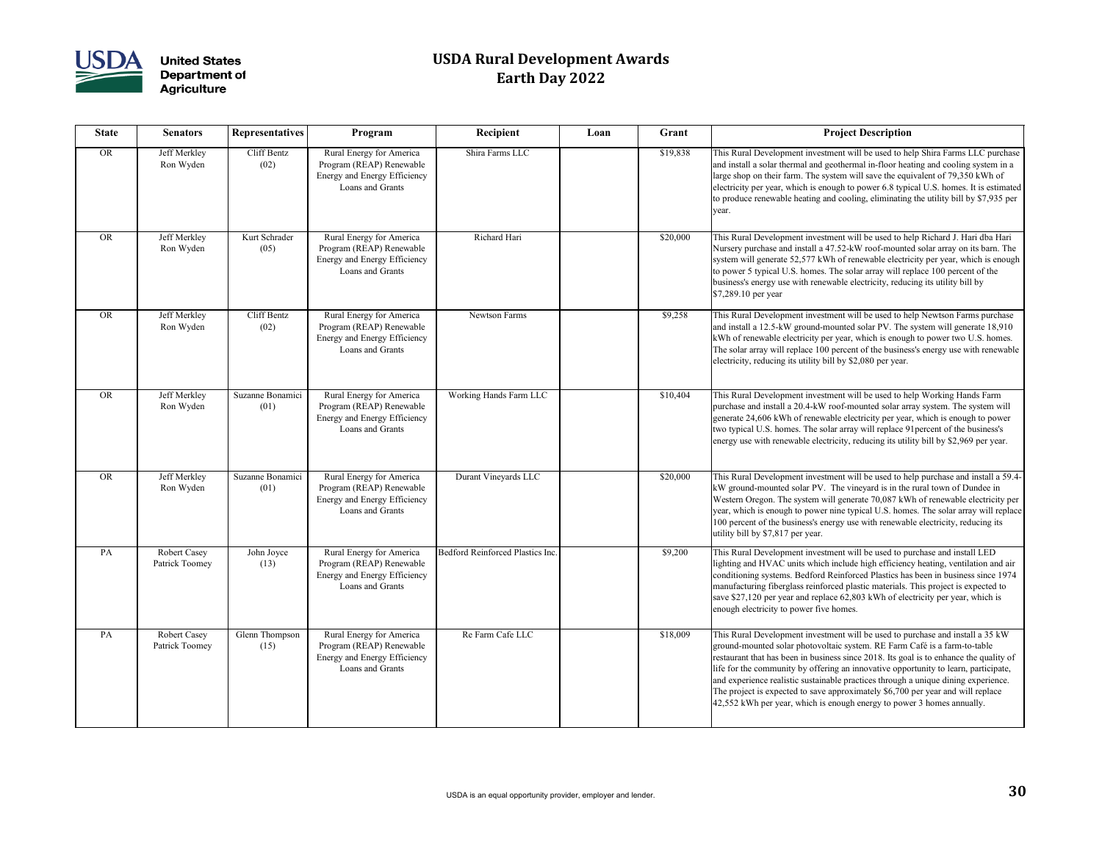

| <b>State</b> | <b>Senators</b>                       | <b>Representatives</b>   | Program                                                                                                         | Recipient                        | Loan | Grant    | <b>Project Description</b>                                                                                                                                                                                                                                                                                                                                                                                   |
|--------------|---------------------------------------|--------------------------|-----------------------------------------------------------------------------------------------------------------|----------------------------------|------|----------|--------------------------------------------------------------------------------------------------------------------------------------------------------------------------------------------------------------------------------------------------------------------------------------------------------------------------------------------------------------------------------------------------------------|
| <b>OR</b>    | Jeff Merkley<br>Ron Wyden             | Cliff Bentz<br>(02)      | Rural Energy for America<br>Program (REAP) Renewable<br>Energy and Energy Efficiency<br>Loans and Grants        | Shira Farms LLC                  |      | \$19,838 | This Rural Development investment will be used to he<br>and install a solar thermal and geothermal in-floor hea<br>large shop on their farm. The system will save the equ<br>electricity per year, which is enough to power 6.8 typic<br>to produce renewable heating and cooling, eliminating<br>year.                                                                                                      |
| <b>OR</b>    | Jeff Merkley<br>Ron Wyden             | Kurt Schrader<br>(05)    | Rural Energy for America<br>Program (REAP) Renewable<br>Energy and Energy Efficiency<br>Loans and Grants        | Richard Hari                     |      | \$20,000 | This Rural Development investment will be used to he<br>Nursery purchase and install a 47.52-kW roof-mounte<br>system will generate 52,577 kWh of renewable electric<br>to power 5 typical U.S. homes. The solar array will rep<br>business's energy use with renewable electricity, reduc<br>$$7,289.10$ per year                                                                                           |
| <b>OR</b>    | Jeff Merkley<br>Ron Wyden             | Cliff Bentz<br>(02)      | Rural Energy for America<br>Program (REAP) Renewable<br><b>Energy and Energy Efficiency</b><br>Loans and Grants | <b>Newtson Farms</b>             |      | \$9,258  | This Rural Development investment will be used to he<br>and install a 12.5-kW ground-mounted solar PV. The<br>kWh of renewable electricity per year, which is enougl<br>The solar array will replace 100 percent of the busines<br>electricity, reducing its utility bill by \$2,080 per year.                                                                                                               |
| <b>OR</b>    | Jeff Merkley<br>Ron Wyden             | Suzanne Bonamici<br>(01) | Rural Energy for America<br>Program (REAP) Renewable<br>Energy and Energy Efficiency<br>Loans and Grants        | Working Hands Farm LLC           |      | \$10,404 | This Rural Development investment will be used to he<br>purchase and install a 20.4-kW roof-mounted solar arr<br>generate 24,606 kWh of renewable electricity per year<br>two typical U.S. homes. The solar array will replace 9<br>energy use with renewable electricity, reducing its utili-                                                                                                               |
| <b>OR</b>    | Jeff Merkley<br>Ron Wyden             | Suzanne Bonamici<br>(01) | Rural Energy for America<br>Program (REAP) Renewable<br>Energy and Energy Efficiency<br>Loans and Grants        | Durant Vineyards LLC             |      | \$20,000 | This Rural Development investment will be used to he<br>kW ground-mounted solar PV. The vineyard is in the<br>Western Oregon. The system will generate 70,087 kW<br>year, which is enough to power nine typical U.S. home<br>100 percent of the business's energy use with renewab.<br>utility bill by \$7,817 per year.                                                                                     |
| PA           | <b>Robert Casey</b><br>Patrick Toomey | John Joyce<br>(13)       | Rural Energy for America<br>Program (REAP) Renewable<br>Energy and Energy Efficiency<br>Loans and Grants        | Bedford Reinforced Plastics Inc. |      | \$9,200  | This Rural Development investment will be used to pu<br>lighting and HVAC units which include high efficienc<br>conditioning systems. Bedford Reinforced Plastics has<br>manufacturing fiberglass reinforced plastic materials.<br>save \$27,120 per year and replace 62,803 kWh of elec-<br>enough electricity to power five homes.                                                                         |
| PA           | <b>Robert Casey</b><br>Patrick Toomey | Glenn Thompson<br>(15)   | Rural Energy for America<br>Program (REAP) Renewable<br>Energy and Energy Efficiency<br>Loans and Grants        | Re Farm Cafe LLC                 |      | \$18,009 | This Rural Development investment will be used to pu<br>ground-mounted solar photovoltaic system. RE Farm (<br>restaurant that has been in business since 2018. Its goa<br>life for the community by offering an innovative oppo<br>and experience realistic sustainable practices through a<br>The project is expected to save approximately \$6,700<br>42,552 kWh per year, which is enough energy to powe |

| <b>Recipient</b>                        | Loan | Grant    | <b>Project Description</b>                                                                                                                                                                                                                                                                                                                                                                                                                                                                                                                                                                         |
|-----------------------------------------|------|----------|----------------------------------------------------------------------------------------------------------------------------------------------------------------------------------------------------------------------------------------------------------------------------------------------------------------------------------------------------------------------------------------------------------------------------------------------------------------------------------------------------------------------------------------------------------------------------------------------------|
| Shira Farms LLC                         |      | \$19,838 | This Rural Development investment will be used to help Shira Farms LLC purchase<br>and install a solar thermal and geothermal in-floor heating and cooling system in a<br>large shop on their farm. The system will save the equivalent of 79,350 kWh of<br>electricity per year, which is enough to power 6.8 typical U.S. homes. It is estimated<br>to produce renewable heating and cooling, eliminating the utility bill by \$7,935 per<br>year.                                                                                                                                               |
| Richard Hari                            |      | \$20,000 | This Rural Development investment will be used to help Richard J. Hari dba Hari<br>Nursery purchase and install a 47.52-kW roof-mounted solar array on its barn. The<br>system will generate 52,577 kWh of renewable electricity per year, which is enough<br>to power 5 typical U.S. homes. The solar array will replace 100 percent of the<br>business's energy use with renewable electricity, reducing its utility bill by<br>$$7,289.10$ per year                                                                                                                                             |
| <b>Newtson Farms</b>                    |      | \$9,258  | This Rural Development investment will be used to help Newtson Farms purchase<br>and install a 12.5-kW ground-mounted solar PV. The system will generate 18,910<br>kWh of renewable electricity per year, which is enough to power two U.S. homes.<br>The solar array will replace 100 percent of the business's energy use with renewable<br>electricity, reducing its utility bill by \$2,080 per year.                                                                                                                                                                                          |
| Working Hands Farm LLC                  |      | \$10,404 | This Rural Development investment will be used to help Working Hands Farm<br>purchase and install a 20.4-kW roof-mounted solar array system. The system will<br>generate 24,606 kWh of renewable electricity per year, which is enough to power<br>two typical U.S. homes. The solar array will replace 91 percent of the business's<br>energy use with renewable electricity, reducing its utility bill by \$2,969 per year.                                                                                                                                                                      |
| Durant Vineyards LLC                    |      | \$20,000 | This Rural Development investment will be used to help purchase and install a 59.4-<br>$ kW $ ground-mounted solar PV. The vineyard is in the rural town of Dundee in<br>Western Oregon. The system will generate 70,087 kWh of renewable electricity per<br>year, which is enough to power nine typical U.S. homes. The solar array will replace<br>100 percent of the business's energy use with renewable electricity, reducing its<br>utility bill by \$7,817 per year.                                                                                                                        |
| <b>Bedford Reinforced Plastics Inc.</b> |      | \$9,200  | This Rural Development investment will be used to purchase and install LED<br>lighting and HVAC units which include high efficiency heating, ventilation and air<br>conditioning systems. Bedford Reinforced Plastics has been in business since 1974<br>manufacturing fiberglass reinforced plastic materials. This project is expected to<br>save \$27,120 per year and replace 62,803 kWh of electricity per year, which is<br>enough electricity to power five homes.                                                                                                                          |
| Re Farm Cafe LLC                        |      | \$18,009 | This Rural Development investment will be used to purchase and install a 35 kW<br>ground-mounted solar photovoltaic system. RE Farm Café is a farm-to-table<br>restaurant that has been in business since 2018. Its goal is to enhance the quality of<br>life for the community by offering an innovative opportunity to learn, participate,<br>and experience realistic sustainable practices through a unique dining experience.<br>The project is expected to save approximately \$6,700 per year and will replace<br>$ 42,552$ kWh per year, which is enough energy to power 3 homes annually. |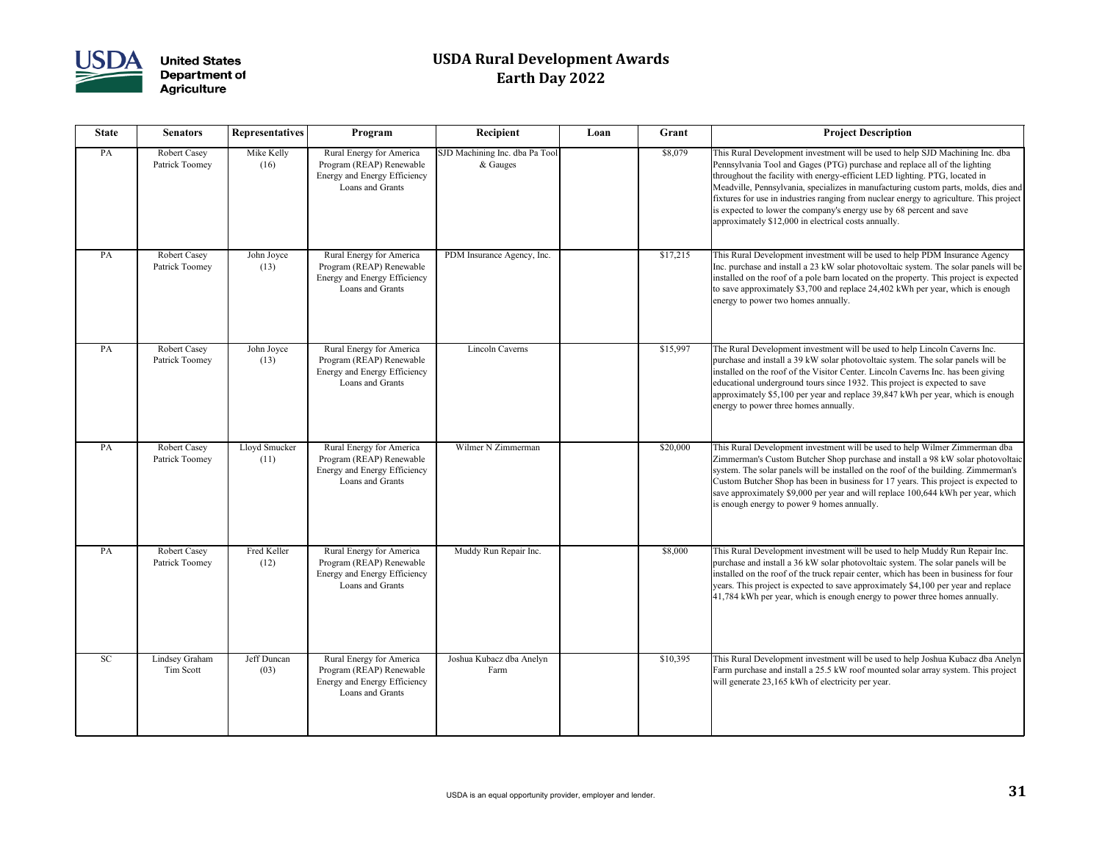

| <b>State</b> | <b>Senators</b>                       | <b>Representatives</b> | Program                                                                                                  | Recipient                                  | Loan | Grant    | <b>Project Description</b>                                                                                                                                                                                                                                                                                                                                                                                                                                                                                                                                   |
|--------------|---------------------------------------|------------------------|----------------------------------------------------------------------------------------------------------|--------------------------------------------|------|----------|--------------------------------------------------------------------------------------------------------------------------------------------------------------------------------------------------------------------------------------------------------------------------------------------------------------------------------------------------------------------------------------------------------------------------------------------------------------------------------------------------------------------------------------------------------------|
| PA           | <b>Robert Casey</b><br>Patrick Toomey | Mike Kelly<br>(16)     | Rural Energy for America<br>Program (REAP) Renewable<br>Energy and Energy Efficiency<br>Loans and Grants | SJD Machining Inc. dba Pa Tool<br>& Gauges |      | \$8,079  | This Rural Development investment will be used to help SJD Machining Inc. dba<br>Pennsylvania Tool and Gages (PTG) purchase and replace all of the lighting<br>throughout the facility with energy-efficient LED lighting. PTG, located in<br>Meadville, Pennsylvania, specializes in manufacturing custom parts, molds, dies and<br>fixtures for use in industries ranging from nuclear energy to agriculture. This project<br>is expected to lower the company's energy use by 68 percent and save<br>approximately \$12,000 in electrical costs annually. |
| PA           | <b>Robert Casey</b><br>Patrick Toomey | John Joyce<br>(13)     | Rural Energy for America<br>Program (REAP) Renewable<br>Energy and Energy Efficiency<br>Loans and Grants | PDM Insurance Agency, Inc.                 |      | \$17,215 | This Rural Development investment will be used to help PDM Insurance Agency<br>Inc. purchase and install a 23 kW solar photovoltaic system. The solar panels will be<br>installed on the roof of a pole barn located on the property. This project is expected<br>to save approximately \$3,700 and replace 24,402 kWh per year, which is enough<br>energy to power two homes annually.                                                                                                                                                                      |
| PA           | <b>Robert Casey</b><br>Patrick Toomey | John Joyce<br>(13)     | Rural Energy for America<br>Program (REAP) Renewable<br>Energy and Energy Efficiency<br>Loans and Grants | <b>Lincoln Caverns</b>                     |      | \$15,997 | The Rural Development investment will be used to help Lincoln Caverns Inc.<br>purchase and install a 39 kW solar photovoltaic system. The solar panels will be<br>installed on the roof of the Visitor Center. Lincoln Caverns Inc. has been giving<br>educational underground tours since 1932. This project is expected to save<br>approximately \$5,100 per year and replace 39,847 kWh per year, which is enough<br>energy to power three homes annually.                                                                                                |
| PA           | <b>Robert Casey</b><br>Patrick Toomey | Lloyd Smucker<br>(11)  | Rural Energy for America<br>Program (REAP) Renewable<br>Energy and Energy Efficiency<br>Loans and Grants | Wilmer N Zimmerman                         |      | \$20,000 | This Rural Development investment will be used to help Wilmer Zimmerman dba<br>Zimmerman's Custom Butcher Shop purchase and install a 98 kW solar photovoltaic<br>system. The solar panels will be installed on the roof of the building. Zimmerman's<br>Custom Butcher Shop has been in business for 17 years. This project is expected to<br>save approximately \$9,000 per year and will replace 100,644 kWh per year, which<br>is enough energy to power 9 homes annually.                                                                               |
| PA           | <b>Robert Casey</b><br>Patrick Toomey | Fred Keller<br>(12)    | Rural Energy for America<br>Program (REAP) Renewable<br>Energy and Energy Efficiency<br>Loans and Grants | Muddy Run Repair Inc.                      |      | \$8,000  | This Rural Development investment will be used to help Muddy Run Repair Inc.<br>purchase and install a 36 kW solar photovoltaic system. The solar panels will be<br>installed on the roof of the truck repair center, which has been in business for four<br>years. This project is expected to save approximately \$4,100 per year and replace<br>$ 41,784$ kWh per year, which is enough energy to power three homes annually.                                                                                                                             |
| <b>SC</b>    | Lindsey Graham<br>Tim Scott           | Jeff Duncan<br>(03)    | Rural Energy for America<br>Program (REAP) Renewable<br>Energy and Energy Efficiency<br>Loans and Grants | Joshua Kubacz dba Anelyn<br>Farm           |      | \$10,395 | This Rural Development investment will be used to help Joshua Kubacz dba Anelyn<br>Farm purchase and install a 25.5 kW roof mounted solar array system. This project<br>will generate 23,165 kWh of electricity per year.                                                                                                                                                                                                                                                                                                                                    |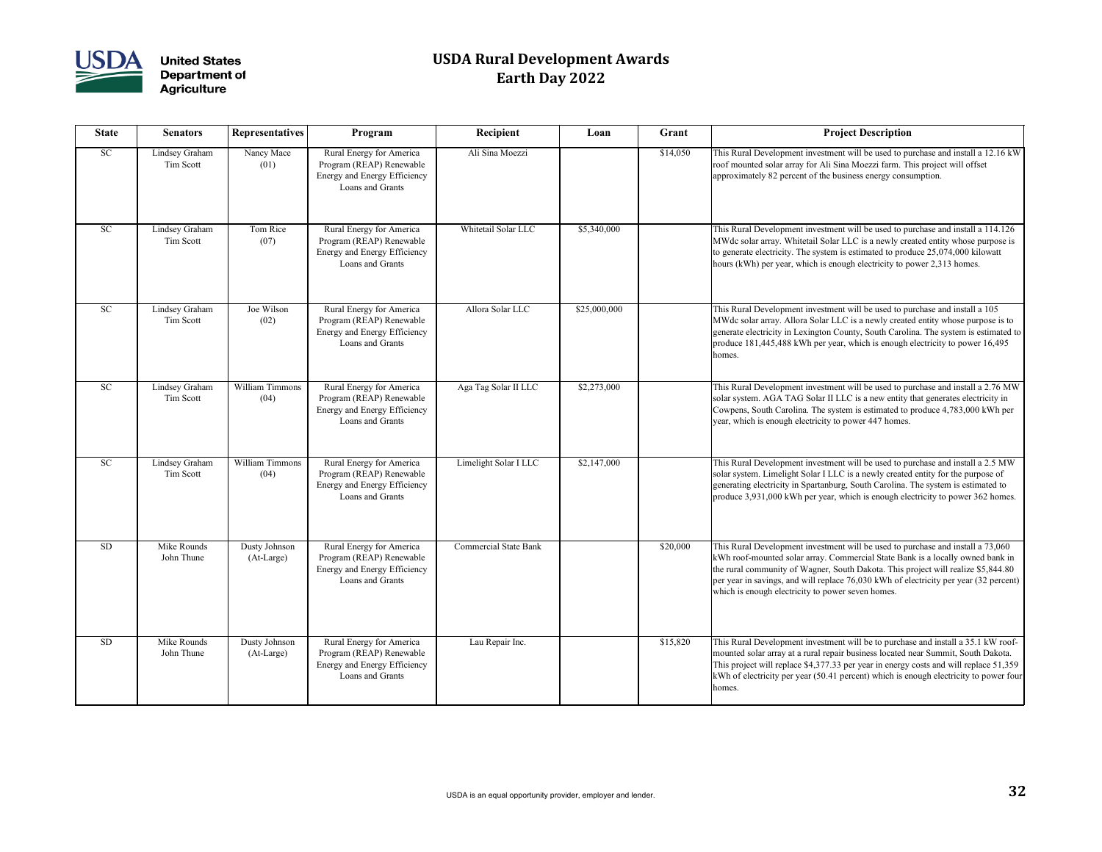

| <b>State</b> | <b>Senators</b>             | <b>Representatives</b>      | Program                                                                                                  | Recipient                    | Loan         | Grant    | <b>Project Description</b>                                                                                                                                                                                                                                                       |
|--------------|-----------------------------|-----------------------------|----------------------------------------------------------------------------------------------------------|------------------------------|--------------|----------|----------------------------------------------------------------------------------------------------------------------------------------------------------------------------------------------------------------------------------------------------------------------------------|
| <b>SC</b>    | Lindsey Graham<br>Tim Scott | Nancy Mace<br>(01)          | Rural Energy for America<br>Program (REAP) Renewable<br>Energy and Energy Efficiency<br>Loans and Grants | Ali Sina Moezzi              |              | \$14,050 | This Rural Development investment will be used to pu<br>roof mounted solar array for Ali Sina Moezzi farm. Th<br>approximately 82 percent of the business energy consu                                                                                                           |
| <b>SC</b>    | Lindsey Graham<br>Tim Scott | Tom Rice<br>(07)            | Rural Energy for America<br>Program (REAP) Renewable<br>Energy and Energy Efficiency<br>Loans and Grants | Whitetail Solar LLC          | \$5,340,000  |          | This Rural Development investment will be used to pu<br>MWdc solar array. Whitetail Solar LLC is a newly cre<br>to generate electricity. The system is estimated to prod<br>hours (kWh) per year, which is enough electricity to po                                              |
| <b>SC</b>    | Lindsey Graham<br>Tim Scott | Joe Wilson<br>(02)          | Rural Energy for America<br>Program (REAP) Renewable<br>Energy and Energy Efficiency<br>Loans and Grants | Allora Solar LLC             | \$25,000,000 |          | This Rural Development investment will be used to pu<br>MWdc solar array. Allora Solar LLC is a newly create<br>generate electricity in Lexington County, South Caroli<br>produce 181,445,488 kWh per year, which is enough<br>homes.                                            |
| <b>SC</b>    | Lindsey Graham<br>Tim Scott | William Timmons<br>(04)     | Rural Energy for America<br>Program (REAP) Renewable<br>Energy and Energy Efficiency<br>Loans and Grants | Aga Tag Solar II LLC         | \$2,273,000  |          | This Rural Development investment will be used to pu<br>solar system. AGA TAG Solar II LLC is a new entity t<br>Cowpens, South Carolina. The system is estimated to<br>year, which is enough electricity to power 447 homes.                                                     |
| <b>SC</b>    | Lindsey Graham<br>Tim Scott | William Timmons<br>(04)     | Rural Energy for America<br>Program (REAP) Renewable<br>Energy and Energy Efficiency<br>Loans and Grants | Limelight Solar I LLC        | \$2,147,000  |          | This Rural Development investment will be used to pu<br>solar system. Limelight Solar I LLC is a newly created<br>generating electricity in Spartanburg, South Carolina.<br>produce 3,931,000 kWh per year, which is enough ele                                                  |
| <b>SD</b>    | Mike Rounds<br>John Thune   | Dusty Johnson<br>(At-Large) | Rural Energy for America<br>Program (REAP) Renewable<br>Energy and Energy Efficiency<br>Loans and Grants | <b>Commercial State Bank</b> |              | \$20,000 | This Rural Development investment will be used to pu<br>kWh roof-mounted solar array. Commercial State Ban<br>the rural community of Wagner, South Dakota. This p<br>per year in savings, and will replace 76,030 kWh of el<br>which is enough electricity to power seven homes. |
| <b>SD</b>    | Mike Rounds<br>John Thune   | Dusty Johnson<br>(At-Large) | Rural Energy for America<br>Program (REAP) Renewable<br>Energy and Energy Efficiency<br>Loans and Grants | Lau Repair Inc.              |              | \$15,820 | This Rural Development investment will be to purchas<br>mounted solar array at a rural repair business located r<br>This project will replace \$4,377.33 per year in energy<br>kWh of electricity per year (50.41 percent) which is er<br>homes.                                 |

| Recipient                    | Loan         | Grant    | <b>Project Description</b>                                                                                                                                                                                                                                                                                                                                                                           |
|------------------------------|--------------|----------|------------------------------------------------------------------------------------------------------------------------------------------------------------------------------------------------------------------------------------------------------------------------------------------------------------------------------------------------------------------------------------------------------|
| Ali Sina Moezzi              |              | \$14,050 | This Rural Development investment will be used to purchase and install a 12.16 kW<br>roof mounted solar array for Ali Sina Moezzi farm. This project will offset<br>approximately 82 percent of the business energy consumption.                                                                                                                                                                     |
| Whitetail Solar LLC          | \$5,340,000  |          | This Rural Development investment will be used to purchase and install a 114.126<br>MWdc solar array. Whitetail Solar LLC is a newly created entity whose purpose is<br>to generate electricity. The system is estimated to produce 25,074,000 kilowatt<br>hours (kWh) per year, which is enough electricity to power 2,313 homes.                                                                   |
| Allora Solar LLC             | \$25,000,000 |          | This Rural Development investment will be used to purchase and install a 105<br>MWdc solar array. Allora Solar LLC is a newly created entity whose purpose is to<br>generate electricity in Lexington County, South Carolina. The system is estimated to<br>produce 181,445,488 kWh per year, which is enough electricity to power 16,495<br>homes.                                                  |
| Aga Tag Solar II LLC         | \$2,273,000  |          | This Rural Development investment will be used to purchase and install a 2.76 MW<br>solar system. AGA TAG Solar II LLC is a new entity that generates electricity in<br>Cowpens, South Carolina. The system is estimated to produce 4,783,000 kWh per<br>year, which is enough electricity to power 447 homes.                                                                                       |
| Limelight Solar I LLC        | \$2,147,000  |          | This Rural Development investment will be used to purchase and install a 2.5 MW<br>solar system. Limelight Solar I LLC is a newly created entity for the purpose of<br>generating electricity in Spartanburg, South Carolina. The system is estimated to<br>produce 3,931,000 kWh per year, which is enough electricity to power 362 homes.                                                          |
| <b>Commercial State Bank</b> |              | \$20,000 | This Rural Development investment will be used to purchase and install a 73,060<br>kWh roof-mounted solar array. Commercial State Bank is a locally owned bank in<br>the rural community of Wagner, South Dakota. This project will realize \$5,844.80<br>per year in savings, and will replace 76,030 kWh of electricity per year (32 percent)<br>which is enough electricity to power seven homes. |
| Lau Repair Inc.              |              | \$15,820 | This Rural Development investment will be to purchase and install a 35.1 kW roof-<br>mounted solar array at a rural repair business located near Summit, South Dakota.<br>This project will replace \$4,377.33 per year in energy costs and will replace 51,359<br>kWh of electricity per year (50.41 percent) which is enough electricity to power four<br>homes.                                   |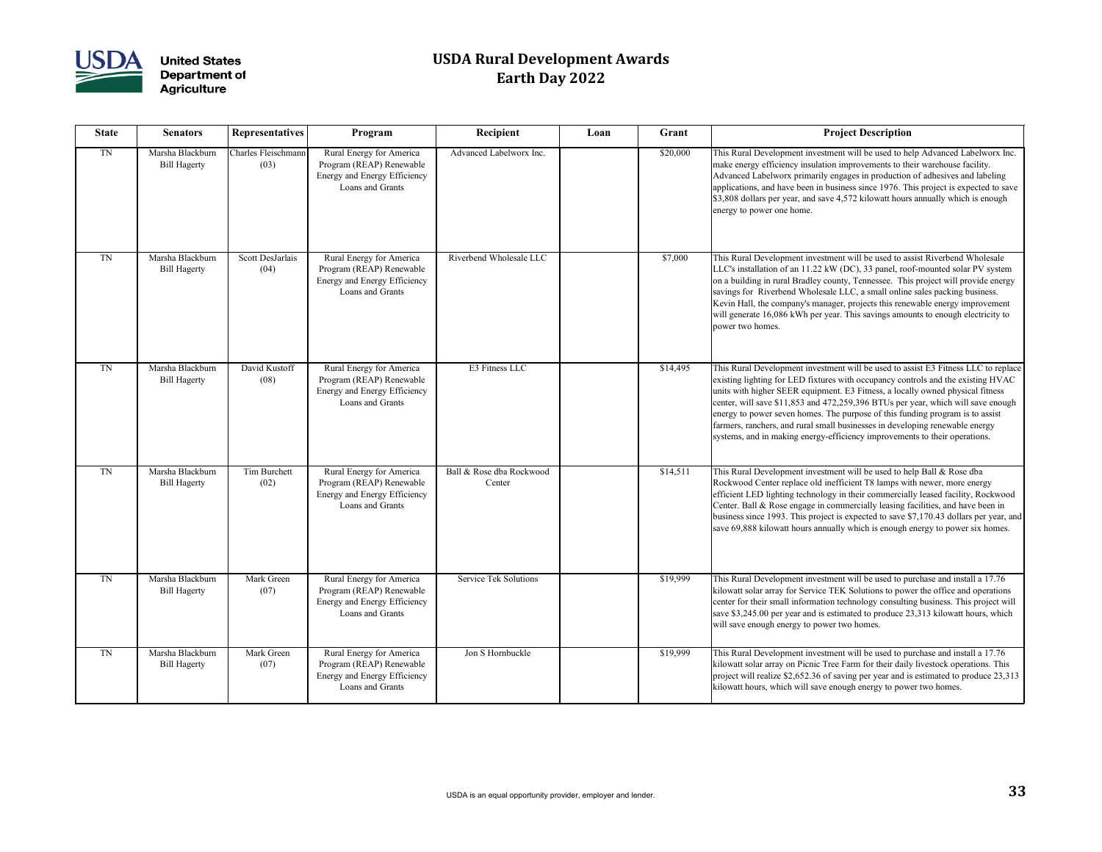

| <b>State</b> | <b>Senators</b>                         | <b>Representatives</b>      | Program                                                                                                         | Recipient                          | Loan | Grant    | <b>Project Description</b>                                                                                                                                                                                                                                                                                                                                                                                |
|--------------|-----------------------------------------|-----------------------------|-----------------------------------------------------------------------------------------------------------------|------------------------------------|------|----------|-----------------------------------------------------------------------------------------------------------------------------------------------------------------------------------------------------------------------------------------------------------------------------------------------------------------------------------------------------------------------------------------------------------|
| TN           | Marsha Blackburn<br><b>Bill Hagerty</b> | Charles Fleischmann<br>(03) | Rural Energy for America<br>Program (REAP) Renewable<br>Energy and Energy Efficiency<br>Loans and Grants        | Advanced Labelworx Inc.            |      | \$20,000 | This Rural Development investment will be used to he<br>make energy efficiency insulation improvements to the<br>Advanced Labelworx primarily engages in production<br>applications, and have been in business since 1976. Th<br>\$3,808 dollars per year, and save 4,572 kilowatt hours<br>energy to power one home.                                                                                     |
| <b>TN</b>    | Marsha Blackburn<br><b>Bill Hagerty</b> | Scott DesJarlais<br>(04)    | Rural Energy for America<br>Program (REAP) Renewable<br>Energy and Energy Efficiency<br>Loans and Grants        | Riverbend Wholesale LLC            |      | \$7,000  | This Rural Development investment will be used to as<br>LLC's installation of an 11.22 kW (DC), 33 panel, roo<br>on a building in rural Bradley county, Tennessee. This<br>savings for Riverbend Wholesale LLC, a small online<br>Kevin Hall, the company's manager, projects this reney<br>will generate 16,086 kWh per year. This savings amou<br>power two homes.                                      |
| TN           | Marsha Blackburn<br><b>Bill Hagerty</b> | David Kustoff<br>(08)       | Rural Energy for America<br>Program (REAP) Renewable<br>Energy and Energy Efficiency<br>Loans and Grants        | E3 Fitness LLC                     |      | \$14,495 | This Rural Development investment will be used to as<br>existing lighting for LED fixtures with occupancy con<br>units with higher SEER equipment. E3 Fitness, a local<br>center, will save \$11,853 and 472,259,396 BTUs per y<br>energy to power seven homes. The purpose of this fun<br>farmers, ranchers, and rural small businesses in develo<br>systems, and in making energy-efficiency improvemer |
| TN           | Marsha Blackburn<br><b>Bill Hagerty</b> | <b>Tim Burchett</b><br>(02) | Rural Energy for America<br>Program (REAP) Renewable<br><b>Energy and Energy Efficiency</b><br>Loans and Grants | Ball & Rose dba Rockwood<br>Center |      | \$14,511 | This Rural Development investment will be used to he<br>Rockwood Center replace old inefficient T8 lamps wit<br>efficient LED lighting technology in their commercial<br>Center. Ball & Rose engage in commercially leasing fa<br>business since 1993. This project is expected to save \$<br>save 69,888 kilowatt hours annually which is enough of                                                      |
| <b>TN</b>    | Marsha Blackburn<br><b>Bill Hagerty</b> | Mark Green<br>(07)          | Rural Energy for America<br>Program (REAP) Renewable<br>Energy and Energy Efficiency<br>Loans and Grants        | <b>Service Tek Solutions</b>       |      | \$19,999 | This Rural Development investment will be used to pu<br>kilowatt solar array for Service TEK Solutions to pow<br>center for their small information technology consultir<br>save \$3,245.00 per year and is estimated to produce 2.<br>will save enough energy to power two homes.                                                                                                                        |
| TN           | Marsha Blackburn<br><b>Bill Hagerty</b> | Mark Green<br>(07)          | Rural Energy for America<br>Program (REAP) Renewable<br>Energy and Energy Efficiency<br>Loans and Grants        | Jon S Hornbuckle                   |      | \$19,999 | This Rural Development investment will be used to pu<br>kilowatt solar array on Picnic Tree Farm for their daily<br>project will realize \$2,652.36 of saving per year and is<br>kilowatt hours, which will save enough energy to power                                                                                                                                                                   |

| Recipient                          | Loan | Grant    | <b>Project Description</b>                                                                                                                                                                                                                                                                                                                                                                                                                                                                                                                                                                  |
|------------------------------------|------|----------|---------------------------------------------------------------------------------------------------------------------------------------------------------------------------------------------------------------------------------------------------------------------------------------------------------------------------------------------------------------------------------------------------------------------------------------------------------------------------------------------------------------------------------------------------------------------------------------------|
| Advanced Labelworx Inc.            |      | \$20,000 | This Rural Development investment will be used to help Advanced Labelworx Inc.<br>make energy efficiency insulation improvements to their warehouse facility.<br>Advanced Labelworx primarily engages in production of adhesives and labeling<br>applications, and have been in business since 1976. This project is expected to save<br>\$3,808 dollars per year, and save 4,572 kilowatt hours annually which is enough<br>energy to power one home.                                                                                                                                      |
| Riverbend Wholesale LLC            |      | \$7,000  | This Rural Development investment will be used to assist Riverbend Wholesale<br>LLC's installation of an 11.22 kW (DC), 33 panel, roof-mounted solar PV system<br>on a building in rural Bradley county, Tennessee. This project will provide energy<br>savings for Riverbend Wholesale LLC, a small online sales packing business.<br>Kevin Hall, the company's manager, projects this renewable energy improvement<br>will generate 16,086 kWh per year. This savings amounts to enough electricity to<br>power two homes.                                                                |
| E3 Fitness LLC                     |      | \$14,495 | This Rural Development investment will be used to assist E3 Fitness LLC to replace<br>existing lighting for LED fixtures with occupancy controls and the existing HVAC<br>units with higher SEER equipment. E3 Fitness, a locally owned physical fitness<br>center, will save \$11,853 and 472,259,396 BTUs per year, which will save enough<br>energy to power seven homes. The purpose of this funding program is to assist<br>farmers, ranchers, and rural small businesses in developing renewable energy<br>systems, and in making energy-efficiency improvements to their operations. |
| Ball & Rose dba Rockwood<br>Center |      | \$14,511 | This Rural Development investment will be used to help Ball & Rose dba<br>Rockwood Center replace old inefficient T8 lamps with newer, more energy<br>efficient LED lighting technology in their commercially leased facility, Rockwood<br>Center. Ball & Rose engage in commercially leasing facilities, and have been in<br>business since 1993. This project is expected to save \$7,170.43 dollars per year, and<br>save 69,888 kilowatt hours annually which is enough energy to power six homes.                                                                                      |
| <b>Service Tek Solutions</b>       |      | \$19,999 | This Rural Development investment will be used to purchase and install a 17.76<br>kilowatt solar array for Service TEK Solutions to power the office and operations<br>center for their small information technology consulting business. This project will<br>save \$3,245.00 per year and is estimated to produce 23,313 kilowatt hours, which<br>will save enough energy to power two homes.                                                                                                                                                                                             |
| Jon S Hornbuckle                   |      | \$19,999 | This Rural Development investment will be used to purchase and install a 17.76<br>kilowatt solar array on Picnic Tree Farm for their daily livestock operations. This<br>project will realize \$2,652.36 of saving per year and is estimated to produce 23,313<br>kilowatt hours, which will save enough energy to power two homes.                                                                                                                                                                                                                                                         |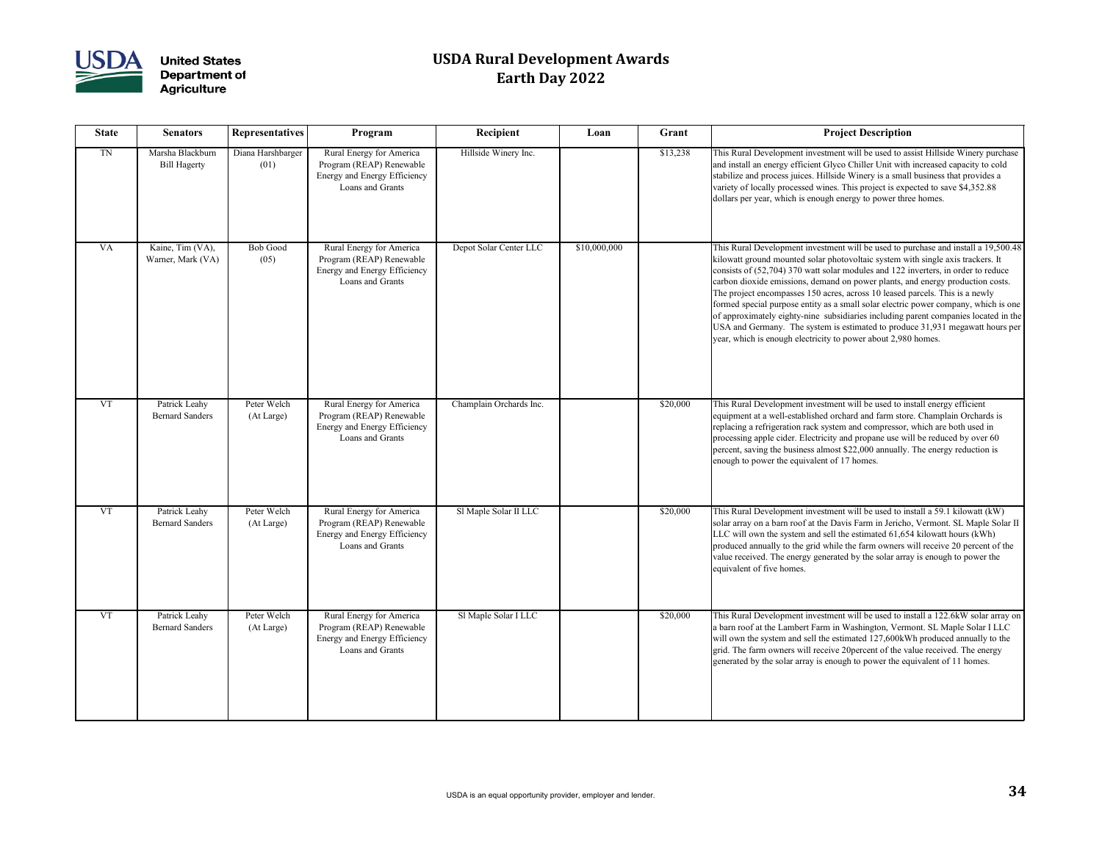

| <b>State</b> | <b>Senators</b>                         | <b>Representatives</b>    | Program                                                                                                         | Recipient               | Loan         | Grant    | <b>Project Description</b>                                                                                                                                                                                                                                                                                                                                                                                                                                                                                                                                                                                                                                                                                                                                   |
|--------------|-----------------------------------------|---------------------------|-----------------------------------------------------------------------------------------------------------------|-------------------------|--------------|----------|--------------------------------------------------------------------------------------------------------------------------------------------------------------------------------------------------------------------------------------------------------------------------------------------------------------------------------------------------------------------------------------------------------------------------------------------------------------------------------------------------------------------------------------------------------------------------------------------------------------------------------------------------------------------------------------------------------------------------------------------------------------|
| <b>TN</b>    | Marsha Blackburn<br><b>Bill Hagerty</b> | Diana Harshbarger<br>(01) | Rural Energy for America<br>Program (REAP) Renewable<br><b>Energy and Energy Efficiency</b><br>Loans and Grants | Hillside Winery Inc.    |              | \$13,238 | This Rural Development investment will be used to assist Hillside Winery purchase<br>and install an energy efficient Glyco Chiller Unit with increased capacity to cold<br>stabilize and process juices. Hillside Winery is a small business that provides a<br>variety of locally processed wines. This project is expected to save \$4,352.88<br>dollars per year, which is enough energy to power three homes.                                                                                                                                                                                                                                                                                                                                            |
| <b>VA</b>    | Kaine, Tim (VA),<br>Warner, Mark (VA)   | <b>Bob Good</b><br>(05)   | Rural Energy for America<br>Program (REAP) Renewable<br>Energy and Energy Efficiency<br>Loans and Grants        | Depot Solar Center LLC  | \$10,000,000 |          | This Rural Development investment will be used to purchase and install a 19,500.48<br>kilowatt ground mounted solar photovoltaic system with single axis trackers. It<br>consists of (52,704) 370 watt solar modules and 122 inverters, in order to reduce<br>carbon dioxide emissions, demand on power plants, and energy production costs.<br>The project encompasses 150 acres, across 10 leased parcels. This is a newly<br>formed special purpose entity as a small solar electric power company, which is one<br>of approximately eighty-nine subsidiaries including parent companies located in the<br>USA and Germany. The system is estimated to produce 31,931 megawatt hours per<br>year, which is enough electricity to power about 2,980 homes. |
| <b>VT</b>    | Patrick Leahy<br><b>Bernard Sanders</b> | Peter Welch<br>(At Large) | Rural Energy for America<br>Program (REAP) Renewable<br>Energy and Energy Efficiency<br>Loans and Grants        | Champlain Orchards Inc. |              | \$20,000 | This Rural Development investment will be used to install energy efficient<br>equipment at a well-established orchard and farm store. Champlain Orchards is<br>replacing a refrigeration rack system and compressor, which are both used in<br>processing apple cider. Electricity and propane use will be reduced by over 60<br>percent, saving the business almost \$22,000 annually. The energy reduction is<br>enough to power the equivalent of 17 homes.                                                                                                                                                                                                                                                                                               |
| <b>VT</b>    | Patrick Leahy<br><b>Bernard Sanders</b> | Peter Welch<br>(At Large) | Rural Energy for America<br>Program (REAP) Renewable<br>Energy and Energy Efficiency<br>Loans and Grants        | Sl Maple Solar II LLC   |              | \$20,000 | This Rural Development investment will be used to install a 59.1 kilowatt (kW)<br>solar array on a barn roof at the Davis Farm in Jericho, Vermont. SL Maple Solar II<br>LLC will own the system and sell the estimated 61,654 kilowatt hours (kWh)<br>produced annually to the grid while the farm owners will receive 20 percent of the<br>value received. The energy generated by the solar array is enough to power the<br>equivalent of five homes.                                                                                                                                                                                                                                                                                                     |
| <b>VT</b>    | Patrick Leahy<br><b>Bernard Sanders</b> | Peter Welch<br>(At Large) | Rural Energy for America<br>Program (REAP) Renewable<br>Energy and Energy Efficiency<br>Loans and Grants        | Sl Maple Solar I LLC    |              | \$20,000 | This Rural Development investment will be used to install a 122.6kW solar array on<br>a barn roof at the Lambert Farm in Washington, Vermont. SL Maple Solar I LLC<br>will own the system and sell the estimated 127,600kWh produced annually to the<br>grid. The farm owners will receive 20percent of the value received. The energy<br>generated by the solar array is enough to power the equivalent of 11 homes.                                                                                                                                                                                                                                                                                                                                        |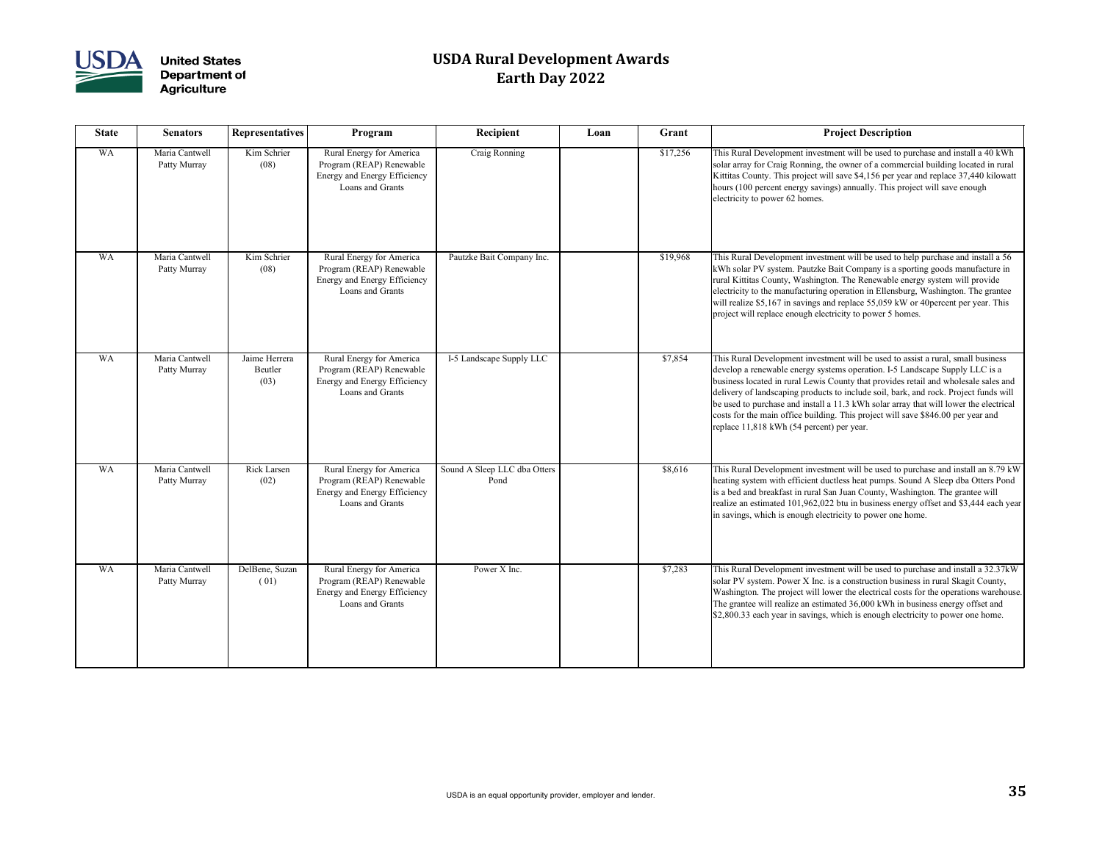

| <b>State</b> | <b>Senators</b>                | <b>Representatives</b>           | Program                                                                                                  | Recipient                            | Loan | Grant    | <b>Project Description</b>                                                                                                                                                                                                                                                                                                                                                                                                                                                                                                                                               |
|--------------|--------------------------------|----------------------------------|----------------------------------------------------------------------------------------------------------|--------------------------------------|------|----------|--------------------------------------------------------------------------------------------------------------------------------------------------------------------------------------------------------------------------------------------------------------------------------------------------------------------------------------------------------------------------------------------------------------------------------------------------------------------------------------------------------------------------------------------------------------------------|
| <b>WA</b>    | Maria Cantwell<br>Patty Murray | Kim Schrier<br>(08)              | Rural Energy for America<br>Program (REAP) Renewable<br>Energy and Energy Efficiency<br>Loans and Grants | Craig Ronning                        |      | \$17,256 | This Rural Development investment will be used to purchase and install a 40 kWh<br>solar array for Craig Ronning, the owner of a commercial building located in rural<br>Kittitas County. This project will save \$4,156 per year and replace 37,440 kilowatt<br>hours (100 percent energy savings) annually. This project will save enough<br>electricity to power 62 homes.                                                                                                                                                                                            |
| <b>WA</b>    | Maria Cantwell<br>Patty Murray | Kim Schrier<br>(08)              | Rural Energy for America<br>Program (REAP) Renewable<br>Energy and Energy Efficiency<br>Loans and Grants | Pautzke Bait Company Inc.            |      | \$19,968 | This Rural Development investment will be used to help purchase and install a 56<br>kWh solar PV system. Pautzke Bait Company is a sporting goods manufacture in<br>rural Kittitas County, Washington. The Renewable energy system will provide<br>electricity to the manufacturing operation in Ellensburg, Washington. The grantee<br>will realize \$5,167 in savings and replace 55,059 kW or 40 percent per year. This<br>project will replace enough electricity to power 5 homes.                                                                                  |
| <b>WA</b>    | Maria Cantwell<br>Patty Murray | Jaime Herrera<br>Beutler<br>(03) | Rural Energy for America<br>Program (REAP) Renewable<br>Energy and Energy Efficiency<br>Loans and Grants | I-5 Landscape Supply LLC             |      | \$7,854  | This Rural Development investment will be used to assist a rural, small business<br>develop a renewable energy systems operation. I-5 Landscape Supply LLC is a<br>business located in rural Lewis County that provides retail and wholesale sales and<br>delivery of landscaping products to include soil, bark, and rock. Project funds will<br>be used to purchase and install a 11.3 kWh solar array that will lower the electrical<br>costs for the main office building. This project will save \$846.00 per year and<br>replace 11,818 kWh (54 percent) per year. |
| WA           | Maria Cantwell<br>Patty Murray | Rick Larsen<br>(02)              | Rural Energy for America<br>Program (REAP) Renewable<br>Energy and Energy Efficiency<br>Loans and Grants | Sound A Sleep LLC dba Otters<br>Pond |      | \$8,616  | This Rural Development investment will be used to purchase and install an 8.79 kW<br>heating system with efficient ductless heat pumps. Sound A Sleep dba Otters Pond<br>is a bed and breakfast in rural San Juan County, Washington. The grantee will<br>realize an estimated 101,962,022 btu in business energy offset and \$3,444 each year<br>in savings, which is enough electricity to power one home.                                                                                                                                                             |
| <b>WA</b>    | Maria Cantwell<br>Patty Murray | DelBene, Suzan<br>(01)           | Rural Energy for America<br>Program (REAP) Renewable<br>Energy and Energy Efficiency<br>Loans and Grants | Power X Inc.                         |      | \$7,283  | This Rural Development investment will be used to purchase and install a 32.37kW<br>solar PV system. Power X Inc. is a construction business in rural Skagit County,<br>Washington. The project will lower the electrical costs for the operations warehouse.<br>The grantee will realize an estimated 36,000 kWh in business energy offset and<br>\$2,800.33 each year in savings, which is enough electricity to power one home.                                                                                                                                       |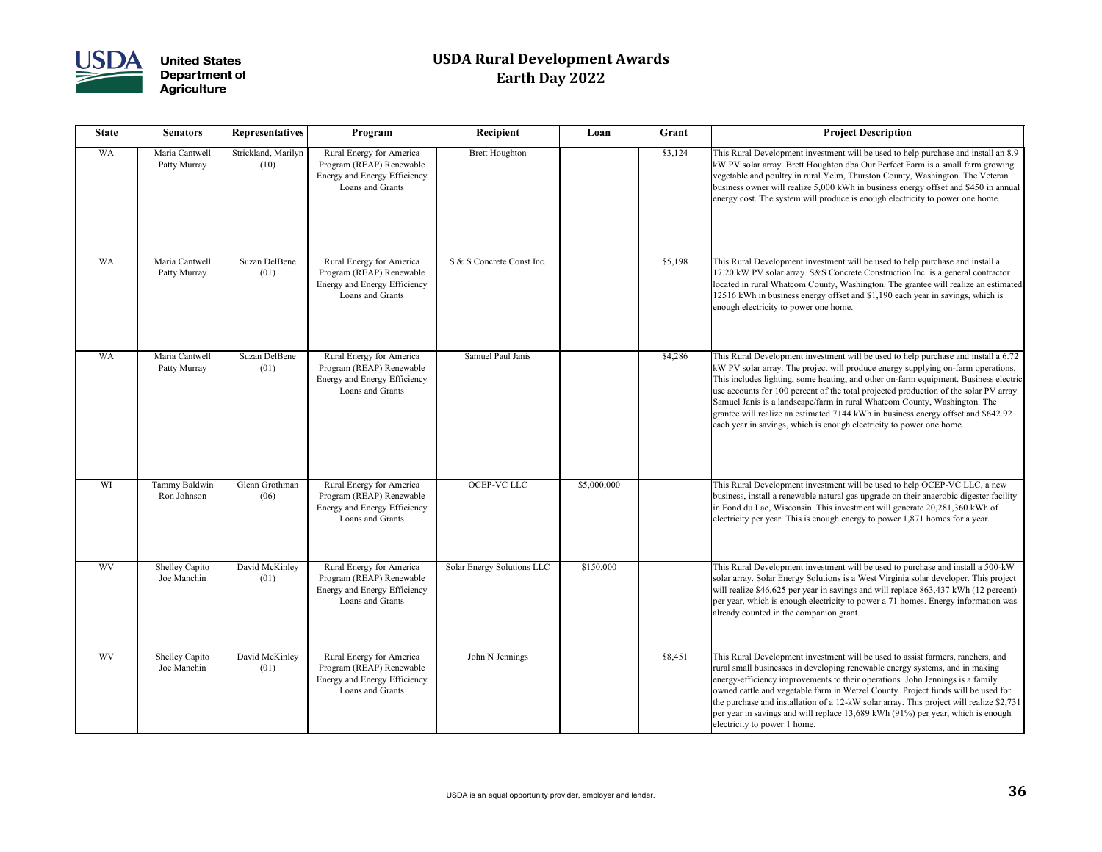

| <b>State</b> | <b>Senators</b>                      | <b>Representatives</b>       | Program                                                                                                  | Recipient                  | Loan        | Grant   | <b>Project Description</b>                                                                                                                                                                                                                                                                                                                                                                                                                                                                                                                                                                        |
|--------------|--------------------------------------|------------------------------|----------------------------------------------------------------------------------------------------------|----------------------------|-------------|---------|---------------------------------------------------------------------------------------------------------------------------------------------------------------------------------------------------------------------------------------------------------------------------------------------------------------------------------------------------------------------------------------------------------------------------------------------------------------------------------------------------------------------------------------------------------------------------------------------------|
| <b>WA</b>    | Maria Cantwell<br>Patty Murray       | Strickland, Marilyn<br>(10)  | Rural Energy for America<br>Program (REAP) Renewable<br>Energy and Energy Efficiency<br>Loans and Grants | <b>Brett Houghton</b>      |             | \$3,124 | This Rural Development investment will be used to help purchase and install an 8.9<br>kW PV solar array. Brett Houghton dba Our Perfect Farm is a small farm growing<br>vegetable and poultry in rural Yelm, Thurston County, Washington. The Veteran<br>business owner will realize 5,000 kWh in business energy offset and \$450 in annual<br>energy cost. The system will produce is enough electricity to power one home.                                                                                                                                                                     |
| <b>WA</b>    | Maria Cantwell<br>Patty Murray       | Suzan DelBene<br>(01)        | Rural Energy for America<br>Program (REAP) Renewable<br>Energy and Energy Efficiency<br>Loans and Grants | S & S Concrete Const Inc.  |             | \$5,198 | This Rural Development investment will be used to help purchase and install a<br>17.20 kW PV solar array. S&S Concrete Construction Inc. is a general contractor<br>located in rural Whatcom County, Washington. The grantee will realize an estimated<br>12516 kWh in business energy offset and \$1,190 each year in savings, which is<br>enough electricity to power one home.                                                                                                                                                                                                                 |
| <b>WA</b>    | Maria Cantwell<br>Patty Murray       | <b>Suzan DelBene</b><br>(01) | Rural Energy for America<br>Program (REAP) Renewable<br>Energy and Energy Efficiency<br>Loans and Grants | Samuel Paul Janis          |             | \$4,286 | This Rural Development investment will be used to help purchase and install a 6.72<br>kW PV solar array. The project will produce energy supplying on-farm operations.<br>This includes lighting, some heating, and other on-farm equipment. Business electric<br>use accounts for 100 percent of the total projected production of the solar PV array.<br>Samuel Janis is a landscape/farm in rural Whatcom County, Washington. The<br>grantee will realize an estimated 7144 kWh in business energy offset and \$642.92<br>each year in savings, which is enough electricity to power one home. |
| WI           | Tammy Baldwin<br>Ron Johnson         | Glenn Grothman<br>(06)       | Rural Energy for America<br>Program (REAP) Renewable<br>Energy and Energy Efficiency<br>Loans and Grants | <b>OCEP-VC LLC</b>         | \$5,000,000 |         | This Rural Development investment will be used to help OCEP-VC LLC, a new<br>business, install a renewable natural gas upgrade on their anaerobic digester facility<br>in Fond du Lac, Wisconsin. This investment will generate 20,281,360 kWh of<br>electricity per year. This is enough energy to power $1,871$ homes for a year.                                                                                                                                                                                                                                                               |
| <b>WV</b>    | <b>Shelley Capito</b><br>Joe Manchin | David McKinley<br>(01)       | Rural Energy for America<br>Program (REAP) Renewable<br>Energy and Energy Efficiency<br>Loans and Grants | Solar Energy Solutions LLC | \$150,000   |         | This Rural Development investment will be used to purchase and install a 500-kW<br>solar array. Solar Energy Solutions is a West Virginia solar developer. This project<br>will realize \$46,625 per year in savings and will replace 863,437 kWh (12 percent)<br>per year, which is enough electricity to power a 71 homes. Energy information was<br>already counted in the companion grant.                                                                                                                                                                                                    |
| <b>WV</b>    | <b>Shelley Capito</b><br>Joe Manchin | David McKinley<br>(01)       | Rural Energy for America<br>Program (REAP) Renewable<br>Energy and Energy Efficiency<br>Loans and Grants | John N Jennings            |             | \$8,451 | This Rural Development investment will be used to assist farmers, ranchers, and<br>rural small businesses in developing renewable energy systems, and in making<br>energy-efficiency improvements to their operations. John Jennings is a family<br>owned cattle and vegetable farm in Wetzel County. Project funds will be used for<br>the purchase and installation of a 12-kW solar array. This project will realize \$2,731<br>per year in savings and will replace 13,689 kWh (91%) per year, which is enough<br>electricity to power 1 home.                                                |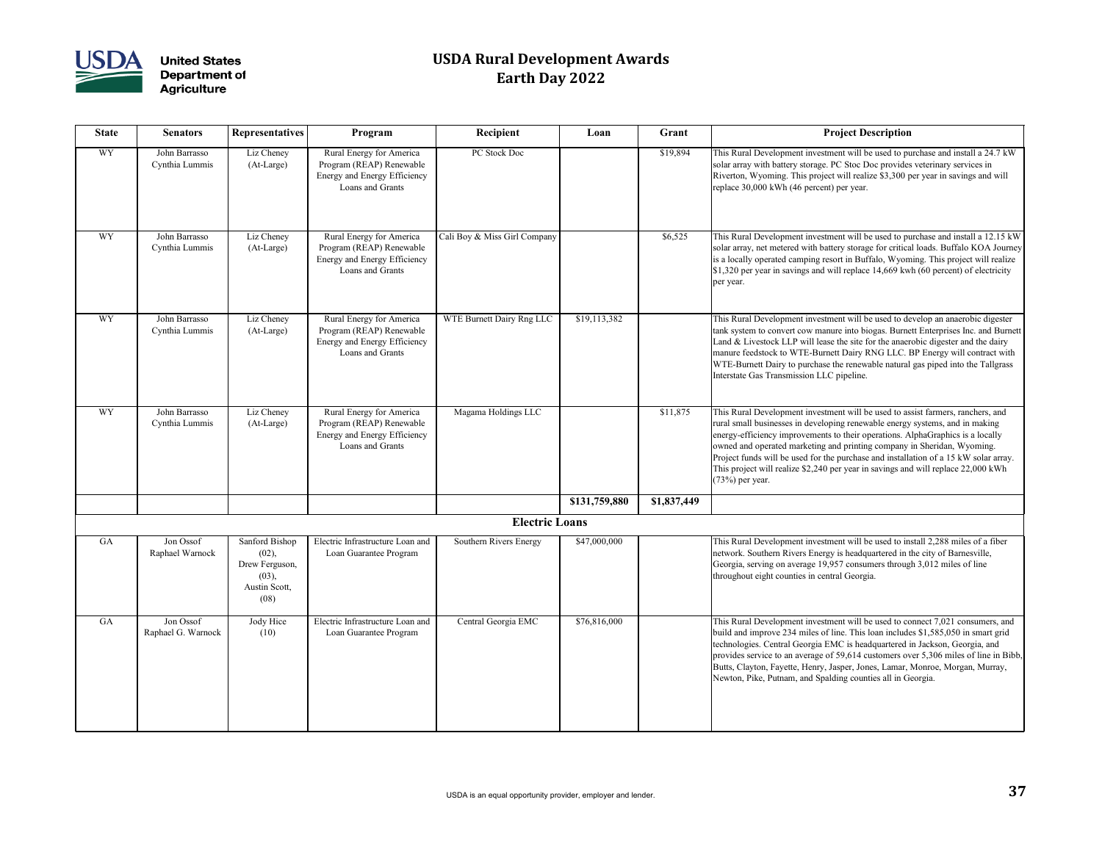

| <b>State</b> | <b>Senators</b>                 | <b>Representatives</b>                                                      | Program                                                                                                  | Recipient                    | Loan          | Grant       | <b>Project Description</b>                                                                                                                                                                                                                                                                                                                                                                                                                                                                                                     |
|--------------|---------------------------------|-----------------------------------------------------------------------------|----------------------------------------------------------------------------------------------------------|------------------------------|---------------|-------------|--------------------------------------------------------------------------------------------------------------------------------------------------------------------------------------------------------------------------------------------------------------------------------------------------------------------------------------------------------------------------------------------------------------------------------------------------------------------------------------------------------------------------------|
| <b>WY</b>    | John Barrasso<br>Cynthia Lummis | Liz Cheney<br>(At-Large)                                                    | Rural Energy for America<br>Program (REAP) Renewable<br>Energy and Energy Efficiency<br>Loans and Grants | PC Stock Doc                 |               | \$19,894    | This Rural Development investment will be used to purchase and install a 24.7 kW<br>solar array with battery storage. PC Stoc Doc provides veterinary services in<br>Riverton, Wyoming. This project will realize \$3,300 per year in savings and will<br>replace 30,000 kWh (46 percent) per year.                                                                                                                                                                                                                            |
| <b>WY</b>    | John Barrasso<br>Cynthia Lummis | Liz Cheney<br>(At-Large)                                                    | Rural Energy for America<br>Program (REAP) Renewable<br>Energy and Energy Efficiency<br>Loans and Grants | Cali Boy & Miss Girl Company |               | \$6,525     | This Rural Development investment will be used to purchase and install a 12.15 kW<br>solar array, net metered with battery storage for critical loads. Buffalo KOA Journey<br>is a locally operated camping resort in Buffalo, Wyoming. This project will realize<br>\$1,320 per year in savings and will replace 14,669 kwh (60 percent) of electricity<br>per year.                                                                                                                                                          |
| <b>WY</b>    | John Barrasso<br>Cynthia Lummis | Liz Cheney<br>(At-Large)                                                    | Rural Energy for America<br>Program (REAP) Renewable<br>Energy and Energy Efficiency<br>Loans and Grants | WTE Burnett Dairy Rng LLC    | \$19,113,382  |             | This Rural Development investment will be used to develop an anaerobic digester<br>tank system to convert cow manure into biogas. Burnett Enterprises Inc. and Burnett<br>Land $&$ Livestock LLP will lease the site for the anaerobic digester and the dairy<br>manure feedstock to WTE-Burnett Dairy RNG LLC. BP Energy will contract with<br>WTE-Burnett Dairy to purchase the renewable natural gas piped into the Tallgrass<br>Interstate Gas Transmission LLC pipeline.                                                  |
| <b>WY</b>    | John Barrasso<br>Cynthia Lummis | Liz Cheney<br>(At-Large)                                                    | Rural Energy for America<br>Program (REAP) Renewable<br>Energy and Energy Efficiency<br>Loans and Grants | Magama Holdings LLC          |               | \$11,875    | This Rural Development investment will be used to assist farmers, ranchers, and<br>rural small businesses in developing renewable energy systems, and in making<br>energy-efficiency improvements to their operations. AlphaGraphics is a locally<br>owned and operated marketing and printing company in Sheridan, Wyoming.<br>Project funds will be used for the purchase and installation of a 15 kW solar array.<br>This project will realize \$2,240 per year in savings and will replace 22,000 kWh<br>$(73%)$ per year. |
|              |                                 |                                                                             |                                                                                                          |                              | \$131,759,880 | \$1,837,449 |                                                                                                                                                                                                                                                                                                                                                                                                                                                                                                                                |
|              |                                 |                                                                             |                                                                                                          | <b>Electric Loans</b>        |               |             |                                                                                                                                                                                                                                                                                                                                                                                                                                                                                                                                |
| GA           | Jon Ossof<br>Raphael Warnock    | Sanford Bishop<br>(02),<br>Drew Ferguson,<br>(03),<br>Austin Scott,<br>(08) | Electric Infrastructure Loan and<br>Loan Guarantee Program                                               | Southern Rivers Energy       | \$47,000,000  |             | This Rural Development investment will be used to install 2,288 miles of a fiber<br>network. Southern Rivers Energy is headquartered in the city of Barnesville,<br>Georgia, serving on average 19,957 consumers through 3,012 miles of line<br>throughout eight counties in central Georgia.                                                                                                                                                                                                                                  |
| GA           | Jon Ossof<br>Raphael G. Warnock | Jody Hice<br>(10)                                                           | Electric Infrastructure Loan and<br>Loan Guarantee Program                                               | Central Georgia EMC          | \$76,816,000  |             | This Rural Development investment will be used to connect 7,021 consumers, and<br>build and improve 234 miles of line. This loan includes \$1,585,050 in smart grid<br>technologies. Central Georgia EMC is headquartered in Jackson, Georgia, and<br>provides service to an average of 59,614 customers over 5,306 miles of line in Bibb,<br>Butts, Clayton, Fayette, Henry, Jasper, Jones, Lamar, Monroe, Morgan, Murray,<br>Newton, Pike, Putnam, and Spalding counties all in Georgia.                                     |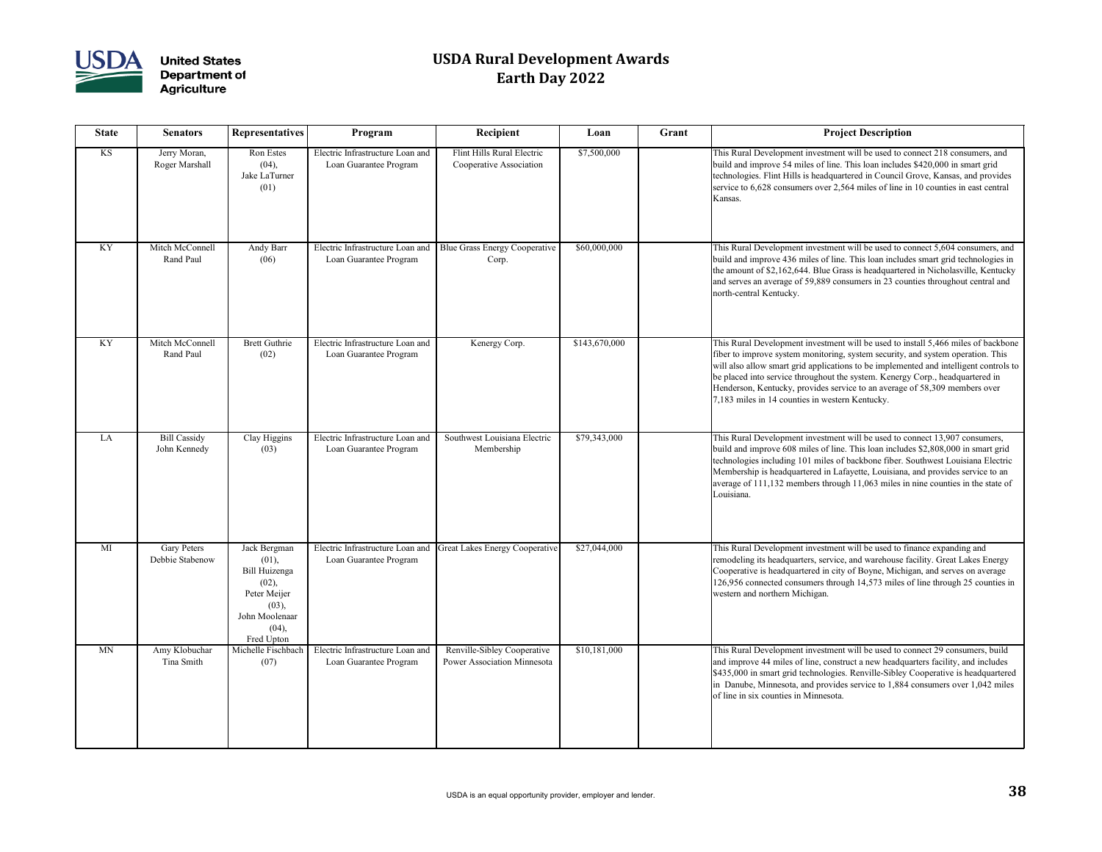

| <b>State</b> | <b>Senators</b>                       | <b>Representatives</b>                                                                                            | Program                                                    | Recipient                                                         | Loan          | Grant | <b>Project Description</b>                                                                                                                                                                                                                                                                                                                                                                                                                                                      |
|--------------|---------------------------------------|-------------------------------------------------------------------------------------------------------------------|------------------------------------------------------------|-------------------------------------------------------------------|---------------|-------|---------------------------------------------------------------------------------------------------------------------------------------------------------------------------------------------------------------------------------------------------------------------------------------------------------------------------------------------------------------------------------------------------------------------------------------------------------------------------------|
| KS           | Jerry Moran,<br>Roger Marshall        | <b>Ron Estes</b><br>(04),<br>Jake LaTurner<br>(01)                                                                | Electric Infrastructure Loan and<br>Loan Guarantee Program | Flint Hills Rural Electric<br>Cooperative Association             | \$7,500,000   |       | This Rural Development investment will be used to connect 218 consumers, and<br>build and improve 54 miles of line. This loan includes \$420,000 in smart grid<br>technologies. Flint Hills is headquartered in Council Grove, Kansas, and provides<br>service to 6,628 consumers over 2,564 miles of line in 10 counties in east central<br>Kansas.                                                                                                                            |
| <b>KY</b>    | Mitch McConnell<br>Rand Paul          | Andy Barr<br>(06)                                                                                                 | Electric Infrastructure Loan and<br>Loan Guarantee Program | <b>Blue Grass Energy Cooperative</b><br>Corp.                     | \$60,000,000  |       | This Rural Development investment will be used to connect 5,604 consumers, and<br>build and improve 436 miles of line. This loan includes smart grid technologies in<br>the amount of \$2,162,644. Blue Grass is headquartered in Nicholasville, Kentucky<br>and serves an average of 59,889 consumers in 23 counties throughout central and<br>north-central Kentucky.                                                                                                         |
| <b>KY</b>    | Mitch McConnell<br>Rand Paul          | <b>Brett Guthrie</b><br>(02)                                                                                      | Electric Infrastructure Loan and<br>Loan Guarantee Program | Kenergy Corp.                                                     | \$143,670,000 |       | This Rural Development investment will be used to install 5,466 miles of backbone<br>fiber to improve system monitoring, system security, and system operation. This<br>will also allow smart grid applications to be implemented and intelligent controls to<br>be placed into service throughout the system. Kenergy Corp., headquartered in<br>Henderson, Kentucky, provides service to an average of 58,309 members over<br>7,183 miles in 14 counties in western Kentucky. |
| LA           | <b>Bill Cassidy</b><br>John Kennedy   | Clay Higgins<br>(03)                                                                                              | Electric Infrastructure Loan and<br>Loan Guarantee Program | Southwest Louisiana Electric<br>Membership                        | \$79,343,000  |       | This Rural Development investment will be used to connect 13,907 consumers,<br>build and improve 608 miles of line. This loan includes \$2,808,000 in smart grid<br>technologies including 101 miles of backbone fiber. Southwest Louisiana Electric<br>Membership is headquartered in Lafayette, Louisiana, and provides service to an<br>average of $111,132$ members through 11,063 miles in nine counties in the state of<br>Louisiana.                                     |
| MI           | <b>Gary Peters</b><br>Debbie Stabenow | Jack Bergman<br>(01),<br>Bill Huizenga<br>(02),<br>Peter Meijer<br>(03),<br>John Moolenaar<br>(04),<br>Fred Upton | Electric Infrastructure Loan and<br>Loan Guarantee Program | <b>Great Lakes Energy Cooperative</b>                             | \$27,044,000  |       | This Rural Development investment will be used to finance expanding and<br>remodeling its headquarters, service, and warehouse facility. Great Lakes Energy<br>Cooperative is headquartered in city of Boyne, Michigan, and serves on average<br>126,956 connected consumers through 14,573 miles of line through 25 counties in<br>western and northern Michigan.                                                                                                              |
| <b>MN</b>    | Amy Klobuchar<br>Tina Smith           | Michelle Fischbach<br>(07)                                                                                        | Electric Infrastructure Loan and<br>Loan Guarantee Program | Renville-Sibley Cooperative<br><b>Power Association Minnesota</b> | \$10,181,000  |       | This Rural Development investment will be used to connect 29 consumers, build<br>and improve 44 miles of line, construct a new headquarters facility, and includes<br>\$435,000 in smart grid technologies. Renville-Sibley Cooperative is headquartered<br>in Danube, Minnesota, and provides service to $1,884$ consumers over $1,042$ miles<br>of line in six counties in Minnesota.                                                                                         |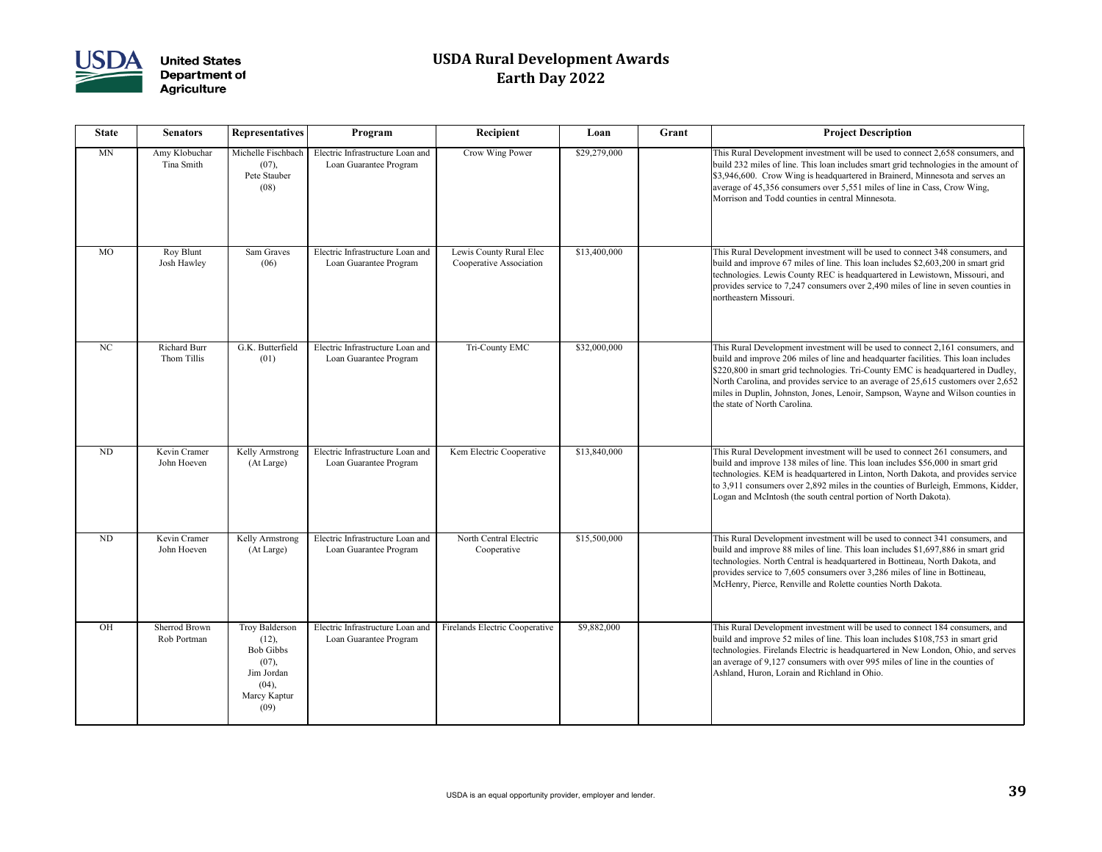

| <b>State</b> | <b>Senators</b>                     | <b>Representatives</b>                                                                              | Program                                                    | Recipient                                          | Loan         | Grant | <b>Project Description</b>                                                                                                                                                                                                                                                                                                                                                                                                                                       |
|--------------|-------------------------------------|-----------------------------------------------------------------------------------------------------|------------------------------------------------------------|----------------------------------------------------|--------------|-------|------------------------------------------------------------------------------------------------------------------------------------------------------------------------------------------------------------------------------------------------------------------------------------------------------------------------------------------------------------------------------------------------------------------------------------------------------------------|
| MN           | Amy Klobuchar<br>Tina Smith         | Michelle Fischbach<br>(07),<br>Pete Stauber<br>(08)                                                 | Electric Infrastructure Loan and<br>Loan Guarantee Program | Crow Wing Power                                    | \$29,279,000 |       | This Rural Development investment will be used to connect 2,658 consumers, and<br>build 232 miles of line. This loan includes smart grid technologies in the amount of<br>\$3,946,600. Crow Wing is headquartered in Brainerd, Minnesota and serves an<br>average of 45,356 consumers over 5,551 miles of line in Cass, Crow Wing,<br>Morrison and Todd counties in central Minnesota.                                                                           |
| <b>MO</b>    | Roy Blunt<br>Josh Hawley            | Sam Graves<br>(06)                                                                                  | Electric Infrastructure Loan and<br>Loan Guarantee Program | Lewis County Rural Elec<br>Cooperative Association | \$13,400,000 |       | This Rural Development investment will be used to connect 348 consumers, and<br>build and improve 67 miles of line. This loan includes \$2,603,200 in smart grid<br>technologies. Lewis County REC is headquartered in Lewistown, Missouri, and<br>provides service to 7,247 consumers over 2,490 miles of line in seven counties in<br>northeastern Missouri.                                                                                                   |
| NC           | <b>Richard Burr</b><br>Thom Tillis  | G.K. Butterfield<br>(01)                                                                            | Electric Infrastructure Loan and<br>Loan Guarantee Program | Tri-County EMC                                     | \$32,000,000 |       | This Rural Development investment will be used to connect 2,161 consumers, and<br>build and improve 206 miles of line and headquarter facilities. This loan includes<br>\$220,800 in smart grid technologies. Tri-County EMC is headquartered in Dudley,<br>North Carolina, and provides service to an average of 25,615 customers over 2,652<br>miles in Duplin, Johnston, Jones, Lenoir, Sampson, Wayne and Wilson counties in<br>the state of North Carolina. |
| ND           | Kevin Cramer<br>John Hoeven         | Kelly Armstrong<br>(At Large)                                                                       | Electric Infrastructure Loan and<br>Loan Guarantee Program | Kem Electric Cooperative                           | \$13,840,000 |       | This Rural Development investment will be used to connect 261 consumers, and<br>build and improve 138 miles of line. This loan includes \$56,000 in smart grid<br>technologies. KEM is headquartered in Linton, North Dakota, and provides service<br>to 3,911 consumers over 2,892 miles in the counties of Burleigh, Emmons, Kidder,<br>Logan and McIntosh (the south central portion of North Dakota).                                                        |
| ND           | Kevin Cramer<br>John Hoeven         | Kelly Armstrong<br>(At Large)                                                                       | Electric Infrastructure Loan and<br>Loan Guarantee Program | North Central Electric<br>Cooperative              | \$15,500,000 |       | This Rural Development investment will be used to connect 341 consumers, and<br>build and improve 88 miles of line. This loan includes \$1,697,886 in smart grid<br>technologies. North Central is headquartered in Bottineau, North Dakota, and<br>provides service to 7,605 consumers over 3,286 miles of line in Bottineau,<br>McHenry, Pierce, Renville and Rolette counties North Dakota.                                                                   |
| OH           | <b>Sherrod Brown</b><br>Rob Portman | Troy Balderson<br>(12),<br><b>Bob Gibbs</b><br>(07),<br>Jim Jordan<br>(04),<br>Marcy Kaptur<br>(09) | Electric Infrastructure Loan and<br>Loan Guarantee Program | Firelands Electric Cooperative                     | \$9,882,000  |       | This Rural Development investment will be used to connect 184 consumers, and<br>build and improve 52 miles of line. This loan includes \$108,753 in smart grid<br>technologies. Firelands Electric is headquartered in New London, Ohio, and serves<br>an average of 9,127 consumers with over 995 miles of line in the counties of<br>Ashland, Huron, Lorain and Richland in Ohio.                                                                              |